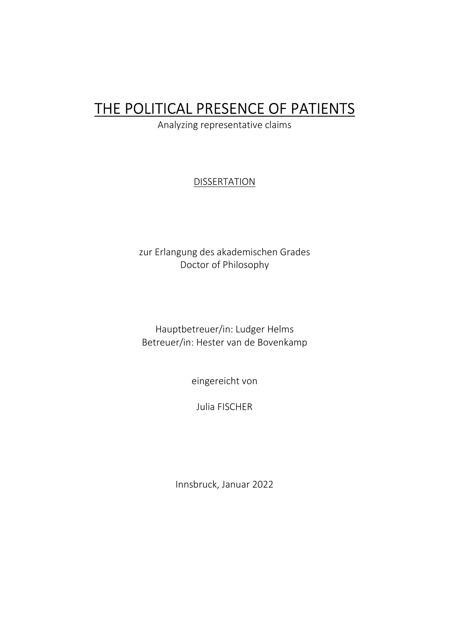## THE POLITICAL PRESENCE OF PATIENTS

Analyzing representative claims

### DISSERTATION

zur Erlangung des akademischen Grades Doctor of Philosophy

Hauptbetreuer/in: Ludger Helms Betreuer/in: Hester van de Bovenkamp

eingereicht von

Julia FISCHER

Innsbruck, Januar 2022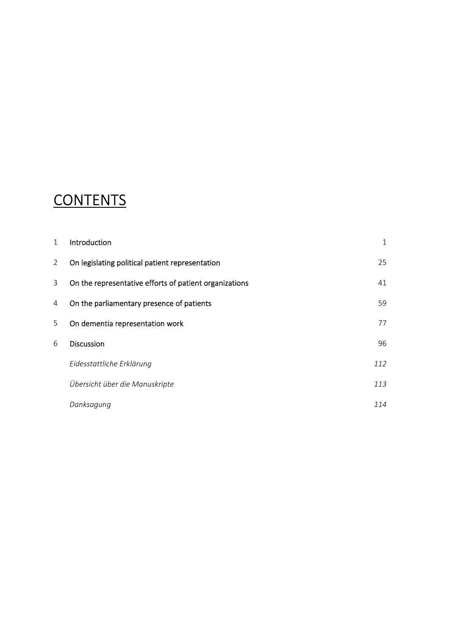# **CONTENTS**

| $\mathbf{1}$   | Introduction                                           | 1   |
|----------------|--------------------------------------------------------|-----|
| $\overline{2}$ | On legislating political patient representation        | 25  |
| 3              | On the representative efforts of patient organizations | 41  |
| 4              | On the parliamentary presence of patients              | 59  |
| 5              | On dementia representation work                        | 77  |
| 6              | <b>Discussion</b>                                      | 96  |
|                | Eidesstattliche Erklärung                              | 112 |
|                | Übersicht über die Manuskripte                         | 113 |
|                | Danksagung                                             | 114 |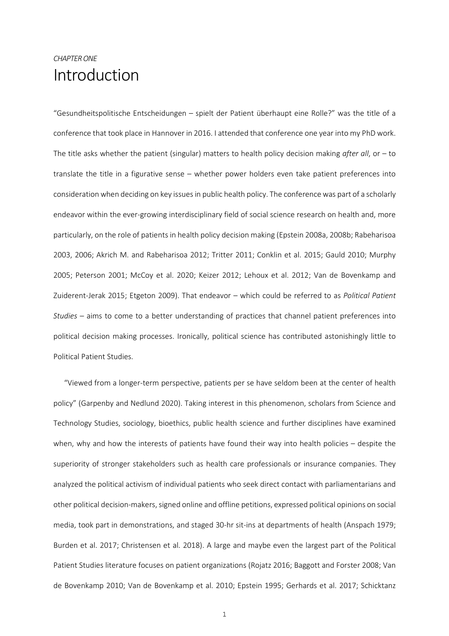### *CHAPTER ONE*  Introduction

"Gesundheitspolitische Entscheidungen – spielt der Patient überhaupt eine Rolle?" was the title of a conference that took place in Hannover in 2016. I attended that conference one year into my PhD work. The title asks whether the patient (singular) matters to health policy decision making *after all*, or – to translate the title in a figurative sense – whether power holders even take patient preferences into consideration when deciding on key issues in public health policy. The conference was part of a scholarly endeavor within the ever-growing interdisciplinary field of social science research on health and, more particularly, on the role of patients in health policy decision making (Epstein 2008a, 2008b; Rabeharisoa 2003, 2006; Akrich M. and Rabeharisoa 2012; Tritter 2011; Conklin et al. 2015; Gauld 2010; Murphy 2005; Peterson 2001; McCoy et al. 2020; Keizer 2012; Lehoux et al. 2012; Van de Bovenkamp and Zuiderent-Jerak 2015; Etgeton 2009). That endeavor – which could be referred to as *Political Patient Studies* – aims to come to a better understanding of practices that channel patient preferences into political decision making processes. Ironically, political science has contributed astonishingly little to Political Patient Studies.

"Viewed from a longer-term perspective, patients per se have seldom been at the center of health policy" (Garpenby and Nedlund 2020). Taking interest in this phenomenon, scholars from Science and Technology Studies, sociology, bioethics, public health science and further disciplines have examined when, why and how the interests of patients have found their way into health policies – despite the superiority of stronger stakeholders such as health care professionals or insurance companies. They analyzed the political activism of individual patients who seek direct contact with parliamentarians and other political decision-makers, signed online and offline petitions, expressed political opinions on social media, took part in demonstrations, and staged 30-hr sit-ins at departments of health (Anspach 1979; Burden et al. 2017; Christensen et al. 2018). A large and maybe even the largest part of the Political Patient Studies literature focuses on patient organizations (Rojatz 2016; Baggott and Forster 2008; Van de Bovenkamp 2010; Van de Bovenkamp et al. 2010; Epstein 1995; Gerhards et al. 2017; Schicktanz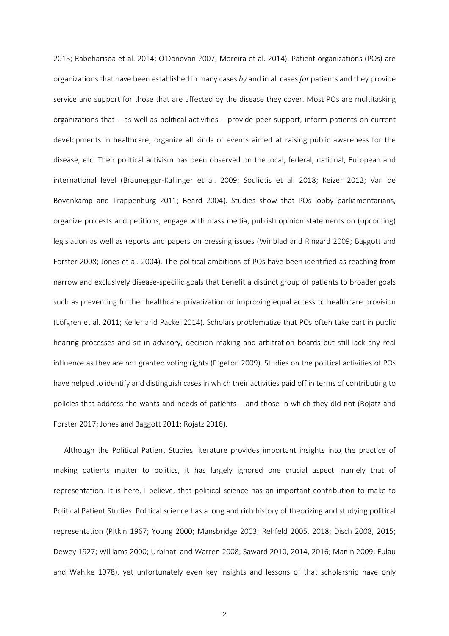2015; Rabeharisoa et al. 2014; O'Donovan 2007; Moreira et al. 2014). Patient organizations (POs) are organizations that have been established in many cases *by* and in all cases *for* patients and they provide service and support for those that are affected by the disease they cover. Most POs are multitasking organizations that – as well as political activities – provide peer support, inform patients on current developments in healthcare, organize all kinds of events aimed at raising public awareness for the disease, etc. Their political activism has been observed on the local, federal, national, European and international level (Braunegger-Kallinger et al. 2009; Souliotis et al. 2018; Keizer 2012; Van de Bovenkamp and Trappenburg 2011; Beard 2004). Studies show that POs lobby parliamentarians, organize protests and petitions, engage with mass media, publish opinion statements on (upcoming) legislation as well as reports and papers on pressing issues (Winblad and Ringard 2009; Baggott and Forster 2008; Jones et al. 2004). The political ambitions of POs have been identified as reaching from narrow and exclusively disease-specific goals that benefit a distinct group of patients to broader goals such as preventing further healthcare privatization or improving equal access to healthcare provision (Löfgren et al. 2011; Keller and Packel 2014). Scholars problematize that POs often take part in public hearing processes and sit in advisory, decision making and arbitration boards but still lack any real influence as they are not granted voting rights (Etgeton 2009). Studies on the political activities of POs have helped to identify and distinguish cases in which their activities paid off in terms of contributing to policies that address the wants and needs of patients – and those in which they did not (Rojatz and Forster 2017; Jones and Baggott 2011; Rojatz 2016).

Although the Political Patient Studies literature provides important insights into the practice of making patients matter to politics, it has largely ignored one crucial aspect: namely that of representation. It is here, I believe, that political science has an important contribution to make to Political Patient Studies. Political science has a long and rich history of theorizing and studying political representation (Pitkin 1967; Young 2000; Mansbridge 2003; Rehfeld 2005, 2018; Disch 2008, 2015; Dewey 1927; Williams 2000; Urbinati and Warren 2008; Saward 2010, 2014, 2016; Manin 2009; Eulau and Wahlke 1978), yet unfortunately even key insights and lessons of that scholarship have only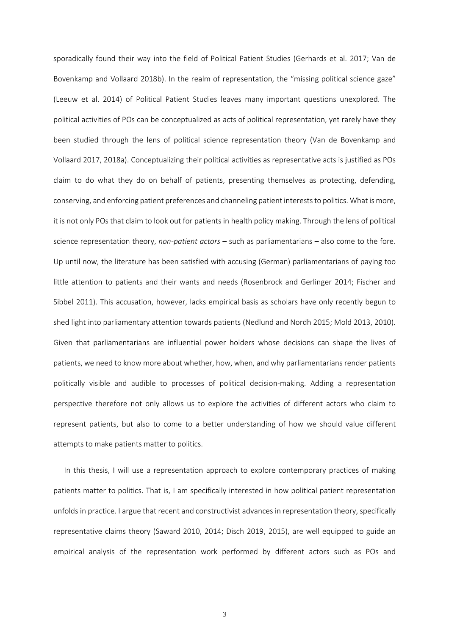sporadically found their way into the field of Political Patient Studies (Gerhards et al. 2017; Van de Bovenkamp and Vollaard 2018b). In the realm of representation, the "missing political science gaze" (Leeuw et al. 2014) of Political Patient Studies leaves many important questions unexplored. The political activities of POs can be conceptualized as acts of political representation, yet rarely have they been studied through the lens of political science representation theory (Van de Bovenkamp and Vollaard 2017, 2018a). Conceptualizing their political activities as representative acts is justified as POs claim to do what they do on behalf of patients, presenting themselves as protecting, defending, conserving, and enforcing patient preferences and channeling patient interests to politics. What is more, it is not only POs that claim to look out for patients in health policy making. Through the lens of political science representation theory, *non-patient actors* – such as parliamentarians – also come to the fore. Up until now, the literature has been satisfied with accusing (German) parliamentarians of paying too little attention to patients and their wants and needs (Rosenbrock and Gerlinger 2014; Fischer and Sibbel 2011). This accusation, however, lacks empirical basis as scholars have only recently begun to shed light into parliamentary attention towards patients (Nedlund and Nordh 2015; Mold 2013, 2010). Given that parliamentarians are influential power holders whose decisions can shape the lives of patients, we need to know more about whether, how, when, and why parliamentarians render patients politically visible and audible to processes of political decision-making. Adding a representation perspective therefore not only allows us to explore the activities of different actors who claim to represent patients, but also to come to a better understanding of how we should value different attempts to make patients matter to politics.

In this thesis, I will use a representation approach to explore contemporary practices of making patients matter to politics. That is, I am specifically interested in how political patient representation unfolds in practice. I argue that recent and constructivist advances in representation theory, specifically representative claims theory (Saward 2010, 2014; Disch 2019, 2015), are well equipped to guide an empirical analysis of the representation work performed by different actors such as POs and

3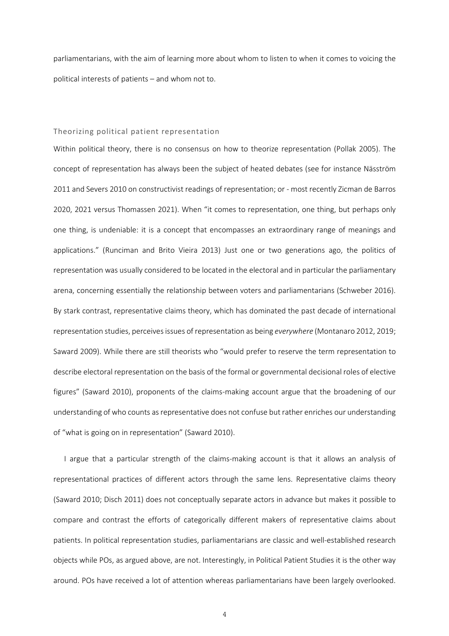parliamentarians, with the aim of learning more about whom to listen to when it comes to voicing the political interests of patients – and whom not to.

#### Theorizing political patient representation

Within political theory, there is no consensus on how to theorize representation (Pollak 2005). The concept of representation has always been the subject of heated debates (see for instance Näsström 2011 and Severs 2010 on constructivist readings of representation; or - most recently Zicman de Barros 2020, 2021 versus Thomassen 2021). When "it comes to representation, one thing, but perhaps only one thing, is undeniable: it is a concept that encompasses an extraordinary range of meanings and applications." (Runciman and Brito Vieira 2013) Just one or two generations ago, the politics of representation was usually considered to be located in the electoral and in particular the parliamentary arena, concerning essentially the relationship between voters and parliamentarians (Schweber 2016). By stark contrast, representative claims theory, which has dominated the past decade of international representation studies, perceives issues of representation as being *everywhere* (Montanaro 2012, 2019; Saward 2009). While there are still theorists who "would prefer to reserve the term representation to describe electoral representation on the basis of the formal or governmental decisional roles of elective figures" (Saward 2010), proponents of the claims-making account argue that the broadening of our understanding of who counts as representative does not confuse but rather enriches our understanding of "what is going on in representation" (Saward 2010).

I argue that a particular strength of the claims-making account is that it allows an analysis of representational practices of different actors through the same lens. Representative claims theory (Saward 2010; Disch 2011) does not conceptually separate actors in advance but makes it possible to compare and contrast the efforts of categorically different makers of representative claims about patients. In political representation studies, parliamentarians are classic and well-established research objects while POs, as argued above, are not. Interestingly, in Political Patient Studies it is the other way around. POs have received a lot of attention whereas parliamentarians have been largely overlooked.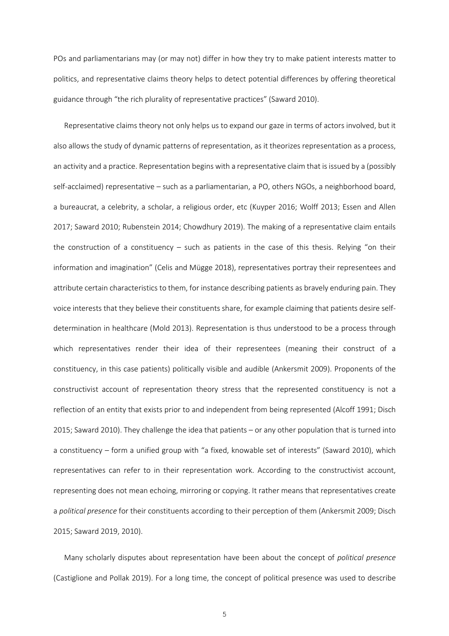POs and parliamentarians may (or may not) differ in how they try to make patient interests matter to politics, and representative claims theory helps to detect potential differences by offering theoretical guidance through "the rich plurality of representative practices" (Saward 2010).

Representative claims theory not only helps us to expand our gaze in terms of actors involved, but it also allows the study of dynamic patterns of representation, as it theorizes representation as a process, an activity and a practice. Representation begins with a representative claim that is issued by a (possibly self-acclaimed) representative – such as a parliamentarian, a PO, others NGOs, a neighborhood board, a bureaucrat, a celebrity, a scholar, a religious order, etc (Kuyper 2016; Wolff 2013; Essen and Allen 2017; Saward 2010; Rubenstein 2014; Chowdhury 2019). The making of a representative claim entails the construction of a constituency – such as patients in the case of this thesis. Relying "on their information and imagination" (Celis and Mügge 2018), representatives portray their representees and attribute certain characteristics to them, for instance describing patients as bravely enduring pain. They voice interests that they believe their constituents share, for example claiming that patients desire selfdetermination in healthcare (Mold 2013). Representation is thus understood to be a process through which representatives render their idea of their representees (meaning their construct of a constituency, in this case patients) politically visible and audible (Ankersmit 2009). Proponents of the constructivist account of representation theory stress that the represented constituency is not a reflection of an entity that exists prior to and independent from being represented (Alcoff 1991; Disch 2015; Saward 2010). They challenge the idea that patients – or any other population that is turned into a constituency – form a unified group with "a fixed, knowable set of interests" (Saward 2010), which representatives can refer to in their representation work. According to the constructivist account, representing does not mean echoing, mirroring or copying. It rather means that representatives create a *political presence* for their constituents according to their perception of them (Ankersmit 2009; Disch 2015; Saward 2019, 2010).

Many scholarly disputes about representation have been about the concept of *political presence* (Castiglione and Pollak 2019). For a long time, the concept of political presence was used to describe

5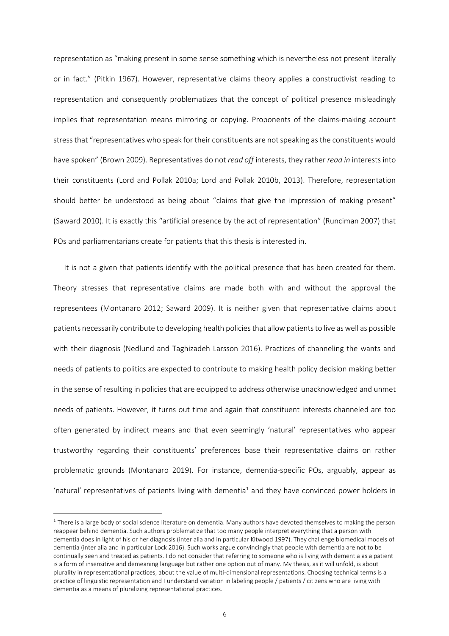representation as "making present in some sense something which is nevertheless not present literally or in fact." (Pitkin 1967). However, representative claims theory applies a constructivist reading to representation and consequently problematizes that the concept of political presence misleadingly implies that representation means mirroring or copying. Proponents of the claims-making account stress that "representatives who speak for their constituents are not speaking as the constituents would have spoken" (Brown 2009). Representatives do not *read off* interests, they rather *read in* interests into their constituents (Lord and Pollak 2010a; Lord and Pollak 2010b, 2013). Therefore, representation should better be understood as being about "claims that give the impression of making present" (Saward 2010). It is exactly this "artificial presence by the act of representation" (Runciman 2007) that POs and parliamentarians create for patients that this thesis is interested in.

It is not a given that patients identify with the political presence that has been created for them. Theory stresses that representative claims are made both with and without the approval the representees (Montanaro 2012; Saward 2009). It is neither given that representative claims about patients necessarily contribute to developing health policies that allow patients to live as well as possible with their diagnosis (Nedlund and Taghizadeh Larsson 2016). Practices of channeling the wants and needs of patients to politics are expected to contribute to making health policy decision making better in the sense of resulting in policies that are equipped to address otherwise unacknowledged and unmet needs of patients. However, it turns out time and again that constituent interests channeled are too often generated by indirect means and that even seemingly 'natural' representatives who appear trustworthy regarding their constituents' preferences base their representative claims on rather problematic grounds (Montanaro 2019). For instance, dementia-specific POs, arguably, appear as 'natural' representatives of patients living with dementia<sup>1</sup> and they have convinced power holders in

 $1$  There is a large body of social science literature on dementia. Many authors have devoted themselves to making the person reappear behind dementia. Such authors problematize that too many people interpret everything that a person with dementia does in light of his or her diagnosis (inter alia and in particular Kitwood 1997). They challenge biomedical models of dementia (inter alia and in particular Lock 2016). Such works argue convincingly that people with dementia are not to be continually seen and treated as patients. I do not consider that referring to someone who is living with dementia as a patient is a form of insensitive and demeaning language but rather one option out of many. My thesis, as it will unfold, is about plurality in representational practices, about the value of multi-dimensional representations. Choosing technical terms is a practice of linguistic representation and I understand variation in labeling people / patients / citizens who are living with dementia as a means of pluralizing representational practices.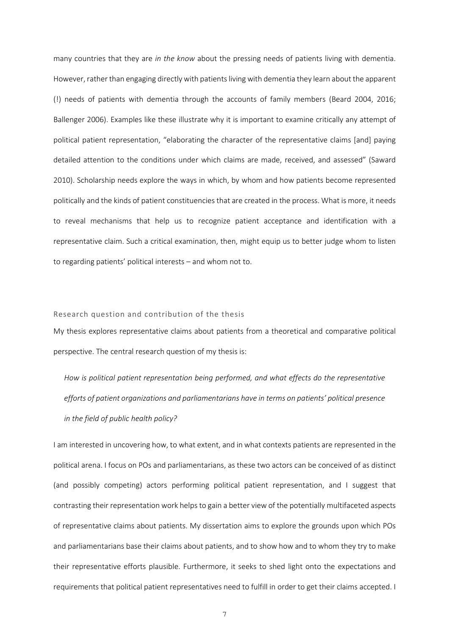many countries that they are *in the know* about the pressing needs of patients living with dementia. However, rather than engaging directly with patients living with dementia they learn about the apparent (!) needs of patients with dementia through the accounts of family members (Beard 2004, 2016; Ballenger 2006). Examples like these illustrate why it is important to examine critically any attempt of political patient representation, "elaborating the character of the representative claims [and] paying detailed attention to the conditions under which claims are made, received, and assessed" (Saward 2010). Scholarship needs explore the ways in which, by whom and how patients become represented politically and the kinds of patient constituencies that are created in the process. What is more, it needs to reveal mechanisms that help us to recognize patient acceptance and identification with a representative claim. Such a critical examination, then, might equip us to better judge whom to listen to regarding patients' political interests – and whom not to.

### Research question and contribution of the thesis

My thesis explores representative claims about patients from a theoretical and comparative political perspective. The central research question of my thesis is:

*How is political patient representation being performed, and what effects do the representative efforts of patient organizations and parliamentarians have in terms on patients' political presence in the field of public health policy?* 

I am interested in uncovering how, to what extent, and in what contexts patients are represented in the political arena. I focus on POs and parliamentarians, as these two actors can be conceived of as distinct (and possibly competing) actors performing political patient representation, and I suggest that contrasting their representation work helps to gain a better view of the potentially multifaceted aspects of representative claims about patients. My dissertation aims to explore the grounds upon which POs and parliamentarians base their claims about patients, and to show how and to whom they try to make their representative efforts plausible. Furthermore, it seeks to shed light onto the expectations and requirements that political patient representatives need to fulfill in order to get their claims accepted. I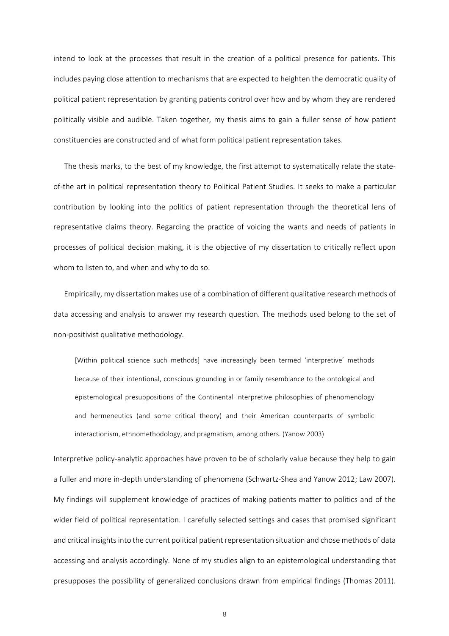intend to look at the processes that result in the creation of a political presence for patients. This includes paying close attention to mechanisms that are expected to heighten the democratic quality of political patient representation by granting patients control over how and by whom they are rendered politically visible and audible. Taken together, my thesis aims to gain a fuller sense of how patient constituencies are constructed and of what form political patient representation takes.

The thesis marks, to the best of my knowledge, the first attempt to systematically relate the stateof-the art in political representation theory to Political Patient Studies. It seeks to make a particular contribution by looking into the politics of patient representation through the theoretical lens of representative claims theory. Regarding the practice of voicing the wants and needs of patients in processes of political decision making, it is the objective of my dissertation to critically reflect upon whom to listen to, and when and why to do so.

Empirically, my dissertation makes use of a combination of different qualitative research methods of data accessing and analysis to answer my research question. The methods used belong to the set of non-positivist qualitative methodology.

[Within political science such methods] have increasingly been termed 'interpretive' methods because of their intentional, conscious grounding in or family resemblance to the ontological and epistemological presuppositions of the Continental interpretive philosophies of phenomenology and hermeneutics (and some critical theory) and their American counterparts of symbolic interactionism, ethnomethodology, and pragmatism, among others. (Yanow 2003)

Interpretive policy-analytic approaches have proven to be of scholarly value because they help to gain a fuller and more in-depth understanding of phenomena (Schwartz-Shea and Yanow 2012; Law 2007). My findings will supplement knowledge of practices of making patients matter to politics and of the wider field of political representation. I carefully selected settings and cases that promised significant and critical insights into the current political patient representation situation and chose methods of data accessing and analysis accordingly. None of my studies align to an epistemological understanding that presupposes the possibility of generalized conclusions drawn from empirical findings (Thomas 2011).

8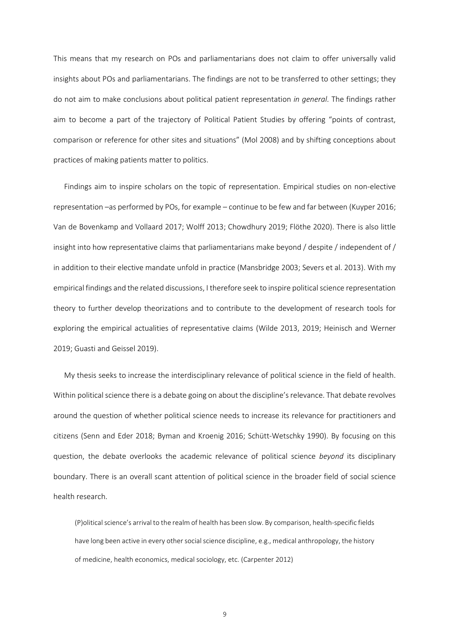This means that my research on POs and parliamentarians does not claim to offer universally valid insights about POs and parliamentarians. The findings are not to be transferred to other settings; they do not aim to make conclusions about political patient representation *in general*. The findings rather aim to become a part of the trajectory of Political Patient Studies by offering "points of contrast, comparison or reference for other sites and situations" (Mol 2008) and by shifting conceptions about practices of making patients matter to politics.

Findings aim to inspire scholars on the topic of representation. Empirical studies on non-elective representation –as performed by POs, for example – continue to be few and far between (Kuyper 2016; Van de Bovenkamp and Vollaard 2017; Wolff 2013; Chowdhury 2019; Flöthe 2020). There is also little insight into how representative claims that parliamentarians make beyond / despite / independent of / in addition to their elective mandate unfold in practice (Mansbridge 2003; Severs et al. 2013). With my empirical findings and the related discussions, I therefore seek to inspire political science representation theory to further develop theorizations and to contribute to the development of research tools for exploring the empirical actualities of representative claims (Wilde 2013, 2019; Heinisch and Werner 2019; Guasti and Geissel 2019).

My thesis seeks to increase the interdisciplinary relevance of political science in the field of health. Within political science there is a debate going on about the discipline's relevance. That debate revolves around the question of whether political science needs to increase its relevance for practitioners and citizens (Senn and Eder 2018; Byman and Kroenig 2016; Schütt-Wetschky 1990). By focusing on this question, the debate overlooks the academic relevance of political science *beyond* its disciplinary boundary. There is an overall scant attention of political science in the broader field of social science health research.

(P)olitical science's arrival to the realm of health has been slow. By comparison, health-specific fields have long been active in every other social science discipline, e.g., medical anthropology, the history of medicine, health economics, medical sociology, etc. (Carpenter 2012)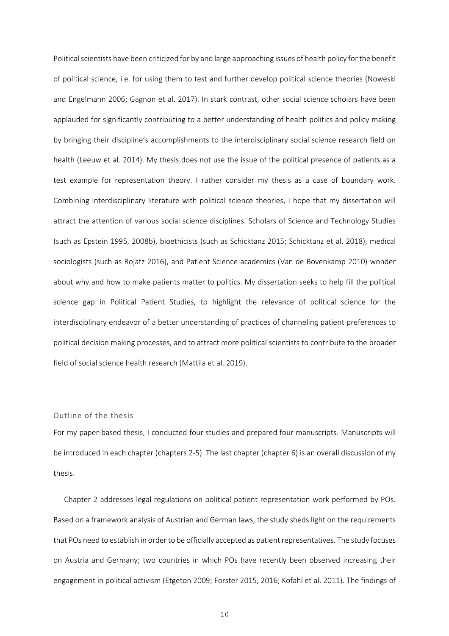Political scientists have been criticized for by and large approaching issues of health policy for the benefit of political science, i.e. for using them to test and further develop political science theories (Noweski and Engelmann 2006; Gagnon et al. 2017). In stark contrast, other social science scholars have been applauded for significantly contributing to a better understanding of health politics and policy making by bringing their discipline's accomplishments to the interdisciplinary social science research field on health (Leeuw et al. 2014). My thesis does not use the issue of the political presence of patients as a test example for representation theory. I rather consider my thesis as a case of boundary work. Combining interdisciplinary literature with political science theories, I hope that my dissertation will attract the attention of various social science disciplines. Scholars of Science and Technology Studies (such as Epstein 1995, 2008b), bioethicists (such as Schicktanz 2015; Schicktanz et al. 2018), medical sociologists (such as Rojatz 2016), and Patient Science academics (Van de Bovenkamp 2010) wonder about why and how to make patients matter to politics. My dissertation seeks to help fill the political science gap in Political Patient Studies, to highlight the relevance of political science for the interdisciplinary endeavor of a better understanding of practices of channeling patient preferences to political decision making processes, and to attract more political scientists to contribute to the broader field of social science health research (Mattila et al. 2019).

### Outline of the thesis

For my paper-based thesis, I conducted four studies and prepared four manuscripts. Manuscripts will be introduced in each chapter (chapters 2-5). The last chapter (chapter 6) is an overall discussion of my thesis.

Chapter 2 addresses legal regulations on political patient representation work performed by POs. Based on a framework analysis of Austrian and German laws, the study sheds light on the requirements that POs need to establish in order to be officially accepted as patient representatives. The study focuses on Austria and Germany; two countries in which POs have recently been observed increasing their engagement in political activism (Etgeton 2009; Forster 2015, 2016; Kofahl et al. 2011). The findings of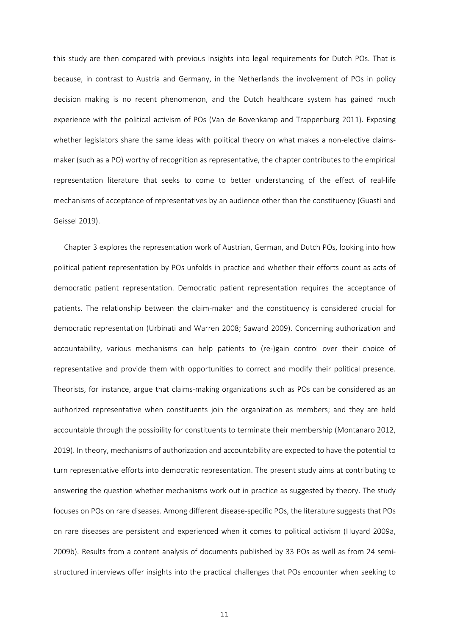this study are then compared with previous insights into legal requirements for Dutch POs. That is because, in contrast to Austria and Germany, in the Netherlands the involvement of POs in policy decision making is no recent phenomenon, and the Dutch healthcare system has gained much experience with the political activism of POs (Van de Bovenkamp and Trappenburg 2011). Exposing whether legislators share the same ideas with political theory on what makes a non-elective claimsmaker (such as a PO) worthy of recognition as representative, the chapter contributes to the empirical representation literature that seeks to come to better understanding of the effect of real-life mechanisms of acceptance of representatives by an audience other than the constituency (Guasti and Geissel 2019).

Chapter 3 explores the representation work of Austrian, German, and Dutch POs, looking into how political patient representation by POs unfolds in practice and whether their efforts count as acts of democratic patient representation. Democratic patient representation requires the acceptance of patients. The relationship between the claim-maker and the constituency is considered crucial for democratic representation (Urbinati and Warren 2008; Saward 2009). Concerning authorization and accountability, various mechanisms can help patients to (re-)gain control over their choice of representative and provide them with opportunities to correct and modify their political presence. Theorists, for instance, argue that claims-making organizations such as POs can be considered as an authorized representative when constituents join the organization as members; and they are held accountable through the possibility for constituents to terminate their membership (Montanaro 2012, 2019). In theory, mechanisms of authorization and accountability are expected to have the potential to turn representative efforts into democratic representation. The present study aims at contributing to answering the question whether mechanisms work out in practice as suggested by theory. The study focuses on POs on rare diseases. Among different disease-specific POs, the literature suggests that POs on rare diseases are persistent and experienced when it comes to political activism (Huyard 2009a, 2009b). Results from a content analysis of documents published by 33 POs as well as from 24 semistructured interviews offer insights into the practical challenges that POs encounter when seeking to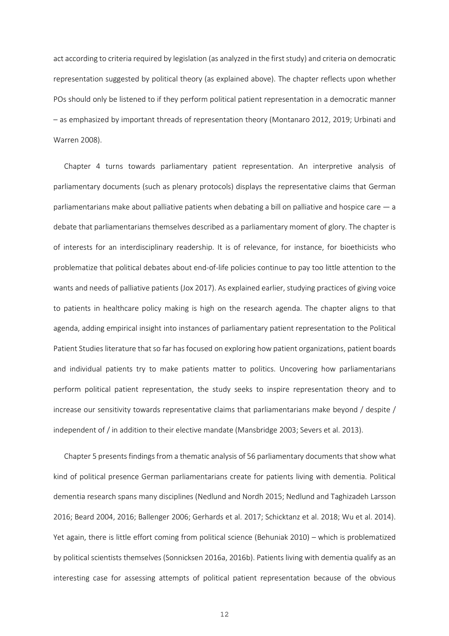act according to criteria required by legislation (as analyzed in the first study) and criteria on democratic representation suggested by political theory (as explained above). The chapter reflects upon whether POs should only be listened to if they perform political patient representation in a democratic manner – as emphasized by important threads of representation theory (Montanaro 2012, 2019; Urbinati and Warren 2008).

Chapter 4 turns towards parliamentary patient representation. An interpretive analysis of parliamentary documents (such as plenary protocols) displays the representative claims that German parliamentarians make about palliative patients when debating a bill on palliative and hospice care — a debate that parliamentarians themselves described as a parliamentary moment of glory. The chapter is of interests for an interdisciplinary readership. It is of relevance, for instance, for bioethicists who problematize that political debates about end-of-life policies continue to pay too little attention to the wants and needs of palliative patients (Jox 2017). As explained earlier, studying practices of giving voice to patients in healthcare policy making is high on the research agenda. The chapter aligns to that agenda, adding empirical insight into instances of parliamentary patient representation to the Political Patient Studies literature that so far has focused on exploring how patient organizations, patient boards and individual patients try to make patients matter to politics. Uncovering how parliamentarians perform political patient representation, the study seeks to inspire representation theory and to increase our sensitivity towards representative claims that parliamentarians make beyond / despite / independent of / in addition to their elective mandate (Mansbridge 2003; Severs et al. 2013).

Chapter 5 presents findings from a thematic analysis of 56 parliamentary documents that show what kind of political presence German parliamentarians create for patients living with dementia. Political dementia research spans many disciplines (Nedlund and Nordh 2015; Nedlund and Taghizadeh Larsson 2016; Beard 2004, 2016; Ballenger 2006; Gerhards et al. 2017; Schicktanz et al. 2018; Wu et al. 2014). Yet again, there is little effort coming from political science (Behuniak 2010) – which is problematized by political scientists themselves (Sonnicksen 2016a, 2016b). Patients living with dementia qualify as an interesting case for assessing attempts of political patient representation because of the obvious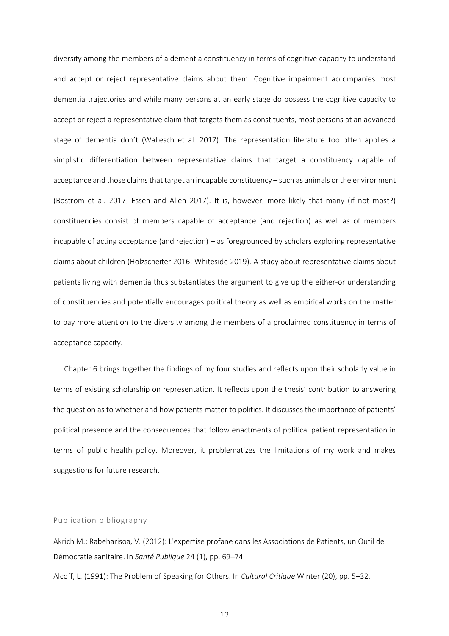diversity among the members of a dementia constituency in terms of cognitive capacity to understand and accept or reject representative claims about them. Cognitive impairment accompanies most dementia trajectories and while many persons at an early stage do possess the cognitive capacity to accept or reject a representative claim that targets them as constituents, most persons at an advanced stage of dementia don't (Wallesch et al. 2017). The representation literature too often applies a simplistic differentiation between representative claims that target a constituency capable of acceptance and those claims that target an incapable constituency – such as animals or the environment (Boström et al. 2017; Essen and Allen 2017). It is, however, more likely that many (if not most?) constituencies consist of members capable of acceptance (and rejection) as well as of members incapable of acting acceptance (and rejection) – as foregrounded by scholars exploring representative claims about children (Holzscheiter 2016; Whiteside 2019). A study about representative claims about patients living with dementia thus substantiates the argument to give up the either-or understanding of constituencies and potentially encourages political theory as well as empirical works on the matter to pay more attention to the diversity among the members of a proclaimed constituency in terms of acceptance capacity.

Chapter 6 brings together the findings of my four studies and reflects upon their scholarly value in terms of existing scholarship on representation. It reflects upon the thesis' contribution to answering the question as to whether and how patients matter to politics. It discusses the importance of patients' political presence and the consequences that follow enactments of political patient representation in terms of public health policy. Moreover, it problematizes the limitations of my work and makes suggestions for future research.

### Publication bibliography

Akrich M.; Rabeharisoa, V. (2012): L'expertise profane dans les Associations de Patients, un Outil de Démocratie sanitaire. In *Santé Publique* 24 (1), pp. 69–74.

Alcoff, L. (1991): The Problem of Speaking for Others. In *Cultural Critique* Winter (20), pp. 5–32.

13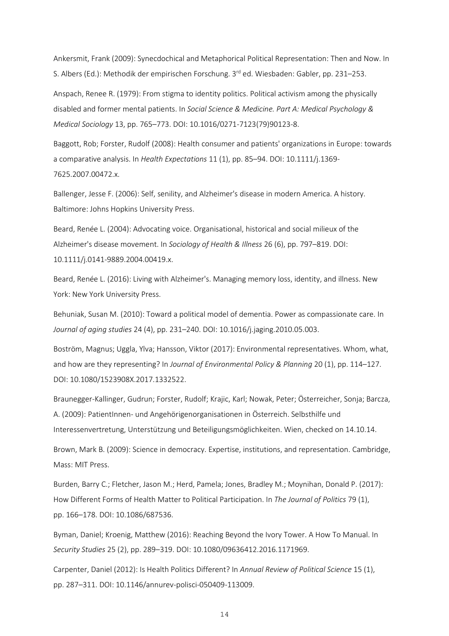Ankersmit, Frank (2009): Synecdochical and Metaphorical Political Representation: Then and Now. In S. Albers (Ed.): Methodik der empirischen Forschung. 3rd ed. Wiesbaden: Gabler, pp. 231–253.

Anspach, Renee R. (1979): From stigma to identity politics. Political activism among the physically disabled and former mental patients. In *Social Science & Medicine. Part A: Medical Psychology & Medical Sociology* 13, pp. 765–773. DOI: 10.1016/0271-7123(79)90123-8.

Baggott, Rob; Forster, Rudolf (2008): Health consumer and patients' organizations in Europe: towards a comparative analysis. In *Health Expectations* 11 (1), pp. 85–94. DOI: 10.1111/j.1369- 7625.2007.00472.x.

Ballenger, Jesse F. (2006): Self, senility, and Alzheimer's disease in modern America. A history. Baltimore: Johns Hopkins University Press.

Beard, Renée L. (2004): Advocating voice. Organisational, historical and social milieux of the Alzheimer's disease movement. In *Sociology of Health & Illness* 26 (6), pp. 797–819. DOI: 10.1111/j.0141-9889.2004.00419.x.

Beard, Renée L. (2016): Living with Alzheimer's. Managing memory loss, identity, and illness. New York: New York University Press.

Behuniak, Susan M. (2010): Toward a political model of dementia. Power as compassionate care. In *Journal of aging studies* 24 (4), pp. 231–240. DOI: 10.1016/j.jaging.2010.05.003.

Boström, Magnus; Uggla, Ylva; Hansson, Viktor (2017): Environmental representatives. Whom, what, and how are they representing? In *Journal of Environmental Policy & Planning* 20 (1), pp. 114–127. DOI: 10.1080/1523908X.2017.1332522.

Braunegger-Kallinger, Gudrun; Forster, Rudolf; Krajic, Karl; Nowak, Peter; Österreicher, Sonja; Barcza, A. (2009): PatientInnen- und Angehörigenorganisationen in Österreich. Selbsthilfe und Interessenvertretung, Unterstützung und Beteiligungsmöglichkeiten. Wien, checked on 14.10.14.

Brown, Mark B. (2009): Science in democracy. Expertise, institutions, and representation. Cambridge, Mass: MIT Press.

Burden, Barry C.; Fletcher, Jason M.; Herd, Pamela; Jones, Bradley M.; Moynihan, Donald P. (2017): How Different Forms of Health Matter to Political Participation. In *The Journal of Politics* 79 (1), pp. 166–178. DOI: 10.1086/687536.

Byman, Daniel; Kroenig, Matthew (2016): Reaching Beyond the Ivory Tower. A How To Manual. In *Security Studies* 25 (2), pp. 289–319. DOI: 10.1080/09636412.2016.1171969.

Carpenter, Daniel (2012): Is Health Politics Different? In *Annual Review of Political Science* 15 (1), pp. 287–311. DOI: 10.1146/annurev-polisci-050409-113009.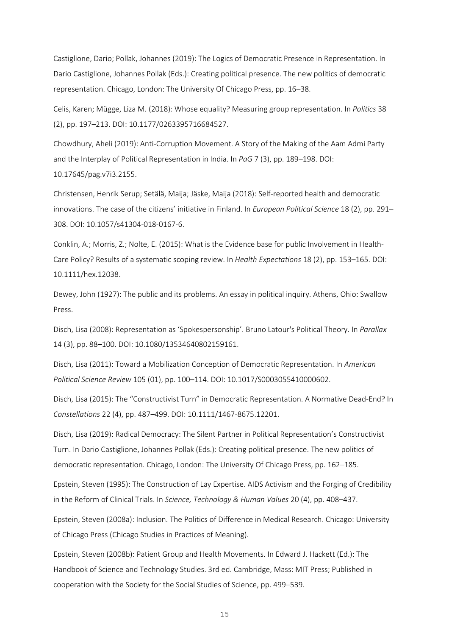Castiglione, Dario; Pollak, Johannes (2019): The Logics of Democratic Presence in Representation. In Dario Castiglione, Johannes Pollak (Eds.): Creating political presence. The new politics of democratic representation. Chicago, London: The University Of Chicago Press, pp. 16–38.

Celis, Karen; Mügge, Liza M. (2018): Whose equality? Measuring group representation. In *Politics* 38 (2), pp. 197–213. DOI: 10.1177/0263395716684527.

Chowdhury, Aheli (2019): Anti-Corruption Movement. A Story of the Making of the Aam Admi Party and the Interplay of Political Representation in India. In *PaG* 7 (3), pp. 189–198. DOI: 10.17645/pag.v7i3.2155.

Christensen, Henrik Serup; Setälä, Maija; Jäske, Maija (2018): Self-reported health and democratic innovations. The case of the citizens' initiative in Finland. In *European Political Science* 18 (2), pp. 291– 308. DOI: 10.1057/s41304-018-0167-6.

Conklin, A.; Morris, Z.; Nolte, E. (2015): What is the Evidence base for public Involvement in Health-Care Policy? Results of a systematic scoping review. In *Health Expectations* 18 (2), pp. 153–165. DOI: 10.1111/hex.12038.

Dewey, John (1927): The public and its problems. An essay in political inquiry. Athens, Ohio: Swallow Press.

Disch, Lisa (2008): Representation as 'Spokespersonship'. Bruno Latour's Political Theory. In *Parallax*  14 (3), pp. 88–100. DOI: 10.1080/13534640802159161.

Disch, Lisa (2011): Toward a Mobilization Conception of Democratic Representation. In *American Political Science Review* 105 (01), pp. 100–114. DOI: 10.1017/S0003055410000602.

Disch, Lisa (2015): The "Constructivist Turn" in Democratic Representation. A Normative Dead-End? In *Constellations* 22 (4), pp. 487–499. DOI: 10.1111/1467-8675.12201.

Disch, Lisa (2019): Radical Democracy: The Silent Partner in Political Representation's Constructivist Turn. In Dario Castiglione, Johannes Pollak (Eds.): Creating political presence. The new politics of democratic representation. Chicago, London: The University Of Chicago Press, pp. 162–185.

Epstein, Steven (1995): The Construction of Lay Expertise. AIDS Activism and the Forging of Credibility in the Reform of Clinical Trials. In *Science, Technology & Human Values* 20 (4), pp. 408–437.

Epstein, Steven (2008a): Inclusion. The Politics of Difference in Medical Research. Chicago: University of Chicago Press (Chicago Studies in Practices of Meaning).

Epstein, Steven (2008b): Patient Group and Health Movements. In Edward J. Hackett (Ed.): The Handbook of Science and Technology Studies. 3rd ed. Cambridge, Mass: MIT Press; Published in cooperation with the Society for the Social Studies of Science, pp. 499–539.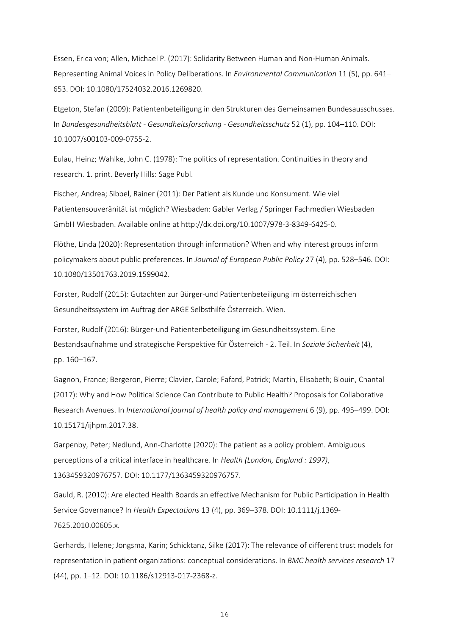Essen, Erica von; Allen, Michael P. (2017): Solidarity Between Human and Non-Human Animals. Representing Animal Voices in Policy Deliberations. In *Environmental Communication* 11 (5), pp. 641– 653. DOI: 10.1080/17524032.2016.1269820.

Etgeton, Stefan (2009): Patientenbeteiligung in den Strukturen des Gemeinsamen Bundesausschusses. In *Bundesgesundheitsblatt - Gesundheitsforschung - Gesundheitsschutz* 52 (1), pp. 104–110. DOI: 10.1007/s00103-009-0755-2.

Eulau, Heinz; Wahlke, John C. (1978): The politics of representation. Continuities in theory and research. 1. print. Beverly Hills: Sage Publ.

Fischer, Andrea; Sibbel, Rainer (2011): Der Patient als Kunde und Konsument. Wie viel Patientensouveränität ist möglich? Wiesbaden: Gabler Verlag / Springer Fachmedien Wiesbaden GmbH Wiesbaden. Available online at http://dx.doi.org/10.1007/978-3-8349-6425-0.

Flöthe, Linda (2020): Representation through information? When and why interest groups inform policymakers about public preferences. In *Journal of European Public Policy* 27 (4), pp. 528–546. DOI: 10.1080/13501763.2019.1599042.

Forster, Rudolf (2015): Gutachten zur Bürger-und Patientenbeteiligung im österreichischen Gesundheitssystem im Auftrag der ARGE Selbsthilfe Österreich. Wien.

Forster, Rudolf (2016): Bürger-und Patientenbeteiligung im Gesundheitssystem. Eine Bestandsaufnahme und strategische Perspektive für Österreich - 2. Teil. In *Soziale Sicherheit* (4), pp. 160–167.

Gagnon, France; Bergeron, Pierre; Clavier, Carole; Fafard, Patrick; Martin, Elisabeth; Blouin, Chantal (2017): Why and How Political Science Can Contribute to Public Health? Proposals for Collaborative Research Avenues. In *International journal of health policy and management* 6 (9), pp. 495–499. DOI: 10.15171/ijhpm.2017.38.

Garpenby, Peter; Nedlund, Ann-Charlotte (2020): The patient as a policy problem. Ambiguous perceptions of a critical interface in healthcare. In *Health (London, England : 1997)*, 1363459320976757. DOI: 10.1177/1363459320976757.

Gauld, R. (2010): Are elected Health Boards an effective Mechanism for Public Participation in Health Service Governance? In *Health Expectations* 13 (4), pp. 369–378. DOI: 10.1111/j.1369- 7625.2010.00605.x.

Gerhards, Helene; Jongsma, Karin; Schicktanz, Silke (2017): The relevance of different trust models for representation in patient organizations: conceptual considerations. In *BMC health services research* 17 (44), pp. 1–12. DOI: 10.1186/s12913-017-2368-z.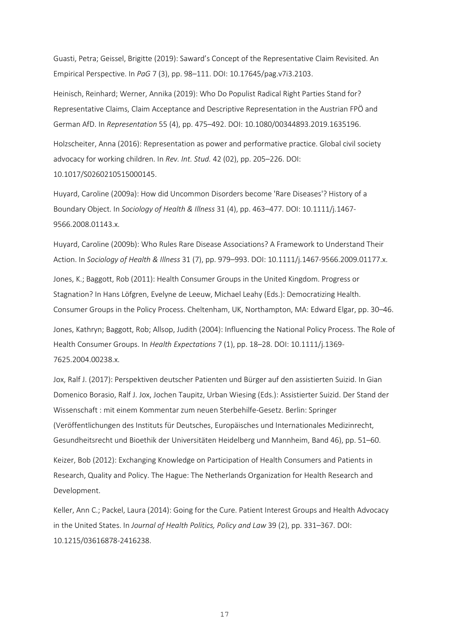Guasti, Petra; Geissel, Brigitte (2019): Saward's Concept of the Representative Claim Revisited. An Empirical Perspective. In *PaG* 7 (3), pp. 98–111. DOI: 10.17645/pag.v7i3.2103.

Heinisch, Reinhard; Werner, Annika (2019): Who Do Populist Radical Right Parties Stand for? Representative Claims, Claim Acceptance and Descriptive Representation in the Austrian FPÖ and German AfD. In *Representation* 55 (4), pp. 475–492. DOI: 10.1080/00344893.2019.1635196.

Holzscheiter, Anna (2016): Representation as power and performative practice. Global civil society advocacy for working children. In *Rev. Int. Stud.* 42 (02), pp. 205–226. DOI: 10.1017/S0260210515000145.

Huyard, Caroline (2009a): How did Uncommon Disorders become 'Rare Diseases'? History of a Boundary Object. In *Sociology of Health & Illness* 31 (4), pp. 463–477. DOI: 10.1111/j.1467- 9566.2008.01143.x.

Huyard, Caroline (2009b): Who Rules Rare Disease Associations? A Framework to Understand Their Action. In *Sociology of Health & Illness* 31 (7), pp. 979–993. DOI: 10.1111/j.1467-9566.2009.01177.x.

Jones, K.; Baggott, Rob (2011): Health Consumer Groups in the United Kingdom. Progress or Stagnation? In Hans Löfgren, Evelyne de Leeuw, Michael Leahy (Eds.): Democratizing Health. Consumer Groups in the Policy Process. Cheltenham, UK, Northampton, MA: Edward Elgar, pp. 30–46.

Jones, Kathryn; Baggott, Rob; Allsop, Judith (2004): Influencing the National Policy Process. The Role of Health Consumer Groups. In *Health Expectations* 7 (1), pp. 18–28. DOI: 10.1111/j.1369- 7625.2004.00238.x.

Jox, Ralf J. (2017): Perspektiven deutscher Patienten und Bürger auf den assistierten Suizid. In Gian Domenico Borasio, Ralf J. Jox, Jochen Taupitz, Urban Wiesing (Eds.): Assistierter Suizid. Der Stand der Wissenschaft : mit einem Kommentar zum neuen Sterbehilfe-Gesetz. Berlin: Springer (Veröffentlichungen des Instituts für Deutsches, Europäisches und Internationales Medizinrecht, Gesundheitsrecht und Bioethik der Universitäten Heidelberg und Mannheim, Band 46), pp. 51–60.

Keizer, Bob (2012): Exchanging Knowledge on Participation of Health Consumers and Patients in Research, Quality and Policy. The Hague: The Netherlands Organization for Health Research and Development.

Keller, Ann C.; Packel, Laura (2014): Going for the Cure. Patient Interest Groups and Health Advocacy in the United States. In *Journal of Health Politics, Policy and Law* 39 (2), pp. 331–367. DOI: 10.1215/03616878-2416238.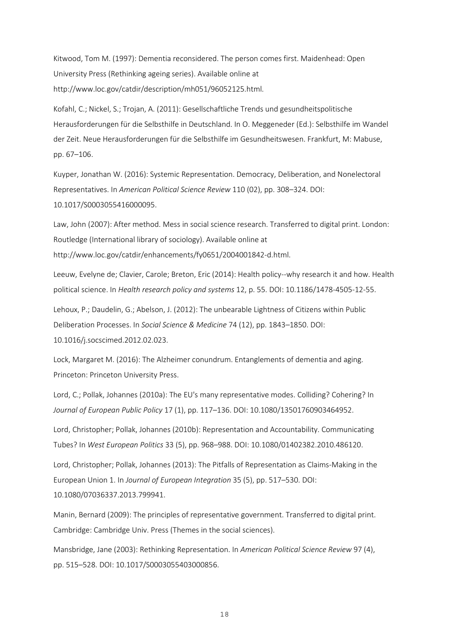Kitwood, Tom M. (1997): Dementia reconsidered. The person comes first. Maidenhead: Open University Press (Rethinking ageing series). Available online at http://www.loc.gov/catdir/description/mh051/96052125.html.

Kofahl, C.; Nickel, S.; Trojan, A. (2011): Gesellschaftliche Trends und gesundheitspolitische Herausforderungen für die Selbsthilfe in Deutschland. In O. Meggeneder (Ed.): Selbsthilfe im Wandel der Zeit. Neue Herausforderungen für die Selbsthilfe im Gesundheitswesen. Frankfurt, M: Mabuse, pp. 67–106.

Kuyper, Jonathan W. (2016): Systemic Representation. Democracy, Deliberation, and Nonelectoral Representatives. In *American Political Science Review* 110 (02), pp. 308–324. DOI: 10.1017/S0003055416000095.

Law, John (2007): After method. Mess in social science research. Transferred to digital print. London: Routledge (International library of sociology). Available online at http://www.loc.gov/catdir/enhancements/fy0651/2004001842-d.html.

Leeuw, Evelyne de; Clavier, Carole; Breton, Eric (2014): Health policy--why research it and how. Health political science. In *Health research policy and systems* 12, p. 55. DOI: 10.1186/1478-4505-12-55.

Lehoux, P.; Daudelin, G.; Abelson, J. (2012): The unbearable Lightness of Citizens within Public Deliberation Processes. In *Social Science & Medicine* 74 (12), pp. 1843–1850. DOI: 10.1016/j.socscimed.2012.02.023.

Lock, Margaret M. (2016): The Alzheimer conundrum. Entanglements of dementia and aging. Princeton: Princeton University Press.

Lord, C.; Pollak, Johannes (2010a): The EU's many representative modes. Colliding? Cohering? In *Journal of European Public Policy* 17 (1), pp. 117–136. DOI: 10.1080/13501760903464952.

Lord, Christopher; Pollak, Johannes (2010b): Representation and Accountability. Communicating Tubes? In *West European Politics* 33 (5), pp. 968–988. DOI: 10.1080/01402382.2010.486120.

Lord, Christopher; Pollak, Johannes (2013): The Pitfalls of Representation as Claims-Making in the European Union 1. In *Journal of European Integration* 35 (5), pp. 517–530. DOI: 10.1080/07036337.2013.799941.

Manin, Bernard (2009): The principles of representative government. Transferred to digital print. Cambridge: Cambridge Univ. Press (Themes in the social sciences).

Mansbridge, Jane (2003): Rethinking Representation. In *American Political Science Review* 97 (4), pp. 515–528. DOI: 10.1017/S0003055403000856.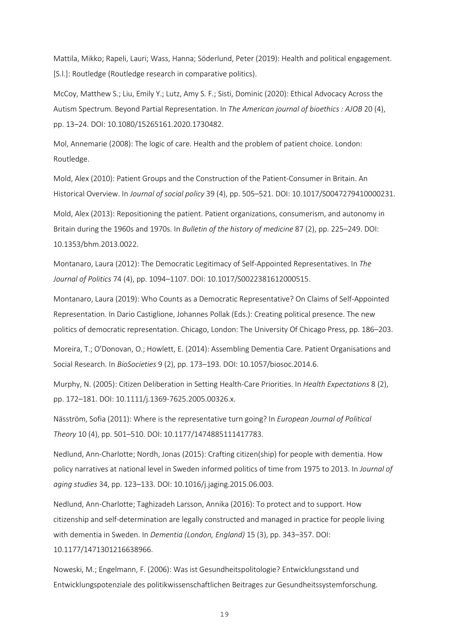Mattila, Mikko; Rapeli, Lauri; Wass, Hanna; Söderlund, Peter (2019): Health and political engagement. [S.l.]: Routledge (Routledge research in comparative politics).

McCoy, Matthew S.; Liu, Emily Y.; Lutz, Amy S. F.; Sisti, Dominic (2020): Ethical Advocacy Across the Autism Spectrum. Beyond Partial Representation. In *The American journal of bioethics : AJOB* 20 (4), pp. 13–24. DOI: 10.1080/15265161.2020.1730482.

Mol, Annemarie (2008): The logic of care. Health and the problem of patient choice. London: Routledge.

Mold, Alex (2010): Patient Groups and the Construction of the Patient-Consumer in Britain. An Historical Overview. In *Journal of social policy* 39 (4), pp. 505–521. DOI: 10.1017/S0047279410000231.

Mold, Alex (2013): Repositioning the patient. Patient organizations, consumerism, and autonomy in Britain during the 1960s and 1970s. In *Bulletin of the history of medicine* 87 (2), pp. 225–249. DOI: 10.1353/bhm.2013.0022.

Montanaro, Laura (2012): The Democratic Legitimacy of Self-Appointed Representatives. In *The Journal of Politics* 74 (4), pp. 1094–1107. DOI: 10.1017/S0022381612000515.

Montanaro, Laura (2019): Who Counts as a Democratic Representative? On Claims of Self-Appointed Representation. In Dario Castiglione, Johannes Pollak (Eds.): Creating political presence. The new politics of democratic representation. Chicago, London: The University Of Chicago Press, pp. 186–203.

Moreira, T.; O'Donovan, O.; Howlett, E. (2014): Assembling Dementia Care. Patient Organisations and Social Research. In *BioSocieties* 9 (2), pp. 173–193. DOI: 10.1057/biosoc.2014.6.

Murphy, N. (2005): Citizen Deliberation in Setting Health-Care Priorities. In *Health Expectations* 8 (2), pp. 172–181. DOI: 10.1111/j.1369-7625.2005.00326.x.

Näsström, Sofia (2011): Where is the representative turn going? In *European Journal of Political Theory* 10 (4), pp. 501–510. DOI: 10.1177/1474885111417783.

Nedlund, Ann-Charlotte; Nordh, Jonas (2015): Crafting citizen(ship) for people with dementia. How policy narratives at national level in Sweden informed politics of time from 1975 to 2013. In *Journal of aging studies* 34, pp. 123–133. DOI: 10.1016/j.jaging.2015.06.003.

Nedlund, Ann-Charlotte; Taghizadeh Larsson, Annika (2016): To protect and to support. How citizenship and self-determination are legally constructed and managed in practice for people living with dementia in Sweden. In *Dementia (London, England)* 15 (3), pp. 343–357. DOI: 10.1177/1471301216638966.

Noweski, M.; Engelmann, F. (2006): Was ist Gesundheitspolitologie? Entwicklungsstand und Entwicklungspotenziale des politikwissenschaftlichen Beitrages zur Gesundheitssystemforschung.

19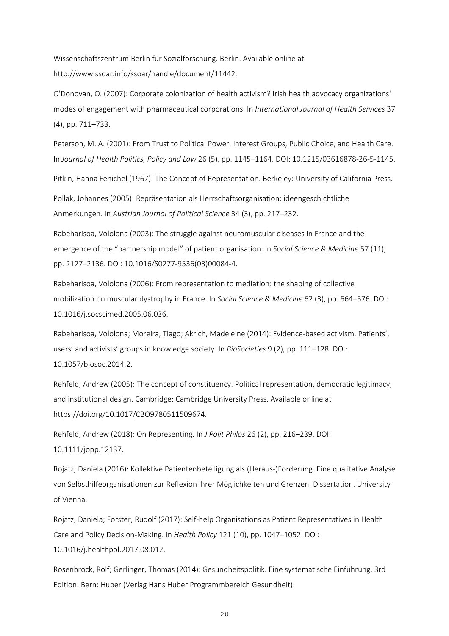Wissenschaftszentrum Berlin für Sozialforschung. Berlin. Available online at http://www.ssoar.info/ssoar/handle/document/11442.

O'Donovan, O. (2007): Corporate colonization of health activism? Irish health advocacy organizations' modes of engagement with pharmaceutical corporations. In *International Journal of Health Services* 37 (4), pp. 711–733.

Peterson, M. A. (2001): From Trust to Political Power. Interest Groups, Public Choice, and Health Care. In *Journal of Health Politics, Policy and Law* 26 (5), pp. 1145–1164. DOI: 10.1215/03616878-26-5-1145.

Pitkin, Hanna Fenichel (1967): The Concept of Representation. Berkeley: University of California Press.

Pollak, Johannes (2005): Repräsentation als Herrschaftsorganisation: ideengeschichtliche Anmerkungen. In *Austrian Journal of Political Science* 34 (3), pp. 217–232.

Rabeharisoa, Vololona (2003): The struggle against neuromuscular diseases in France and the emergence of the "partnership model" of patient organisation. In *Social Science & Medicine* 57 (11), pp. 2127–2136. DOI: 10.1016/S0277-9536(03)00084-4.

Rabeharisoa, Vololona (2006): From representation to mediation: the shaping of collective mobilization on muscular dystrophy in France. In *Social Science & Medicine* 62 (3), pp. 564–576. DOI: 10.1016/j.socscimed.2005.06.036.

Rabeharisoa, Vololona; Moreira, Tiago; Akrich, Madeleine (2014): Evidence-based activism. Patients', users' and activists' groups in knowledge society. In *BioSocieties* 9 (2), pp. 111–128. DOI: 10.1057/biosoc.2014.2.

Rehfeld, Andrew (2005): The concept of constituency. Political representation, democratic legitimacy, and institutional design. Cambridge: Cambridge University Press. Available online at https://doi.org/10.1017/CBO9780511509674.

Rehfeld, Andrew (2018): On Representing. In *J Polit Philos* 26 (2), pp. 216–239. DOI: 10.1111/jopp.12137.

Rojatz, Daniela (2016): Kollektive Patientenbeteiligung als (Heraus-)Forderung. Eine qualitative Analyse von Selbsthilfeorganisationen zur Reflexion ihrer Möglichkeiten und Grenzen. Dissertation. University of Vienna.

Rojatz, Daniela; Forster, Rudolf (2017): Self-help Organisations as Patient Representatives in Health Care and Policy Decision-Making. In *Health Policy* 121 (10), pp. 1047–1052. DOI: 10.1016/j.healthpol.2017.08.012.

Rosenbrock, Rolf; Gerlinger, Thomas (2014): Gesundheitspolitik. Eine systematische Einführung. 3rd Edition. Bern: Huber (Verlag Hans Huber Programmbereich Gesundheit).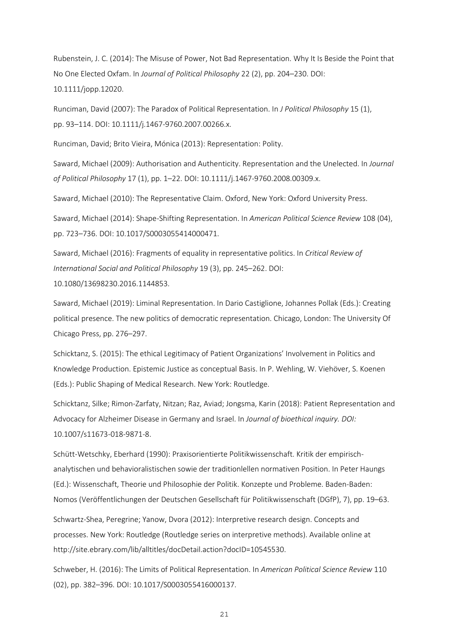Rubenstein, J. C. (2014): The Misuse of Power, Not Bad Representation. Why It Is Beside the Point that No One Elected Oxfam. In *Journal of Political Philosophy* 22 (2), pp. 204–230. DOI: 10.1111/jopp.12020.

Runciman, David (2007): The Paradox of Political Representation. In *J Political Philosophy* 15 (1), pp. 93–114. DOI: 10.1111/j.1467-9760.2007.00266.x.

Runciman, David; Brito Vieira, Mónica (2013): Representation: Polity.

Saward, Michael (2009): Authorisation and Authenticity. Representation and the Unelected. In *Journal of Political Philosophy* 17 (1), pp. 1–22. DOI: 10.1111/j.1467-9760.2008.00309.x.

Saward, Michael (2010): The Representative Claim. Oxford, New York: Oxford University Press.

Saward, Michael (2014): Shape-Shifting Representation. In *American Political Science Review* 108 (04), pp. 723–736. DOI: 10.1017/S0003055414000471.

Saward, Michael (2016): Fragments of equality in representative politics. In *Critical Review of International Social and Political Philosophy* 19 (3), pp. 245–262. DOI: 10.1080/13698230.2016.1144853.

Saward, Michael (2019): Liminal Representation. In Dario Castiglione, Johannes Pollak (Eds.): Creating political presence. The new politics of democratic representation. Chicago, London: The University Of Chicago Press, pp. 276–297.

Schicktanz, S. (2015): The ethical Legitimacy of Patient Organizations' Involvement in Politics and Knowledge Production. Epistemic Justice as conceptual Basis. In P. Wehling, W. Viehöver, S. Koenen (Eds.): Public Shaping of Medical Research. New York: Routledge.

Schicktanz, Silke; Rimon-Zarfaty, Nitzan; Raz, Aviad; Jongsma, Karin (2018): Patient Representation and Advocacy for Alzheimer Disease in Germany and Israel. In *Journal of bioethical inquiry. DOI:*  10.1007/s11673-018-9871-8.

Schütt-Wetschky, Eberhard (1990): Praxisorientierte Politikwissenschaft. Kritik der empirischanalytischen und behavioralistischen sowie der traditionlellen normativen Position. In Peter Haungs (Ed.): Wissenschaft, Theorie und Philosophie der Politik. Konzepte und Probleme. Baden-Baden: Nomos (Veröffentlichungen der Deutschen Gesellschaft für Politikwissenschaft (DGfP), 7), pp. 19–63.

Schwartz-Shea, Peregrine; Yanow, Dvora (2012): Interpretive research design. Concepts and processes. New York: Routledge (Routledge series on interpretive methods). Available online at http://site.ebrary.com/lib/alltitles/docDetail.action?docID=10545530.

Schweber, H. (2016): The Limits of Political Representation. In *American Political Science Review* 110 (02), pp. 382–396. DOI: 10.1017/S0003055416000137.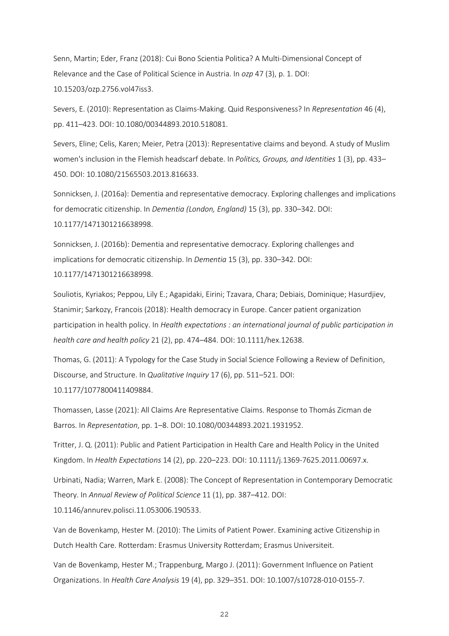Senn, Martin; Eder, Franz (2018): Cui Bono Scientia Politica? A Multi-Dimensional Concept of Relevance and the Case of Political Science in Austria. In *ozp* 47 (3), p. 1. DOI: 10.15203/ozp.2756.vol47iss3.

Severs, E. (2010): Representation as Claims-Making. Quid Responsiveness? In *Representation* 46 (4), pp. 411–423. DOI: 10.1080/00344893.2010.518081.

Severs, Eline; Celis, Karen; Meier, Petra (2013): Representative claims and beyond. A study of Muslim women's inclusion in the Flemish headscarf debate. In *Politics, Groups, and Identities* 1 (3), pp. 433– 450. DOI: 10.1080/21565503.2013.816633.

Sonnicksen, J. (2016a): Dementia and representative democracy. Exploring challenges and implications for democratic citizenship. In *Dementia (London, England)* 15 (3), pp. 330–342. DOI: 10.1177/1471301216638998.

Sonnicksen, J. (2016b): Dementia and representative democracy. Exploring challenges and implications for democratic citizenship. In *Dementia* 15 (3), pp. 330–342. DOI: 10.1177/1471301216638998.

Souliotis, Kyriakos; Peppou, Lily E.; Agapidaki, Eirini; Tzavara, Chara; Debiais, Dominique; Hasurdjiev, Stanimir; Sarkozy, Francois (2018): Health democracy in Europe. Cancer patient organization participation in health policy. In *Health expectations : an international journal of public participation in health care and health policy* 21 (2), pp. 474–484. DOI: 10.1111/hex.12638.

Thomas, G. (2011): A Typology for the Case Study in Social Science Following a Review of Definition, Discourse, and Structure. In *Qualitative Inquiry* 17 (6), pp. 511–521. DOI: 10.1177/1077800411409884.

Thomassen, Lasse (2021): All Claims Are Representative Claims. Response to Thomás Zicman de Barros. In *Representation*, pp. 1–8. DOI: 10.1080/00344893.2021.1931952.

Tritter, J. Q. (2011): Public and Patient Participation in Health Care and Health Policy in the United Kingdom. In *Health Expectations* 14 (2), pp. 220–223. DOI: 10.1111/j.1369-7625.2011.00697.x.

Urbinati, Nadia; Warren, Mark E. (2008): The Concept of Representation in Contemporary Democratic Theory. In *Annual Review of Political Science* 11 (1), pp. 387–412. DOI: 10.1146/annurev.polisci.11.053006.190533.

Van de Bovenkamp, Hester M. (2010): The Limits of Patient Power. Examining active Citizenship in

Dutch Health Care. Rotterdam: Erasmus University Rotterdam; Erasmus Universiteit.

Van de Bovenkamp, Hester M.; Trappenburg, Margo J. (2011): Government Influence on Patient Organizations. In *Health Care Analysis* 19 (4), pp. 329–351. DOI: 10.1007/s10728-010-0155-7.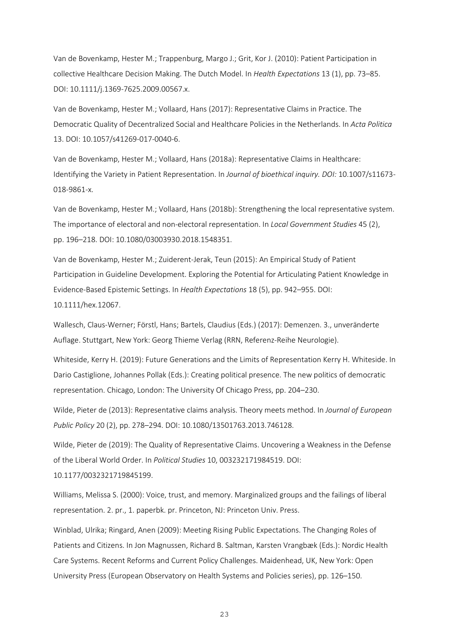Van de Bovenkamp, Hester M.; Trappenburg, Margo J.; Grit, Kor J. (2010): Patient Participation in collective Healthcare Decision Making. The Dutch Model. In *Health Expectations* 13 (1), pp. 73–85. DOI: 10.1111/j.1369-7625.2009.00567.x.

Van de Bovenkamp, Hester M.; Vollaard, Hans (2017): Representative Claims in Practice. The Democratic Quality of Decentralized Social and Healthcare Policies in the Netherlands. In *Acta Politica*  13. DOI: 10.1057/s41269-017-0040-6.

Van de Bovenkamp, Hester M.; Vollaard, Hans (2018a): Representative Claims in Healthcare: Identifying the Variety in Patient Representation. In *Journal of bioethical inquiry. DOI:* 10.1007/s11673- 018-9861-x.

Van de Bovenkamp, Hester M.; Vollaard, Hans (2018b): Strengthening the local representative system. The importance of electoral and non-electoral representation. In *Local Government Studies* 45 (2), pp. 196–218. DOI: 10.1080/03003930.2018.1548351.

Van de Bovenkamp, Hester M.; Zuiderent-Jerak, Teun (2015): An Empirical Study of Patient Participation in Guideline Development. Exploring the Potential for Articulating Patient Knowledge in Evidence-Based Epistemic Settings. In *Health Expectations* 18 (5), pp. 942–955. DOI: 10.1111/hex.12067.

Wallesch, Claus-Werner; Förstl, Hans; Bartels, Claudius (Eds.) (2017): Demenzen. 3., unveränderte Auflage. Stuttgart, New York: Georg Thieme Verlag (RRN, Referenz-Reihe Neurologie).

Whiteside, Kerry H. (2019): Future Generations and the Limits of Representation Kerry H. Whiteside. In Dario Castiglione, Johannes Pollak (Eds.): Creating political presence. The new politics of democratic representation. Chicago, London: The University Of Chicago Press, pp. 204–230.

Wilde, Pieter de (2013): Representative claims analysis. Theory meets method. In *Journal of European Public Policy* 20 (2), pp. 278–294. DOI: 10.1080/13501763.2013.746128.

Wilde, Pieter de (2019): The Quality of Representative Claims. Uncovering a Weakness in the Defense of the Liberal World Order. In *Political Studies* 10, 003232171984519. DOI: 10.1177/0032321719845199.

Williams, Melissa S. (2000): Voice, trust, and memory. Marginalized groups and the failings of liberal representation. 2. pr., 1. paperbk. pr. Princeton, NJ: Princeton Univ. Press.

Winblad, Ulrika; Ringard, Anen (2009): Meeting Rising Public Expectations. The Changing Roles of Patients and Citizens. In Jon Magnussen, Richard B. Saltman, Karsten Vrangbæk (Eds.): Nordic Health Care Systems. Recent Reforms and Current Policy Challenges. Maidenhead, UK, New York: Open University Press (European Observatory on Health Systems and Policies series), pp. 126–150.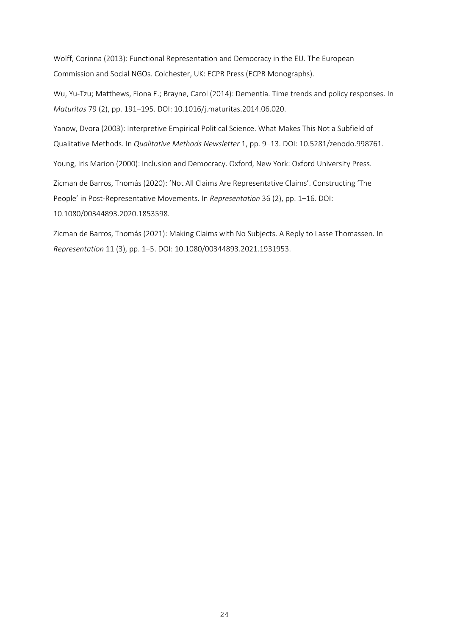Wolff, Corinna (2013): Functional Representation and Democracy in the EU. The European Commission and Social NGOs. Colchester, UK: ECPR Press (ECPR Monographs).

Wu, Yu-Tzu; Matthews, Fiona E.; Brayne, Carol (2014): Dementia. Time trends and policy responses. In *Maturitas* 79 (2), pp. 191–195. DOI: 10.1016/j.maturitas.2014.06.020.

Yanow, Dvora (2003): Interpretive Empirical Political Science. What Makes This Not a Subfield of Qualitative Methods. In *Qualitative Methods Newsletter* 1, pp. 9–13. DOI: 10.5281/zenodo.998761.

Young, Iris Marion (2000): Inclusion and Democracy. Oxford, New York: Oxford University Press.

Zicman de Barros, Thomás (2020): 'Not All Claims Are Representative Claims'. Constructing 'The

People' in Post-Representative Movements. In *Representation* 36 (2), pp. 1–16. DOI:

10.1080/00344893.2020.1853598.

Zicman de Barros, Thomás (2021): Making Claims with No Subjects. A Reply to Lasse Thomassen. In *Representation* 11 (3), pp. 1–5. DOI: 10.1080/00344893.2021.1931953.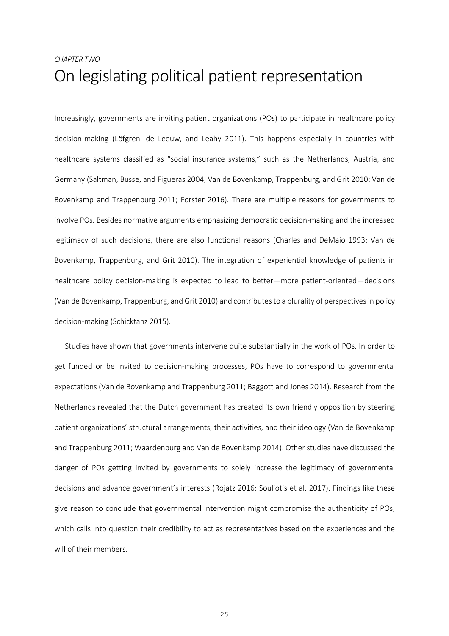### *CHAPTER TWO*  On legislating political patient representation

Increasingly, governments are inviting patient organizations (POs) to participate in healthcare policy decision-making (Löfgren, de Leeuw, and Leahy 2011). This happens especially in countries with healthcare systems classified as "social insurance systems," such as the Netherlands, Austria, and Germany (Saltman, Busse, and Figueras 2004; Van de Bovenkamp, Trappenburg, and Grit 2010; Van de Bovenkamp and Trappenburg 2011; Forster 2016). There are multiple reasons for governments to involve POs. Besides normative arguments emphasizing democratic decision-making and the increased legitimacy of such decisions, there are also functional reasons (Charles and DeMaio 1993; Van de Bovenkamp, Trappenburg, and Grit 2010). The integration of experiential knowledge of patients in healthcare policy decision-making is expected to lead to better—more patient-oriented—decisions (Van de Bovenkamp, Trappenburg, and Grit 2010) and contributes to a plurality of perspectives in policy decision-making (Schicktanz 2015).

Studies have shown that governments intervene quite substantially in the work of POs. In order to get funded or be invited to decision-making processes, POs have to correspond to governmental expectations (Van de Bovenkamp and Trappenburg 2011; Baggott and Jones 2014). Research from the Netherlands revealed that the Dutch government has created its own friendly opposition by steering patient organizations' structural arrangements, their activities, and their ideology (Van de Bovenkamp and Trappenburg 2011; Waardenburg and Van de Bovenkamp 2014). Other studies have discussed the danger of POs getting invited by governments to solely increase the legitimacy of governmental decisions and advance government's interests (Rojatz 2016; Souliotis et al. 2017). Findings like these give reason to conclude that governmental intervention might compromise the authenticity of POs, which calls into question their credibility to act as representatives based on the experiences and the will of their members.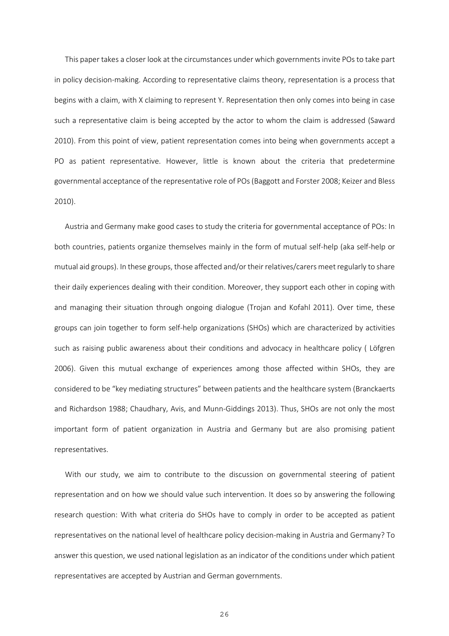This paper takes a closer look at the circumstances under which governments invite POs to take part in policy decision-making. According to representative claims theory, representation is a process that begins with a claim, with X claiming to represent Y. Representation then only comes into being in case such a representative claim is being accepted by the actor to whom the claim is addressed (Saward 2010). From this point of view, patient representation comes into being when governments accept a PO as patient representative. However, little is known about the criteria that predetermine governmental acceptance of the representative role of POs (Baggott and Forster 2008; Keizer and Bless 2010).

Austria and Germany make good cases to study the criteria for governmental acceptance of POs: In both countries, patients organize themselves mainly in the form of mutual self-help (aka self-help or mutual aid groups). In these groups, those affected and/or their relatives/carers meet regularly to share their daily experiences dealing with their condition. Moreover, they support each other in coping with and managing their situation through ongoing dialogue (Trojan and Kofahl 2011). Over time, these groups can join together to form self-help organizations (SHOs) which are characterized by activities such as raising public awareness about their conditions and advocacy in healthcare policy ( Löfgren 2006). Given this mutual exchange of experiences among those affected within SHOs, they are considered to be "key mediating structures" between patients and the healthcare system (Branckaerts and Richardson 1988; Chaudhary, Avis, and Munn-Giddings 2013). Thus, SHOs are not only the most important form of patient organization in Austria and Germany but are also promising patient representatives.

With our study, we aim to contribute to the discussion on governmental steering of patient representation and on how we should value such intervention. It does so by answering the following research question: With what criteria do SHOs have to comply in order to be accepted as patient representatives on the national level of healthcare policy decision-making in Austria and Germany? To answer this question, we used national legislation as an indicator of the conditions under which patient representatives are accepted by Austrian and German governments.

26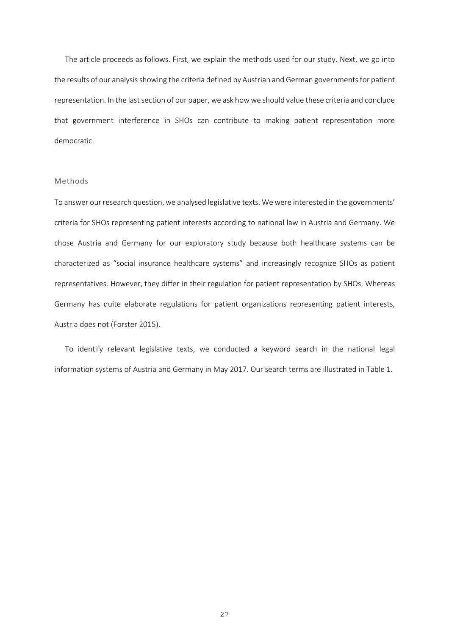The article proceeds as follows. First, we explain the methods used for our study. Next, we go into the results of our analysis showing the criteria defined by Austrian and German governments for patient representation. In the last section of our paper, we ask how we should value these criteria and conclude that government interference in SHOs can contribute to making patient representation more democratic.

### Methods

To answer our research question, we analysed legislative texts. We were interested in the governments' criteria for SHOs representing patient interests according to national law in Austria and Germany. We chose Austria and Germany for our exploratory study because both healthcare systems can be characterized as "social insurance healthcare systems" and increasingly recognize SHOs as patient representatives. However, they differ in their regulation for patient representation by SHOs. Whereas Germany has quite elaborate regulations for patient organizations representing patient interests, Austria does not (Forster 2015).

To identify relevant legislative texts, we conducted a keyword search in the national legal information systems of Austria and Germany in May 2017. Our search terms are illustrated in Table 1.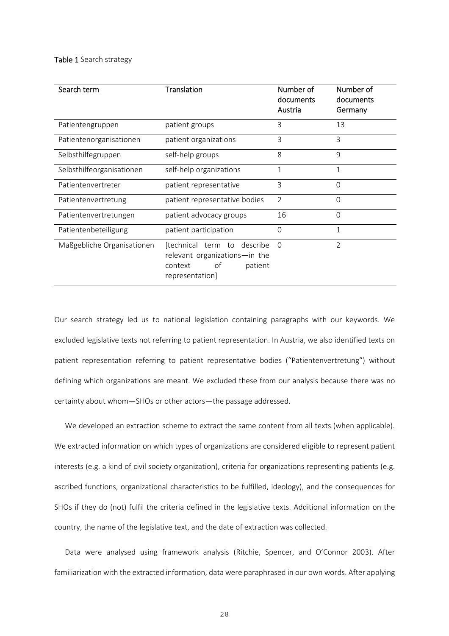#### Table 1 Search strategy

| Search term                | Translation                                                                                                       | Number of<br>documents<br>Austria | Number of<br>documents<br>Germany |
|----------------------------|-------------------------------------------------------------------------------------------------------------------|-----------------------------------|-----------------------------------|
| Patientengruppen           | patient groups                                                                                                    | 3                                 | 13                                |
| Patientenorganisationen    | patient organizations                                                                                             | 3                                 | 3                                 |
| Selbsthilfegruppen         | self-help groups                                                                                                  | 8                                 | 9                                 |
| Selbsthilfeorganisationen  | self-help organizations                                                                                           | 1                                 | 1                                 |
| Patientenvertreter         | patient representative                                                                                            | 3                                 | 0                                 |
| Patientenvertretung        | patient representative bodies                                                                                     | $\overline{2}$                    | $\Omega$                          |
| Patientenvertretungen      | patient advocacy groups                                                                                           | 16                                | $\Omega$                          |
| Patientenbeteiligung       | patient participation                                                                                             | 0                                 | 1                                 |
| Maßgebliche Organisationen | describe<br>[technical]<br>term to<br>relevant organizations-in the<br>patient<br>context<br>оf<br>representation | $\Omega$                          | $\overline{2}$                    |

Our search strategy led us to national legislation containing paragraphs with our keywords. We excluded legislative texts not referring to patient representation. In Austria, we also identified texts on patient representation referring to patient representative bodies ("Patientenvertretung") without defining which organizations are meant. We excluded these from our analysis because there was no certainty about whom—SHOs or other actors—the passage addressed.

We developed an extraction scheme to extract the same content from all texts (when applicable). We extracted information on which types of organizations are considered eligible to represent patient interests (e.g. a kind of civil society organization), criteria for organizations representing patients (e.g. ascribed functions, organizational characteristics to be fulfilled, ideology), and the consequences for SHOs if they do (not) fulfil the criteria defined in the legislative texts. Additional information on the country, the name of the legislative text, and the date of extraction was collected.

Data were analysed using framework analysis (Ritchie, Spencer, and O'Connor 2003). After familiarization with the extracted information, data were paraphrased in our own words. After applying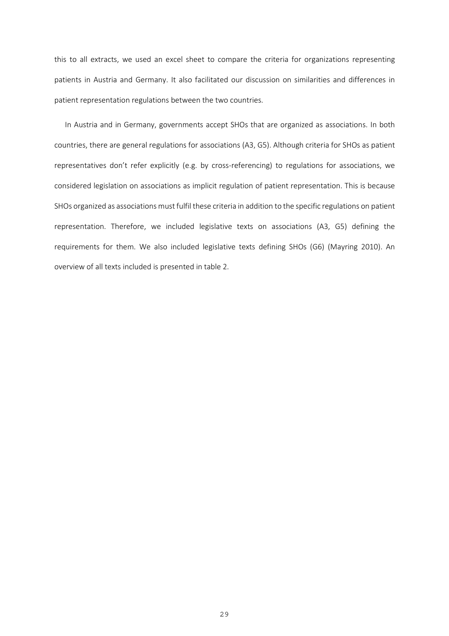this to all extracts, we used an excel sheet to compare the criteria for organizations representing patients in Austria and Germany. It also facilitated our discussion on similarities and differences in patient representation regulations between the two countries.

In Austria and in Germany, governments accept SHOs that are organized as associations. In both countries, there are general regulations for associations (A3, G5). Although criteria for SHOs as patient representatives don't refer explicitly (e.g. by cross-referencing) to regulations for associations, we considered legislation on associations as implicit regulation of patient representation. This is because SHOs organized as associations must fulfil these criteria in addition to the specific regulations on patient representation. Therefore, we included legislative texts on associations (A3, G5) defining the requirements for them. We also included legislative texts defining SHOs (G6) (Mayring 2010). An overview of all texts included is presented in table 2.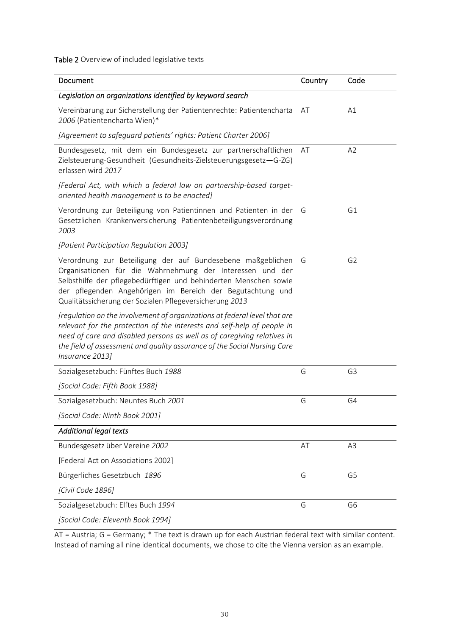Table 2 Overview of included legislative texts

| Document                                                                                                                                                                                                                                                                                                                       | Country | Code           |  |  |
|--------------------------------------------------------------------------------------------------------------------------------------------------------------------------------------------------------------------------------------------------------------------------------------------------------------------------------|---------|----------------|--|--|
| Legislation on organizations identified by keyword search                                                                                                                                                                                                                                                                      |         |                |  |  |
| Vereinbarung zur Sicherstellung der Patientenrechte: Patientencharta<br>2006 (Patientencharta Wien)*                                                                                                                                                                                                                           | - AT    | A1             |  |  |
| [Agreement to safeguard patients' rights: Patient Charter 2006]                                                                                                                                                                                                                                                                |         |                |  |  |
| Bundesgesetz, mit dem ein Bundesgesetz zur partnerschaftlichen<br>Zielsteuerung-Gesundheit (Gesundheits-Zielsteuerungsgesetz-G-ZG)<br>erlassen wird 2017                                                                                                                                                                       | AT      | A2             |  |  |
| [Federal Act, with which a federal law on partnership-based target-<br>oriented health management is to be enacted]                                                                                                                                                                                                            |         |                |  |  |
| Verordnung zur Beteiligung von Patientinnen und Patienten in der<br>Gesetzlichen Krankenversicherung Patientenbeteiligungsverordnung<br>2003                                                                                                                                                                                   | G       | G1             |  |  |
| [Patient Participation Regulation 2003]                                                                                                                                                                                                                                                                                        |         |                |  |  |
| Verordnung zur Beteiligung der auf Bundesebene maßgeblichen<br>Organisationen für die Wahrnehmung der Interessen und der<br>Selbsthilfe der pflegebedürftigen und behinderten Menschen sowie<br>der pflegenden Angehörigen im Bereich der Begutachtung und<br>Qualitätssicherung der Sozialen Pflegeversicherung 2013          | G       | G <sub>2</sub> |  |  |
| [regulation on the involvement of organizations at federal level that are<br>relevant for the protection of the interests and self-help of people in<br>need of care and disabled persons as well as of caregiving relatives in<br>the field of assessment and quality assurance of the Social Nursing Care<br>Insurance 2013] |         |                |  |  |
| Sozialgesetzbuch: Fünftes Buch 1988                                                                                                                                                                                                                                                                                            | G       | G <sub>3</sub> |  |  |
| [Social Code: Fifth Book 1988]                                                                                                                                                                                                                                                                                                 |         |                |  |  |
| Sozialgesetzbuch: Neuntes Buch 2001                                                                                                                                                                                                                                                                                            | G       | G4             |  |  |
| [Social Code: Ninth Book 2001]                                                                                                                                                                                                                                                                                                 |         |                |  |  |
| <b>Additional legal texts</b>                                                                                                                                                                                                                                                                                                  |         |                |  |  |
| Bundesgesetz über Vereine 2002                                                                                                                                                                                                                                                                                                 | AT      | A3             |  |  |
| [Federal Act on Associations 2002]                                                                                                                                                                                                                                                                                             |         |                |  |  |
| Bürgerliches Gesetzbuch 1896                                                                                                                                                                                                                                                                                                   | G       | G <sub>5</sub> |  |  |
| [Civil Code 1896]                                                                                                                                                                                                                                                                                                              |         |                |  |  |
| Sozialgesetzbuch: Elftes Buch 1994                                                                                                                                                                                                                                                                                             | G       | G <sub>6</sub> |  |  |
| [Social Code: Eleventh Book 1994]                                                                                                                                                                                                                                                                                              |         |                |  |  |

AT = Austria; G = Germany; \* The text is drawn up for each Austrian federal text with similar content. Instead of naming all nine identical documents, we chose to cite the Vienna version as an example.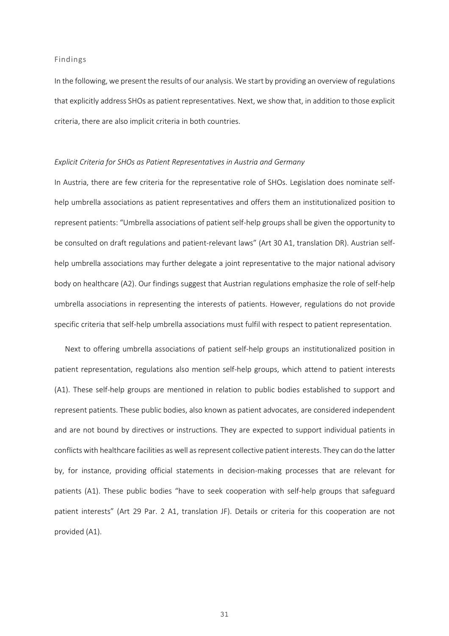#### Findings

In the following, we present the results of our analysis. We start by providing an overview of regulations that explicitly address SHOs as patient representatives. Next, we show that, in addition to those explicit criteria, there are also implicit criteria in both countries.

### *Explicit Criteria for SHOs as Patient Representatives in Austria and Germany*

In Austria, there are few criteria for the representative role of SHOs. Legislation does nominate selfhelp umbrella associations as patient representatives and offers them an institutionalized position to represent patients: "Umbrella associations of patient self-help groups shall be given the opportunity to be consulted on draft regulations and patient-relevant laws" (Art 30 A1, translation DR). Austrian selfhelp umbrella associations may further delegate a joint representative to the major national advisory body on healthcare (A2). Our findings suggest that Austrian regulations emphasize the role of self-help umbrella associations in representing the interests of patients. However, regulations do not provide specific criteria that self-help umbrella associations must fulfil with respect to patient representation.

Next to offering umbrella associations of patient self-help groups an institutionalized position in patient representation, regulations also mention self-help groups, which attend to patient interests (A1). These self-help groups are mentioned in relation to public bodies established to support and represent patients. These public bodies, also known as patient advocates, are considered independent and are not bound by directives or instructions. They are expected to support individual patients in conflicts with healthcare facilities as well as represent collective patient interests. They can do the latter by, for instance, providing official statements in decision-making processes that are relevant for patients (A1). These public bodies "have to seek cooperation with self-help groups that safeguard patient interests" (Art 29 Par. 2 A1, translation JF). Details or criteria for this cooperation are not provided (A1).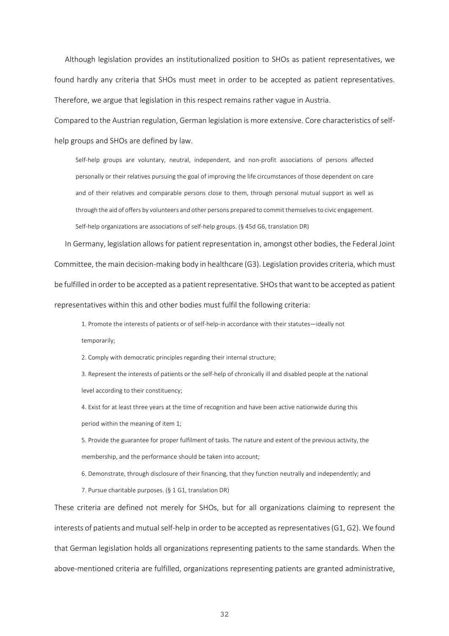Although legislation provides an institutionalized position to SHOs as patient representatives, we found hardly any criteria that SHOs must meet in order to be accepted as patient representatives. Therefore, we argue that legislation in this respect remains rather vague in Austria.

Compared to the Austrian regulation, German legislation is more extensive. Core characteristics of selfhelp groups and SHOs are defined by law.

Self-help groups are voluntary, neutral, independent, and non-profit associations of persons affected personally or their relatives pursuing the goal of improving the life circumstances of those dependent on care and of their relatives and comparable persons close to them, through personal mutual support as well as through the aid of offers by volunteers and other persons prepared to commit themselves to civic engagement. Self-help organizations are associations of self-help groups. (§ 45d G6, translation DR)

In Germany, legislation allows for patient representation in, amongst other bodies, the Federal Joint Committee, the main decision-making body in healthcare (G3). Legislation provides criteria, which must be fulfilled in order to be accepted as a patient representative. SHOs that want to be accepted as patient representatives within this and other bodies must fulfil the following criteria:

1. Promote the interests of patients or of self-help-in accordance with their statutes—ideally not

temporarily;

2. Comply with democratic principles regarding their internal structure;

3. Represent the interests of patients or the self-help of chronically ill and disabled people at the national level according to their constituency;

4. Exist for at least three years at the time of recognition and have been active nationwide during this period within the meaning of item 1;

5. Provide the guarantee for proper fulfilment of tasks. The nature and extent of the previous activity, the membership, and the performance should be taken into account;

6. Demonstrate, through disclosure of their financing, that they function neutrally and independently; and

7. Pursue charitable purposes. (§ 1 G1, translation DR)

These criteria are defined not merely for SHOs, but for all organizations claiming to represent the interests of patients and mutual self-help in order to be accepted as representatives (G1, G2). We found that German legislation holds all organizations representing patients to the same standards. When the above-mentioned criteria are fulfilled, organizations representing patients are granted administrative,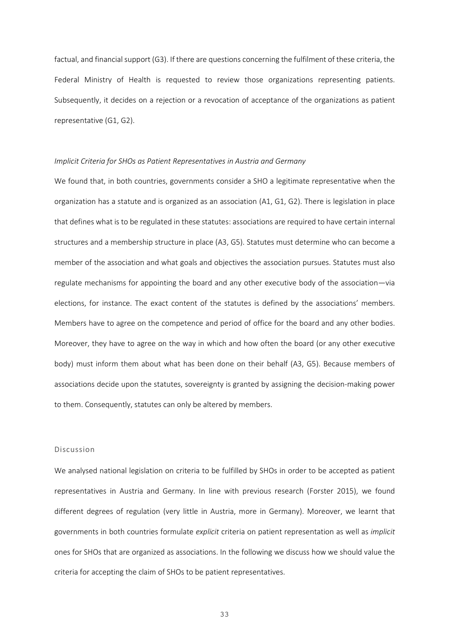factual, and financial support (G3). If there are questions concerning the fulfilment of these criteria, the Federal Ministry of Health is requested to review those organizations representing patients. Subsequently, it decides on a rejection or a revocation of acceptance of the organizations as patient representative (G1, G2).

### *Implicit Criteria for SHOs as Patient Representatives in Austria and Germany*

We found that, in both countries, governments consider a SHO a legitimate representative when the organization has a statute and is organized as an association (A1, G1, G2). There is legislation in place that defines what is to be regulated in these statutes: associations are required to have certain internal structures and a membership structure in place (A3, G5). Statutes must determine who can become a member of the association and what goals and objectives the association pursues. Statutes must also regulate mechanisms for appointing the board and any other executive body of the association—via elections, for instance. The exact content of the statutes is defined by the associations' members. Members have to agree on the competence and period of office for the board and any other bodies. Moreover, they have to agree on the way in which and how often the board (or any other executive body) must inform them about what has been done on their behalf (A3, G5). Because members of associations decide upon the statutes, sovereignty is granted by assigning the decision-making power to them. Consequently, statutes can only be altered by members.

### Discussion

We analysed national legislation on criteria to be fulfilled by SHOs in order to be accepted as patient representatives in Austria and Germany. In line with previous research (Forster 2015), we found different degrees of regulation (very little in Austria, more in Germany). Moreover, we learnt that governments in both countries formulate *explicit* criteria on patient representation as well as *implicit* ones for SHOs that are organized as associations. In the following we discuss how we should value the criteria for accepting the claim of SHOs to be patient representatives.

33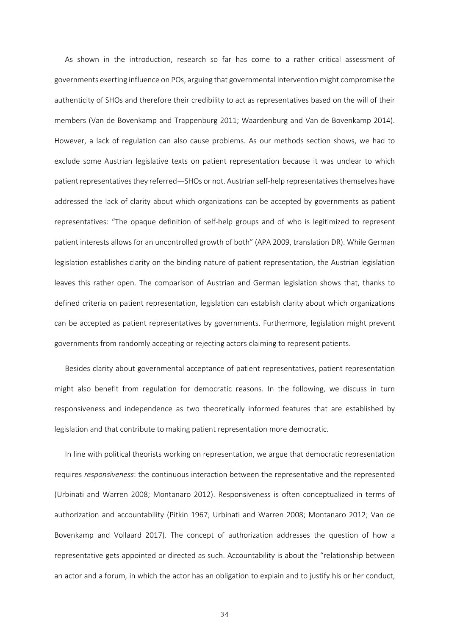As shown in the introduction, research so far has come to a rather critical assessment of governments exerting influence on POs, arguing that governmental intervention might compromise the authenticity of SHOs and therefore their credibility to act as representatives based on the will of their members (Van de Bovenkamp and Trappenburg 2011; Waardenburg and Van de Bovenkamp 2014). However, a lack of regulation can also cause problems. As our methods section shows, we had to exclude some Austrian legislative texts on patient representation because it was unclear to which patient representatives they referred—SHOs or not. Austrian self-help representatives themselves have addressed the lack of clarity about which organizations can be accepted by governments as patient representatives: "The opaque definition of self-help groups and of who is legitimized to represent patient interests allows for an uncontrolled growth of both" (APA 2009, translation DR). While German legislation establishes clarity on the binding nature of patient representation, the Austrian legislation leaves this rather open. The comparison of Austrian and German legislation shows that, thanks to defined criteria on patient representation, legislation can establish clarity about which organizations can be accepted as patient representatives by governments. Furthermore, legislation might prevent governments from randomly accepting or rejecting actors claiming to represent patients.

Besides clarity about governmental acceptance of patient representatives, patient representation might also benefit from regulation for democratic reasons. In the following, we discuss in turn responsiveness and independence as two theoretically informed features that are established by legislation and that contribute to making patient representation more democratic.

In line with political theorists working on representation, we argue that democratic representation requires *responsiveness*: the continuous interaction between the representative and the represented (Urbinati and Warren 2008; Montanaro 2012). Responsiveness is often conceptualized in terms of authorization and accountability (Pitkin 1967; Urbinati and Warren 2008; Montanaro 2012; Van de Bovenkamp and Vollaard 2017). The concept of authorization addresses the question of how a representative gets appointed or directed as such. Accountability is about the "relationship between an actor and a forum, in which the actor has an obligation to explain and to justify his or her conduct,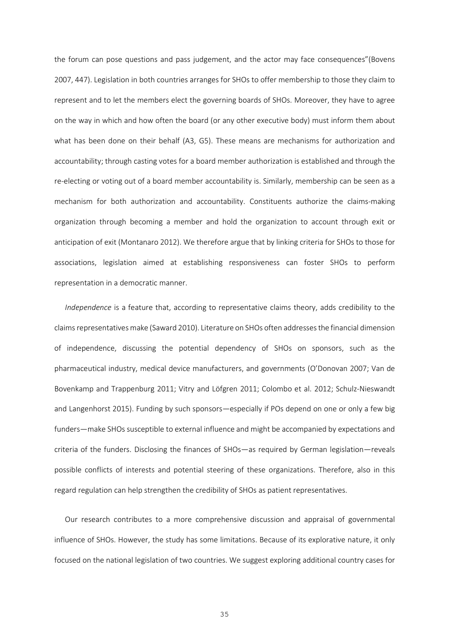the forum can pose questions and pass judgement, and the actor may face consequences"(Bovens 2007, 447). Legislation in both countries arranges for SHOs to offer membership to those they claim to represent and to let the members elect the governing boards of SHOs. Moreover, they have to agree on the way in which and how often the board (or any other executive body) must inform them about what has been done on their behalf (A3, G5). These means are mechanisms for authorization and accountability; through casting votes for a board member authorization is established and through the re-electing or voting out of a board member accountability is. Similarly, membership can be seen as a mechanism for both authorization and accountability. Constituents authorize the claims-making organization through becoming a member and hold the organization to account through exit or anticipation of exit (Montanaro 2012). We therefore argue that by linking criteria for SHOs to those for associations, legislation aimed at establishing responsiveness can foster SHOs to perform representation in a democratic manner.

*Independence* is a feature that, according to representative claims theory, adds credibility to the claims representatives make (Saward 2010). Literature on SHOs often addresses the financial dimension of independence, discussing the potential dependency of SHOs on sponsors, such as the pharmaceutical industry, medical device manufacturers, and governments (O'Donovan 2007; Van de Bovenkamp and Trappenburg 2011; Vitry and Löfgren 2011; Colombo et al. 2012; Schulz-Nieswandt and Langenhorst 2015). Funding by such sponsors—especially if POs depend on one or only a few big funders—make SHOs susceptible to external influence and might be accompanied by expectations and criteria of the funders. Disclosing the finances of SHOs—as required by German legislation—reveals possible conflicts of interests and potential steering of these organizations. Therefore, also in this regard regulation can help strengthen the credibility of SHOs as patient representatives.

Our research contributes to a more comprehensive discussion and appraisal of governmental influence of SHOs. However, the study has some limitations. Because of its explorative nature, it only focused on the national legislation of two countries. We suggest exploring additional country cases for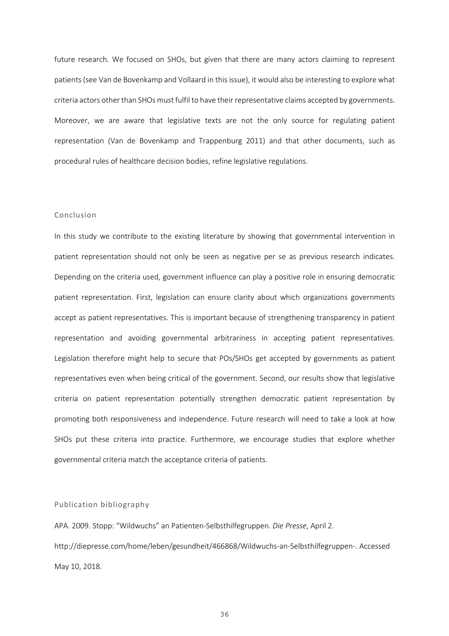future research. We focused on SHOs, but given that there are many actors claiming to represent patients (see Van de Bovenkamp and Vollaard in this issue), it would also be interesting to explore what criteria actors other than SHOs must fulfil to have their representative claims accepted by governments. Moreover, we are aware that legislative texts are not the only source for regulating patient representation (Van de Bovenkamp and Trappenburg 2011) and that other documents, such as procedural rules of healthcare decision bodies, refine legislative regulations.

#### Conclusion

In this study we contribute to the existing literature by showing that governmental intervention in patient representation should not only be seen as negative per se as previous research indicates. Depending on the criteria used, government influence can play a positive role in ensuring democratic patient representation. First, legislation can ensure clarity about which organizations governments accept as patient representatives. This is important because of strengthening transparency in patient representation and avoiding governmental arbitrariness in accepting patient representatives. Legislation therefore might help to secure that POs/SHOs get accepted by governments as patient representatives even when being critical of the government. Second, our results show that legislative criteria on patient representation potentially strengthen democratic patient representation by promoting both responsiveness and independence. Future research will need to take a look at how SHOs put these criteria into practice. Furthermore, we encourage studies that explore whether governmental criteria match the acceptance criteria of patients.

#### Publication bibliography

APA. 2009. Stopp: "Wildwuchs" an Patienten-Selbsthilfegruppen. *Die Presse*, April 2. http://diepresse.com/home/leben/gesundheit/466868/Wildwuchs-an-Selbsthilfegruppen-. Accessed May 10, 2018.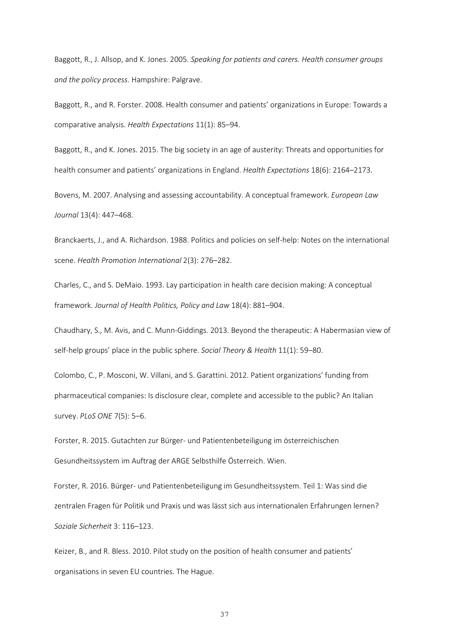Baggott, R., J. Allsop, and K. Jones. 2005. *Speaking for patients and carers. Health consumer groups and the policy process*. Hampshire: Palgrave.

Baggott, R., and R. Forster. 2008. Health consumer and patients' organizations in Europe: Towards a comparative analysis. *Health Expectations* 11(1): 85–94.

Baggott, R., and K. Jones. 2015. The big society in an age of austerity: Threats and opportunities for health consumer and patients' organizations in England. *Health Expectations* 18(6): 2164–2173.

Bovens, M. 2007. Analysing and assessing accountability. A conceptual framework. *European Law Journal* 13(4): 447–468.

Branckaerts, J., and A. Richardson. 1988. Politics and policies on self-help: Notes on the international scene. *Health Promotion International* 2(3): 276–282.

Charles, C., and S. DeMaio. 1993. Lay participation in health care decision making: A conceptual framework. *Journal of Health Politics, Policy and Law* 18(4): 881–904.

Chaudhary, S., M. Avis, and C. Munn-Giddings. 2013. Beyond the therapeutic: A Habermasian view of self-help groups' place in the public sphere. *Social Theory & Health* 11(1): 59–80.

Colombo, C., P. Mosconi, W. Villani, and S. Garattini. 2012. Patient organizations' funding from pharmaceutical companies: Is disclosure clear, complete and accessible to the public? An Italian survey. *PLoS ONE* 7(5): 5–6.

Forster, R. 2015. Gutachten zur Bürger- und Patientenbeteiligung im österreichischen Gesundheitssystem im Auftrag der ARGE Selbsthilfe Österreich. Wien.

Forster, R. 2016. Bürger- und Patientenbeteiligung im Gesundheitssystem. Teil 1: Was sind die zentralen Fragen für Politik und Praxis und was lässt sich aus internationalen Erfahrungen lernen? *Soziale Sicherheit* 3: 116–123.

Keizer, B., and R. Bless. 2010. Pilot study on the position of health consumer and patients' organisations in seven EU countries. The Hague.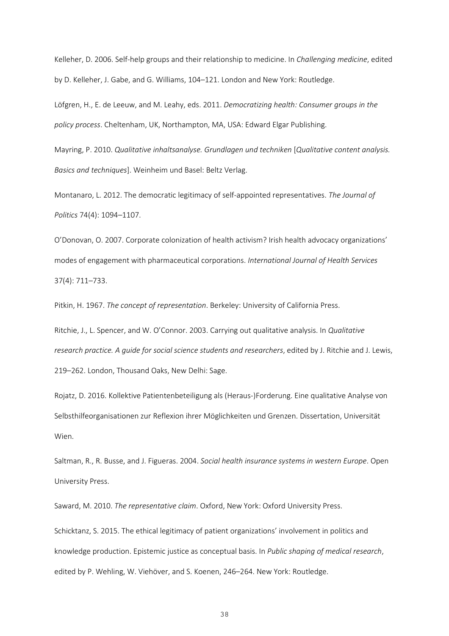Kelleher, D. 2006. Self-help groups and their relationship to medicine. In *Challenging medicine*, edited by D. Kelleher, J. Gabe, and G. Williams, 104–121. London and New York: Routledge.

Löfgren, H., E. de Leeuw, and M. Leahy, eds. 2011. *Democratizing health: Consumer groups in the policy process*. Cheltenham, UK, Northampton, MA, USA: Edward Elgar Publishing.

Mayring, P. 2010. *Qualitative inhaltsanalyse. Grundlagen und techniken* [*Qualitative content analysis. Basics and techniques*]. Weinheim und Basel: Beltz Verlag.

Montanaro, L. 2012. The democratic legitimacy of self-appointed representatives. *The Journal of Politics* 74(4): 1094–1107.

O'Donovan, O. 2007. Corporate colonization of health activism? Irish health advocacy organizations' modes of engagement with pharmaceutical corporations. *International Journal of Health Services* 37(4): 711–733.

Pitkin, H. 1967. *The concept of representation*. Berkeley: University of California Press.

Ritchie, J., L. Spencer, and W. O'Connor. 2003. Carrying out qualitative analysis. In *Qualitative research practice. A guide for social science students and researchers*, edited by J. Ritchie and J. Lewis, 219–262. London, Thousand Oaks, New Delhi: Sage.

Rojatz, D. 2016. Kollektive Patientenbeteiligung als (Heraus-)Forderung. Eine qualitative Analyse von Selbsthilfeorganisationen zur Reflexion ihrer Möglichkeiten und Grenzen. Dissertation, Universität Wien.

Saltman, R., R. Busse, and J. Figueras. 2004. *Social health insurance systems in western Europe*. Open University Press.

Saward, M. 2010. *The representative claim*. Oxford, New York: Oxford University Press.

Schicktanz, S. 2015. The ethical legitimacy of patient organizations' involvement in politics and knowledge production. Epistemic justice as conceptual basis. In *Public shaping of medical research*, edited by P. Wehling, W. Viehöver, and S. Koenen, 246–264. New York: Routledge.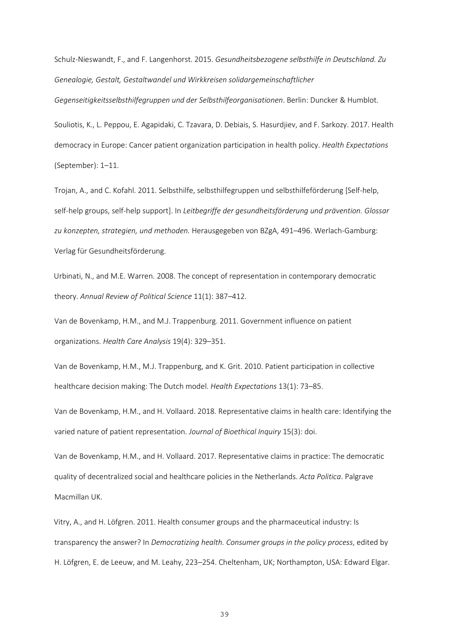Schulz-Nieswandt, F., and F. Langenhorst. 2015. *Gesundheitsbezogene selbsthilfe in Deutschland. Zu Genealogie, Gestalt, Gestaltwandel und Wirkkreisen solidargemeinschaftlicher* 

*Gegenseitigkeitsselbsthilfegruppen und der Selbsthilfeorganisationen*. Berlin: Duncker & Humblot.

Souliotis, K., L. Peppou, E. Agapidaki, C. Tzavara, D. Debiais, S. Hasurdjiev, and F. Sarkozy. 2017. Health democracy in Europe: Cancer patient organization participation in health policy. *Health Expectations* (September): 1–11.

Trojan, A., and C. Kofahl. 2011. Selbsthilfe, selbsthilfegruppen und selbsthilfeförderung [Self-help, self-help groups, self-help support]. In *Leitbegriffe der gesundheitsförderung und prävention. Glossar zu konzepten, strategien, und methoden.* Herausgegeben von BZgA, 491–496. Werlach-Gamburg: Verlag für Gesundheitsförderung.

Urbinati, N., and M.E. Warren. 2008. The concept of representation in contemporary democratic theory. *Annual Review of Political Science* 11(1): 387–412.

Van de Bovenkamp, H.M., and M.J. Trappenburg. 2011. Government influence on patient organizations. *Health Care Analysis* 19(4): 329–351.

Van de Bovenkamp, H.M., M.J. Trappenburg, and K. Grit. 2010. Patient participation in collective healthcare decision making: The Dutch model. *Health Expectations* 13(1): 73–85.

Van de Bovenkamp, H.M., and H. Vollaard. 2018. Representative claims in health care: Identifying the varied nature of patient representation. *Journal of Bioethical Inquiry* 15(3): doi.

Van de Bovenkamp, H.M., and H. Vollaard. 2017. Representative claims in practice: The democratic quality of decentralized social and healthcare policies in the Netherlands. *Acta Politica*. Palgrave Macmillan UK.

Vitry, A., and H. Löfgren. 2011. Health consumer groups and the pharmaceutical industry: Is transparency the answer? In *Democratizing health. Consumer groups in the policy process*, edited by H. Löfgren, E. de Leeuw, and M. Leahy, 223–254. Cheltenham, UK; Northampton, USA: Edward Elgar.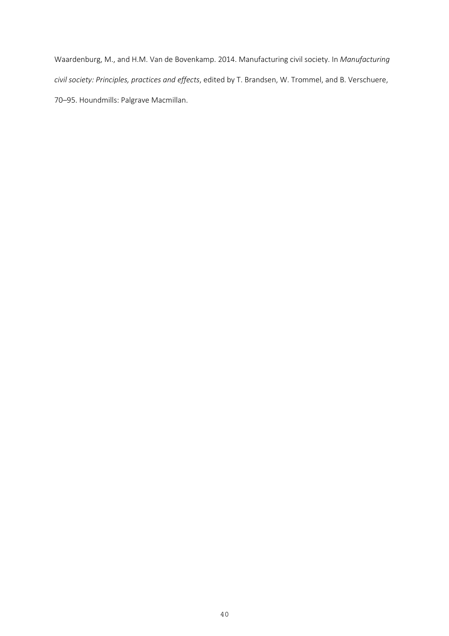Waardenburg, M., and H.M. Van de Bovenkamp. 2014. Manufacturing civil society. In *Manufacturing civil society: Principles, practices and effects*, edited by T. Brandsen, W. Trommel, and B. Verschuere, 70–95. Houndmills: Palgrave Macmillan.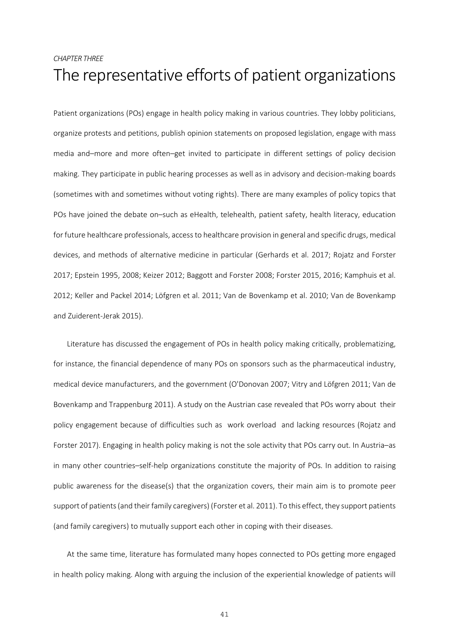# *CHAPTER THREE*  The representative efforts of patient organizations

Patient organizations (POs) engage in health policy making in various countries. They lobby politicians, organize protests and petitions, publish opinion statements on proposed legislation, engage with mass media and–more and more often–get invited to participate in different settings of policy decision making. They participate in public hearing processes as well as in advisory and decision-making boards (sometimes with and sometimes without voting rights). There are many examples of policy topics that POs have joined the debate on–such as eHealth, telehealth, patient safety, health literacy, education for future healthcare professionals, access to healthcare provision in general and specific drugs, medical devices, and methods of alternative medicine in particular (Gerhards et al. 2017; Rojatz and Forster 2017; Epstein 1995, 2008; Keizer 2012; Baggott and Forster 2008; Forster 2015, 2016; Kamphuis et al. 2012; Keller and Packel 2014; Löfgren et al. 2011; Van de Bovenkamp et al. 2010; Van de Bovenkamp and Zuiderent-Jerak 2015).

Literature has discussed the engagement of POs in health policy making critically, problematizing, for instance, the financial dependence of many POs on sponsors such as the pharmaceutical industry, medical device manufacturers, and the government (O'Donovan 2007; Vitry and Löfgren 2011; Van de Bovenkamp and Trappenburg 2011). A study on the Austrian case revealed that POs worry about their policy engagement because of difficulties such as work overload and lacking resources (Rojatz and Forster 2017). Engaging in health policy making is not the sole activity that POs carry out. In Austria–as in many other countries–self-help organizations constitute the majority of POs. In addition to raising public awareness for the disease(s) that the organization covers, their main aim is to promote peer support of patients (and their family caregivers) (Forster et al. 2011). To this effect, they support patients (and family caregivers) to mutually support each other in coping with their diseases.

At the same time, literature has formulated many hopes connected to POs getting more engaged in health policy making. Along with arguing the inclusion of the experiential knowledge of patients will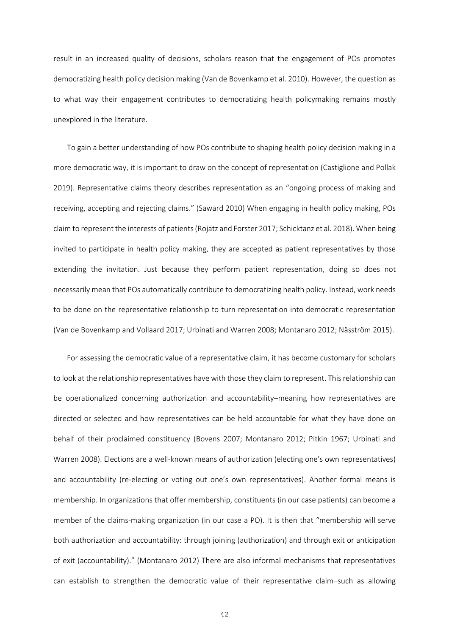result in an increased quality of decisions, scholars reason that the engagement of POs promotes democratizing health policy decision making (Van de Bovenkamp et al. 2010). However, the question as to what way their engagement contributes to democratizing health policymaking remains mostly unexplored in the literature.

To gain a better understanding of how POs contribute to shaping health policy decision making in a more democratic way, it is important to draw on the concept of representation (Castiglione and Pollak 2019). Representative claims theory describes representation as an "ongoing process of making and receiving, accepting and rejecting claims." (Saward 2010) When engaging in health policy making, POs claim to represent the interests of patients (Rojatz and Forster 2017; Schicktanz et al. 2018). When being invited to participate in health policy making, they are accepted as patient representatives by those extending the invitation. Just because they perform patient representation, doing so does not necessarily mean that POs automatically contribute to democratizing health policy. Instead, work needs to be done on the representative relationship to turn representation into democratic representation (Van de Bovenkamp and Vollaard 2017; Urbinati and Warren 2008; Montanaro 2012; Näsström 2015).

For assessing the democratic value of a representative claim, it has become customary for scholars to look at the relationship representatives have with those they claim to represent. This relationship can be operationalized concerning authorization and accountability–meaning how representatives are directed or selected and how representatives can be held accountable for what they have done on behalf of their proclaimed constituency (Bovens 2007; Montanaro 2012; Pitkin 1967; Urbinati and Warren 2008). Elections are a well-known means of authorization (electing one's own representatives) and accountability (re-electing or voting out one's own representatives). Another formal means is membership. In organizations that offer membership, constituents (in our case patients) can become a member of the claims-making organization (in our case a PO). It is then that "membership will serve both authorization and accountability: through joining (authorization) and through exit or anticipation of exit (accountability)." (Montanaro 2012) There are also informal mechanisms that representatives can establish to strengthen the democratic value of their representative claim–such as allowing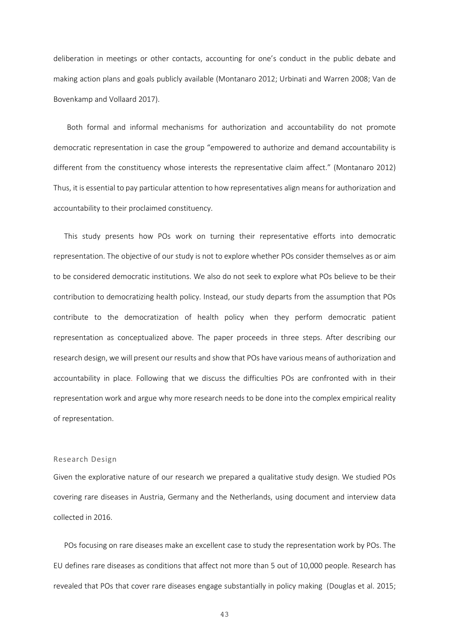deliberation in meetings or other contacts, accounting for one's conduct in the public debate and making action plans and goals publicly available (Montanaro 2012; Urbinati and Warren 2008; Van de Bovenkamp and Vollaard 2017).

Both formal and informal mechanisms for authorization and accountability do not promote democratic representation in case the group "empowered to authorize and demand accountability is different from the constituency whose interests the representative claim affect." (Montanaro 2012) Thus, it is essential to pay particular attention to how representatives align means for authorization and accountability to their proclaimed constituency.

This study presents how POs work on turning their representative efforts into democratic representation. The objective of our study is not to explore whether POs consider themselves as or aim to be considered democratic institutions. We also do not seek to explore what POs believe to be their contribution to democratizing health policy. Instead, our study departs from the assumption that POs contribute to the democratization of health policy when they perform democratic patient representation as conceptualized above. The paper proceeds in three steps. After describing our research design, we will present our results and show that POs have various means of authorization and accountability in place. Following that we discuss the difficulties POs are confronted with in their representation work and argue why more research needs to be done into the complex empirical reality of representation.

#### Research Design

Given the explorative nature of our research we prepared a qualitative study design. We studied POs covering rare diseases in Austria, Germany and the Netherlands, using document and interview data collected in 2016.

POs focusing on rare diseases make an excellent case to study the representation work by POs. The EU defines rare diseases as conditions that affect not more than 5 out of 10,000 people. Research has revealed that POs that cover rare diseases engage substantially in policy making (Douglas et al. 2015;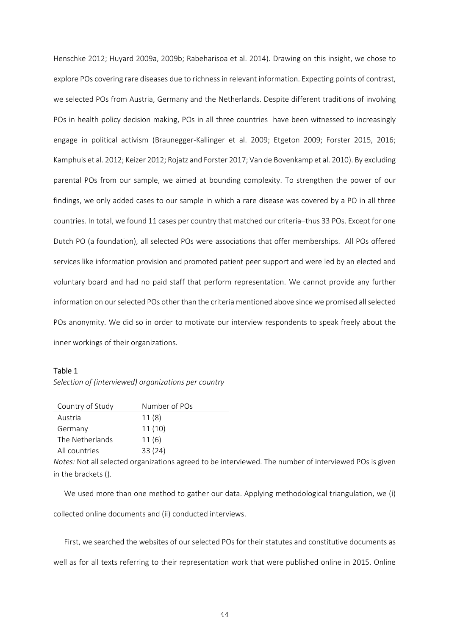Henschke 2012; Huyard 2009a, 2009b; Rabeharisoa et al. 2014). Drawing on this insight, we chose to explore POs covering rare diseases due to richness in relevant information. Expecting points of contrast, we selected POs from Austria, Germany and the Netherlands. Despite different traditions of involving POs in health policy decision making, POs in all three countries have been witnessed to increasingly engage in political activism (Braunegger-Kallinger et al. 2009; Etgeton 2009; Forster 2015, 2016; Kamphuis et al. 2012; Keizer 2012; Rojatz and Forster 2017; Van de Bovenkamp et al. 2010). By excluding parental POs from our sample, we aimed at bounding complexity. To strengthen the power of our findings, we only added cases to our sample in which a rare disease was covered by a PO in all three countries. In total, we found 11 cases per country that matched our criteria–thus 33 POs. Except for one Dutch PO (a foundation), all selected POs were associations that offer memberships. All POs offered services like information provision and promoted patient peer support and were led by an elected and voluntary board and had no paid staff that perform representation. We cannot provide any further information on our selected POs other than the criteria mentioned above since we promised all selected POs anonymity. We did so in order to motivate our interview respondents to speak freely about the inner workings of their organizations.

#### Table 1

| Country of Study | Number of POs |
|------------------|---------------|
| Austria          | 11(8)         |
| Germany          | 11(10)        |
| The Netherlands  | 11(6)         |
| All countries    | 33 (24)       |

*Notes:* Not all selected organizations agreed to be interviewed. The number of interviewed POs is given in the brackets ().

We used more than one method to gather our data. Applying methodological triangulation, we (i) collected online documents and (ii) conducted interviews.

First, we searched the websites of our selected POs for their statutes and constitutive documents as well as for all texts referring to their representation work that were published online in 2015. Online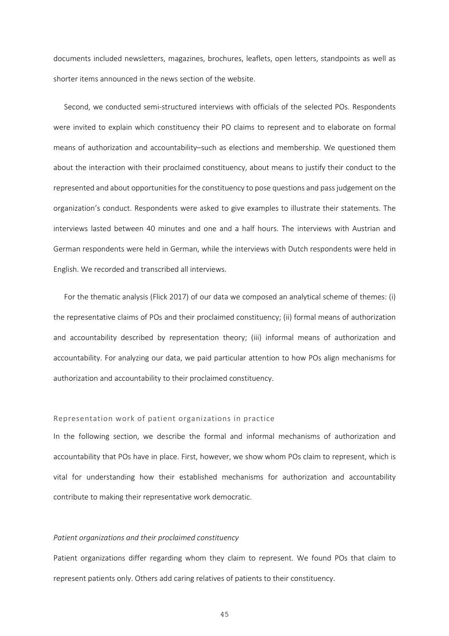documents included newsletters, magazines, brochures, leaflets, open letters, standpoints as well as shorter items announced in the news section of the website.

Second, we conducted semi-structured interviews with officials of the selected POs. Respondents were invited to explain which constituency their PO claims to represent and to elaborate on formal means of authorization and accountability–such as elections and membership. We questioned them about the interaction with their proclaimed constituency, about means to justify their conduct to the represented and about opportunities for the constituency to pose questions and pass judgement on the organization's conduct. Respondents were asked to give examples to illustrate their statements. The interviews lasted between 40 minutes and one and a half hours. The interviews with Austrian and German respondents were held in German, while the interviews with Dutch respondents were held in English. We recorded and transcribed all interviews.

For the thematic analysis (Flick 2017) of our data we composed an analytical scheme of themes: (i) the representative claims of POs and their proclaimed constituency; (ii) formal means of authorization and accountability described by representation theory; (iii) informal means of authorization and accountability. For analyzing our data, we paid particular attention to how POs align mechanisms for authorization and accountability to their proclaimed constituency.

### Representation work of patient organizations in practice

In the following section, we describe the formal and informal mechanisms of authorization and accountability that POs have in place. First, however, we show whom POs claim to represent, which is vital for understanding how their established mechanisms for authorization and accountability contribute to making their representative work democratic.

#### *Patient organizations and their proclaimed constituency*

Patient organizations differ regarding whom they claim to represent. We found POs that claim to represent patients only. Others add caring relatives of patients to their constituency.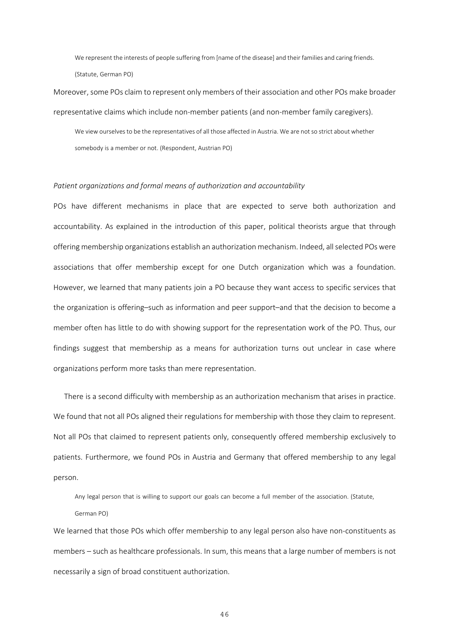We represent the interests of people suffering from [name of the disease] and their families and caring friends. (Statute, German PO)

Moreover, some POs claim to represent only members of their association and other POs make broader representative claims which include non-member patients (and non-member family caregivers).

We view ourselves to be the representatives of all those affected in Austria. We are not so strict about whether somebody is a member or not. (Respondent, Austrian PO)

#### *Patient organizations and formal means of authorization and accountability*

POs have different mechanisms in place that are expected to serve both authorization and accountability. As explained in the introduction of this paper, political theorists argue that through offering membership organizations establish an authorization mechanism. Indeed, all selected POs were associations that offer membership except for one Dutch organization which was a foundation. However, we learned that many patients join a PO because they want access to specific services that the organization is offering–such as information and peer support–and that the decision to become a member often has little to do with showing support for the representation work of the PO. Thus, our findings suggest that membership as a means for authorization turns out unclear in case where organizations perform more tasks than mere representation.

There is a second difficulty with membership as an authorization mechanism that arises in practice. We found that not all POs aligned their regulations for membership with those they claim to represent. Not all POs that claimed to represent patients only, consequently offered membership exclusively to patients. Furthermore, we found POs in Austria and Germany that offered membership to any legal person.

Any legal person that is willing to support our goals can become a full member of the association. (Statute, German PO)

We learned that those POs which offer membership to any legal person also have non-constituents as members – such as healthcare professionals. In sum, this means that a large number of members is not necessarily a sign of broad constituent authorization.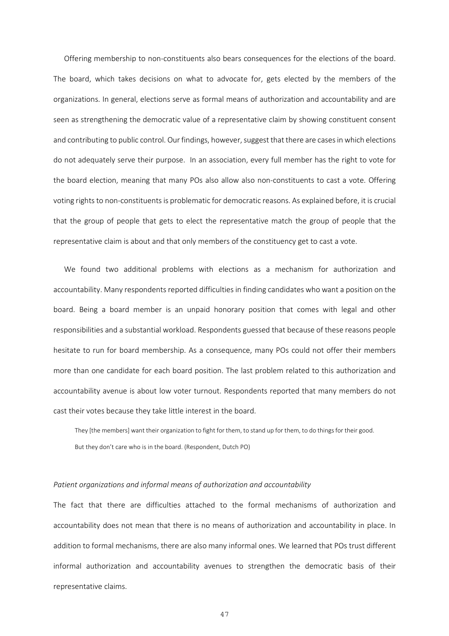Offering membership to non-constituents also bears consequences for the elections of the board. The board, which takes decisions on what to advocate for, gets elected by the members of the organizations. In general, elections serve as formal means of authorization and accountability and are seen as strengthening the democratic value of a representative claim by showing constituent consent and contributing to public control. Our findings, however, suggest that there are cases in which elections do not adequately serve their purpose. In an association, every full member has the right to vote for the board election, meaning that many POs also allow also non-constituents to cast a vote. Offering voting rights to non-constituents is problematic for democratic reasons. As explained before, it is crucial that the group of people that gets to elect the representative match the group of people that the representative claim is about and that only members of the constituency get to cast a vote.

We found two additional problems with elections as a mechanism for authorization and accountability. Many respondents reported difficulties in finding candidates who want a position on the board. Being a board member is an unpaid honorary position that comes with legal and other responsibilities and a substantial workload. Respondents guessed that because of these reasons people hesitate to run for board membership. As a consequence, many POs could not offer their members more than one candidate for each board position. The last problem related to this authorization and accountability avenue is about low voter turnout. Respondents reported that many members do not cast their votes because they take little interest in the board.

They [the members] want their organization to fight for them, to stand up for them, to do things for their good. But they don't care who is in the board. (Respondent, Dutch PO)

#### *Patient organizations and informal means of authorization and accountability*

The fact that there are difficulties attached to the formal mechanisms of authorization and accountability does not mean that there is no means of authorization and accountability in place. In addition to formal mechanisms, there are also many informal ones. We learned that POs trust different informal authorization and accountability avenues to strengthen the democratic basis of their representative claims.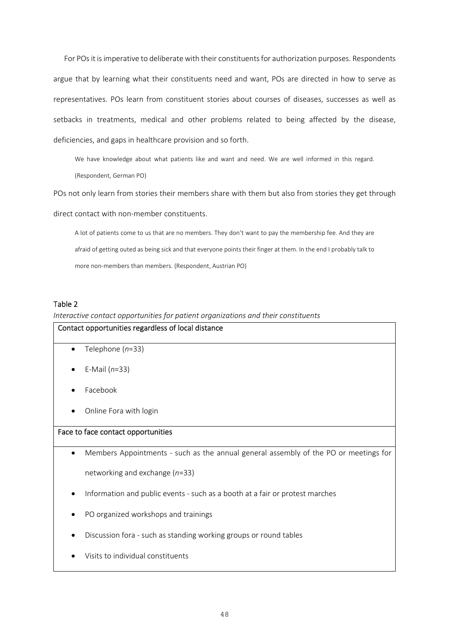For POs it is imperative to deliberate with their constituents for authorization purposes. Respondents argue that by learning what their constituents need and want, POs are directed in how to serve as representatives. POs learn from constituent stories about courses of diseases, successes as well as setbacks in treatments, medical and other problems related to being affected by the disease, deficiencies, and gaps in healthcare provision and so forth.

We have knowledge about what patients like and want and need. We are well informed in this regard. (Respondent, German PO)

POs not only learn from stories their members share with them but also from stories they get through direct contact with non-member constituents.

A lot of patients come to us that are no members. They don't want to pay the membership fee. And they are afraid of getting outed as being sick and that everyone points their finger at them. In the end I probably talk to more non-members than members. (Respondent, Austrian PO)

## Table 2

#### *Interactive contact opportunities for patient organizations and their constituents*

| Contact opportunities regardless of local distance                                   |
|--------------------------------------------------------------------------------------|
| Telephone $(n=33)$                                                                   |
| E-Mail $(n=33)$                                                                      |
| Facebook                                                                             |
| Online Fora with login                                                               |
| Face to face contact opportunities                                                   |
| Members Appointments - such as the annual general assembly of the PO or meetings for |
| networking and exchange $(n=33)$                                                     |
| Information and public events - such as a booth at a fair or protest marches         |
| PO organized workshops and trainings                                                 |
|                                                                                      |

Visits to individual constituents

Discussion fora - such as standing working groups or round tables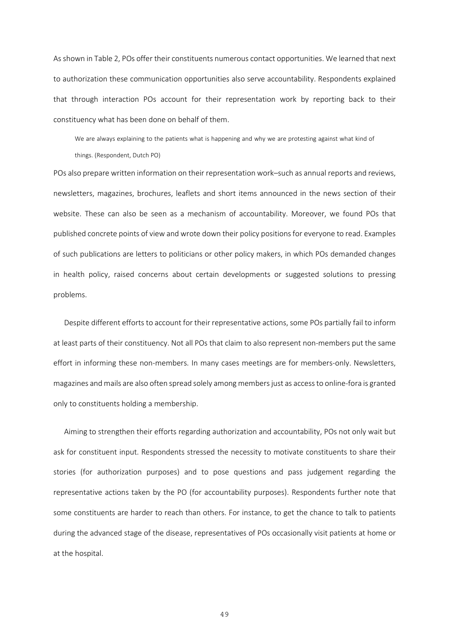As shown in Table 2, POs offer their constituents numerous contact opportunities. We learned that next to authorization these communication opportunities also serve accountability. Respondents explained that through interaction POs account for their representation work by reporting back to their constituency what has been done on behalf of them.

We are always explaining to the patients what is happening and why we are protesting against what kind of things. (Respondent, Dutch PO)

POs also prepare written information on their representation work–such as annual reports and reviews, newsletters, magazines, brochures, leaflets and short items announced in the news section of their website. These can also be seen as a mechanism of accountability. Moreover, we found POs that published concrete points of view and wrote down their policy positions for everyone to read. Examples of such publications are letters to politicians or other policy makers, in which POs demanded changes in health policy, raised concerns about certain developments or suggested solutions to pressing problems.

Despite different efforts to account for their representative actions, some POs partially fail to inform at least parts of their constituency. Not all POs that claim to also represent non-members put the same effort in informing these non-members. In many cases meetings are for members-only. Newsletters, magazines and mails are also often spread solely among members just as access to online-fora is granted only to constituents holding a membership.

Aiming to strengthen their efforts regarding authorization and accountability, POs not only wait but ask for constituent input. Respondents stressed the necessity to motivate constituents to share their stories (for authorization purposes) and to pose questions and pass judgement regarding the representative actions taken by the PO (for accountability purposes). Respondents further note that some constituents are harder to reach than others. For instance, to get the chance to talk to patients during the advanced stage of the disease, representatives of POs occasionally visit patients at home or at the hospital.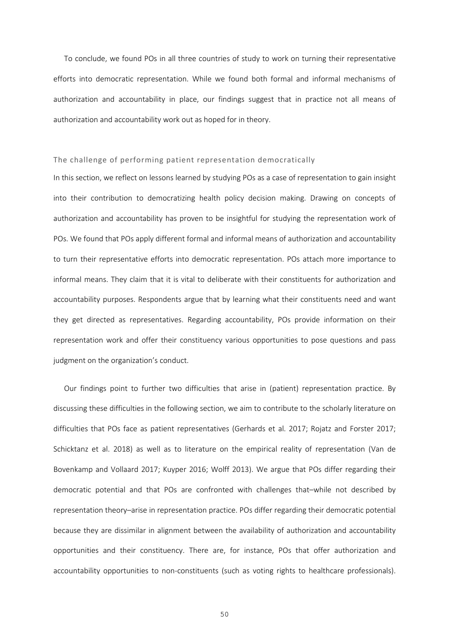To conclude, we found POs in all three countries of study to work on turning their representative efforts into democratic representation. While we found both formal and informal mechanisms of authorization and accountability in place, our findings suggest that in practice not all means of authorization and accountability work out as hoped for in theory.

#### The challenge of performing patient representation democratically

In this section, we reflect on lessons learned by studying POs as a case of representation to gain insight into their contribution to democratizing health policy decision making. Drawing on concepts of authorization and accountability has proven to be insightful for studying the representation work of POs. We found that POs apply different formal and informal means of authorization and accountability to turn their representative efforts into democratic representation. POs attach more importance to informal means. They claim that it is vital to deliberate with their constituents for authorization and accountability purposes. Respondents argue that by learning what their constituents need and want they get directed as representatives. Regarding accountability, POs provide information on their representation work and offer their constituency various opportunities to pose questions and pass judgment on the organization's conduct.

Our findings point to further two difficulties that arise in (patient) representation practice. By discussing these difficulties in the following section, we aim to contribute to the scholarly literature on difficulties that POs face as patient representatives (Gerhards et al. 2017; Rojatz and Forster 2017; Schicktanz et al. 2018) as well as to literature on the empirical reality of representation (Van de Bovenkamp and Vollaard 2017; Kuyper 2016; Wolff 2013). We argue that POs differ regarding their democratic potential and that POs are confronted with challenges that–while not described by representation theory–arise in representation practice. POs differ regarding their democratic potential because they are dissimilar in alignment between the availability of authorization and accountability opportunities and their constituency. There are, for instance, POs that offer authorization and accountability opportunities to non-constituents (such as voting rights to healthcare professionals).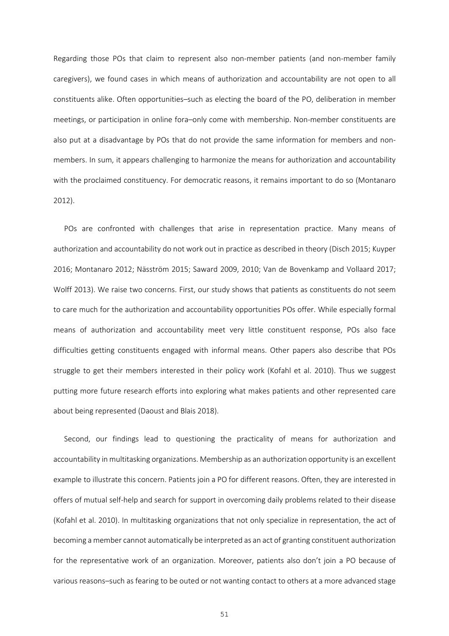Regarding those POs that claim to represent also non-member patients (and non-member family caregivers), we found cases in which means of authorization and accountability are not open to all constituents alike. Often opportunities–such as electing the board of the PO, deliberation in member meetings, or participation in online fora–only come with membership. Non-member constituents are also put at a disadvantage by POs that do not provide the same information for members and nonmembers. In sum, it appears challenging to harmonize the means for authorization and accountability with the proclaimed constituency. For democratic reasons, it remains important to do so (Montanaro 2012).

POs are confronted with challenges that arise in representation practice. Many means of authorization and accountability do not work out in practice as described in theory (Disch 2015; Kuyper 2016; Montanaro 2012; Näsström 2015; Saward 2009, 2010; Van de Bovenkamp and Vollaard 2017; Wolff 2013). We raise two concerns. First, our study shows that patients as constituents do not seem to care much for the authorization and accountability opportunities POs offer. While especially formal means of authorization and accountability meet very little constituent response, POs also face difficulties getting constituents engaged with informal means. Other papers also describe that POs struggle to get their members interested in their policy work (Kofahl et al. 2010). Thus we suggest putting more future research efforts into exploring what makes patients and other represented care about being represented (Daoust and Blais 2018).

Second, our findings lead to questioning the practicality of means for authorization and accountability in multitasking organizations. Membership as an authorization opportunity is an excellent example to illustrate this concern. Patients join a PO for different reasons. Often, they are interested in offers of mutual self-help and search for support in overcoming daily problems related to their disease (Kofahl et al. 2010). In multitasking organizations that not only specialize in representation, the act of becoming a member cannot automatically be interpreted as an act of granting constituent authorization for the representative work of an organization. Moreover, patients also don't join a PO because of various reasons–such as fearing to be outed or not wanting contact to others at a more advanced stage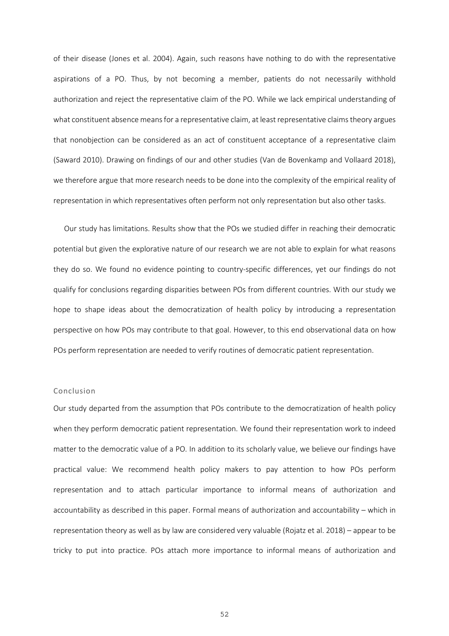of their disease (Jones et al. 2004). Again, such reasons have nothing to do with the representative aspirations of a PO. Thus, by not becoming a member, patients do not necessarily withhold authorization and reject the representative claim of the PO. While we lack empirical understanding of what constituent absence means for a representative claim, at least representative claims theory argues that nonobjection can be considered as an act of constituent acceptance of a representative claim (Saward 2010). Drawing on findings of our and other studies (Van de Bovenkamp and Vollaard 2018), we therefore argue that more research needs to be done into the complexity of the empirical reality of representation in which representatives often perform not only representation but also other tasks.

Our study has limitations. Results show that the POs we studied differ in reaching their democratic potential but given the explorative nature of our research we are not able to explain for what reasons they do so. We found no evidence pointing to country-specific differences, yet our findings do not qualify for conclusions regarding disparities between POs from different countries. With our study we hope to shape ideas about the democratization of health policy by introducing a representation perspective on how POs may contribute to that goal. However, to this end observational data on how POs perform representation are needed to verify routines of democratic patient representation.

#### Conclusion

Our study departed from the assumption that POs contribute to the democratization of health policy when they perform democratic patient representation. We found their representation work to indeed matter to the democratic value of a PO. In addition to its scholarly value, we believe our findings have practical value: We recommend health policy makers to pay attention to how POs perform representation and to attach particular importance to informal means of authorization and accountability as described in this paper. Formal means of authorization and accountability – which in representation theory as well as by law are considered very valuable (Rojatz et al. 2018) – appear to be tricky to put into practice. POs attach more importance to informal means of authorization and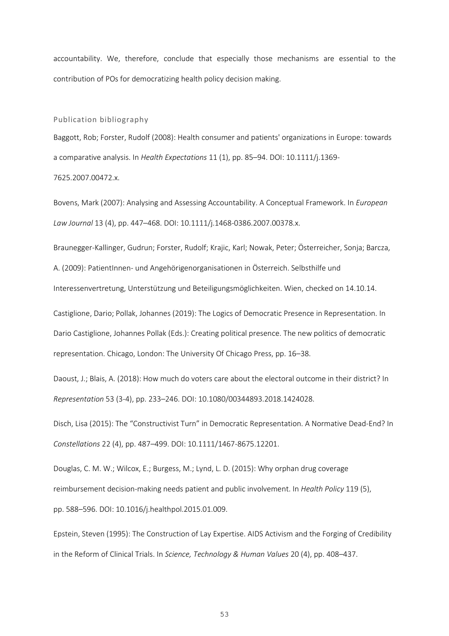accountability. We, therefore, conclude that especially those mechanisms are essential to the contribution of POs for democratizing health policy decision making.

#### Publication bibliography

Baggott, Rob; Forster, Rudolf (2008): Health consumer and patients' organizations in Europe: towards a comparative analysis. In *Health Expectations* 11 (1), pp. 85–94. DOI: 10.1111/j.1369- 7625.2007.00472.x.

Bovens, Mark (2007): Analysing and Assessing Accountability. A Conceptual Framework. In *European Law Journal* 13 (4), pp. 447–468. DOI: 10.1111/j.1468-0386.2007.00378.x.

Braunegger-Kallinger, Gudrun; Forster, Rudolf; Krajic, Karl; Nowak, Peter; Österreicher, Sonja; Barcza,

A. (2009): PatientInnen- und Angehörigenorganisationen in Österreich. Selbsthilfe und

Interessenvertretung, Unterstützung und Beteiligungsmöglichkeiten. Wien, checked on 14.10.14.

Castiglione, Dario; Pollak, Johannes (2019): The Logics of Democratic Presence in Representation. In Dario Castiglione, Johannes Pollak (Eds.): Creating political presence. The new politics of democratic representation. Chicago, London: The University Of Chicago Press, pp. 16–38.

Daoust, J.; Blais, A. (2018): How much do voters care about the electoral outcome in their district? In *Representation* 53 (3-4), pp. 233–246. DOI: 10.1080/00344893.2018.1424028.

Disch, Lisa (2015): The "Constructivist Turn" in Democratic Representation. A Normative Dead-End? In *Constellations* 22 (4), pp. 487–499. DOI: 10.1111/1467-8675.12201.

Douglas, C. M. W.; Wilcox, E.; Burgess, M.; Lynd, L. D. (2015): Why orphan drug coverage reimbursement decision-making needs patient and public involvement. In *Health Policy* 119 (5), pp. 588–596. DOI: 10.1016/j.healthpol.2015.01.009.

Epstein, Steven (1995): The Construction of Lay Expertise. AIDS Activism and the Forging of Credibility in the Reform of Clinical Trials. In *Science, Technology & Human Values* 20 (4), pp. 408–437.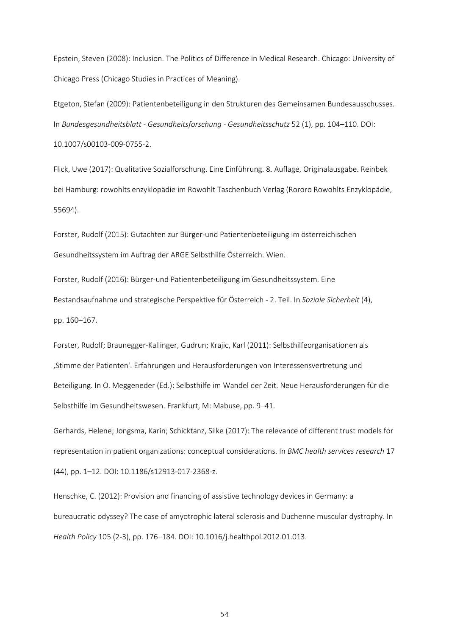Epstein, Steven (2008): Inclusion. The Politics of Difference in Medical Research. Chicago: University of Chicago Press (Chicago Studies in Practices of Meaning).

Etgeton, Stefan (2009): Patientenbeteiligung in den Strukturen des Gemeinsamen Bundesausschusses. In *Bundesgesundheitsblatt - Gesundheitsforschung - Gesundheitsschutz* 52 (1), pp. 104–110. DOI: 10.1007/s00103-009-0755-2.

Flick, Uwe (2017): Qualitative Sozialforschung. Eine Einführung. 8. Auflage, Originalausgabe. Reinbek bei Hamburg: rowohlts enzyklopädie im Rowohlt Taschenbuch Verlag (Rororo Rowohlts Enzyklopädie, 55694).

Forster, Rudolf (2015): Gutachten zur Bürger-und Patientenbeteiligung im österreichischen Gesundheitssystem im Auftrag der ARGE Selbsthilfe Österreich. Wien.

Forster, Rudolf (2016): Bürger-und Patientenbeteiligung im Gesundheitssystem. Eine Bestandsaufnahme und strategische Perspektive für Österreich - 2. Teil. In *Soziale Sicherheit* (4), pp. 160–167.

Forster, Rudolf; Braunegger-Kallinger, Gudrun; Krajic, Karl (2011): Selbsthilfeorganisationen als ,Stimme der Patienten'. Erfahrungen und Herausforderungen von Interessensvertretung und Beteiligung. In O. Meggeneder (Ed.): Selbsthilfe im Wandel der Zeit. Neue Herausforderungen für die Selbsthilfe im Gesundheitswesen. Frankfurt, M: Mabuse, pp. 9–41.

Gerhards, Helene; Jongsma, Karin; Schicktanz, Silke (2017): The relevance of different trust models for representation in patient organizations: conceptual considerations. In *BMC health services research* 17 (44), pp. 1–12. DOI: 10.1186/s12913-017-2368-z.

Henschke, C. (2012): Provision and financing of assistive technology devices in Germany: a bureaucratic odyssey? The case of amyotrophic lateral sclerosis and Duchenne muscular dystrophy. In *Health Policy* 105 (2-3), pp. 176–184. DOI: 10.1016/j.healthpol.2012.01.013.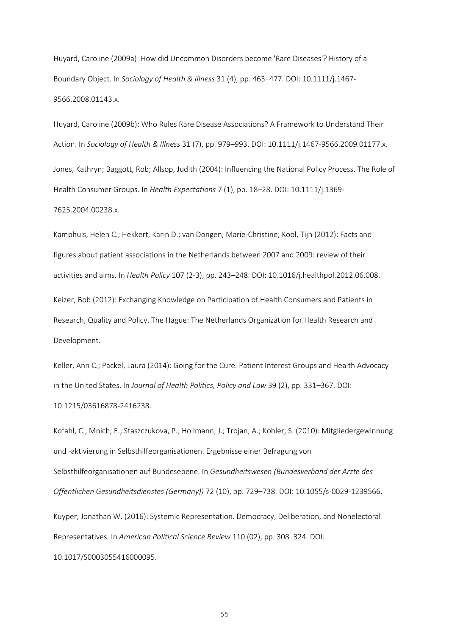Huyard, Caroline (2009a): How did Uncommon Disorders become 'Rare Diseases'? History of a Boundary Object. In *Sociology of Health & Illness* 31 (4), pp. 463–477. DOI: 10.1111/j.1467- 9566.2008.01143.x.

Huyard, Caroline (2009b): Who Rules Rare Disease Associations? A Framework to Understand Their Action. In *Sociology of Health & Illness* 31 (7), pp. 979–993. DOI: 10.1111/j.1467-9566.2009.01177.x. Jones, Kathryn; Baggott, Rob; Allsop, Judith (2004): Influencing the National Policy Process. The Role of Health Consumer Groups. In *Health Expectations* 7 (1), pp. 18–28. DOI: 10.1111/j.1369- 7625.2004.00238.x.

Kamphuis, Helen C.; Hekkert, Karin D.; van Dongen, Marie-Christine; Kool, Tijn (2012): Facts and figures about patient associations in the Netherlands between 2007 and 2009: review of their activities and aims. In *Health Policy* 107 (2-3), pp. 243–248. DOI: 10.1016/j.healthpol.2012.06.008. Keizer, Bob (2012): Exchanging Knowledge on Participation of Health Consumers and Patients in Research, Quality and Policy. The Hague: The Netherlands Organization for Health Research and Development.

Keller, Ann C.; Packel, Laura (2014): Going for the Cure. Patient Interest Groups and Health Advocacy in the United States. In *Journal of Health Politics, Policy and Law* 39 (2), pp. 331–367. DOI: 10.1215/03616878-2416238.

Kofahl, C.; Mnich, E.; Staszczukova, P.; Hollmann, J.; Trojan, A.; Kohler, S. (2010): Mitgliedergewinnung und -aktivierung in Selbsthilfeorganisationen. Ergebnisse einer Befragung von Selbsthilfeorganisationen auf Bundesebene. In *Gesundheitswesen (Bundesverband der Arzte des Offentlichen Gesundheitsdienstes (Germany))* 72 (10), pp. 729–738. DOI: 10.1055/s-0029-1239566. Kuyper, Jonathan W. (2016): Systemic Representation. Democracy, Deliberation, and Nonelectoral Representatives. In *American Political Science Review* 110 (02), pp. 308–324. DOI: 10.1017/S0003055416000095.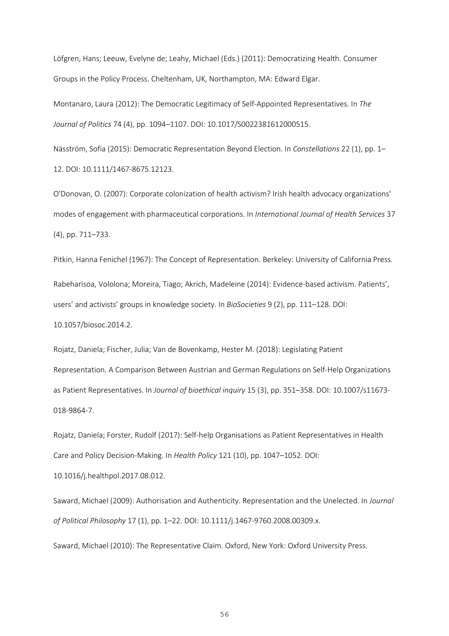Löfgren, Hans; Leeuw, Evelyne de; Leahy, Michael (Eds.) (2011): Democratizing Health. Consumer Groups in the Policy Process. Cheltenham, UK, Northampton, MA: Edward Elgar.

Montanaro, Laura (2012): The Democratic Legitimacy of Self-Appointed Representatives. In *The Journal of Politics* 74 (4), pp. 1094–1107. DOI: 10.1017/S0022381612000515.

Näsström, Sofia (2015): Democratic Representation Beyond Election. In *Constellations* 22 (1), pp. 1– 12. DOI: 10.1111/1467-8675.12123.

O'Donovan, O. (2007): Corporate colonization of health activism? Irish health advocacy organizations' modes of engagement with pharmaceutical corporations. In *International Journal of Health Services* 37 (4), pp. 711–733.

Pitkin, Hanna Fenichel (1967): The Concept of Representation. Berkeley: University of California Press. Rabeharisoa, Vololona; Moreira, Tiago; Akrich, Madeleine (2014): Evidence-based activism. Patients', users' and activists' groups in knowledge society. In *BioSocieties* 9 (2), pp. 111–128. DOI: 10.1057/biosoc.2014.2.

Rojatz, Daniela; Fischer, Julia; Van de Bovenkamp, Hester M. (2018): Legislating Patient Representation. A Comparison Between Austrian and German Regulations on Self-Help Organizations as Patient Representatives. In *Journal of bioethical inquiry* 15 (3), pp. 351–358. DOI: 10.1007/s11673- 018-9864-7.

Rojatz, Daniela; Forster, Rudolf (2017): Self-help Organisations as Patient Representatives in Health Care and Policy Decision-Making. In *Health Policy* 121 (10), pp. 1047–1052. DOI:

10.1016/j.healthpol.2017.08.012.

Saward, Michael (2009): Authorisation and Authenticity. Representation and the Unelected. In *Journal of Political Philosophy* 17 (1), pp. 1–22. DOI: 10.1111/j.1467-9760.2008.00309.x.

Saward, Michael (2010): The Representative Claim. Oxford, New York: Oxford University Press.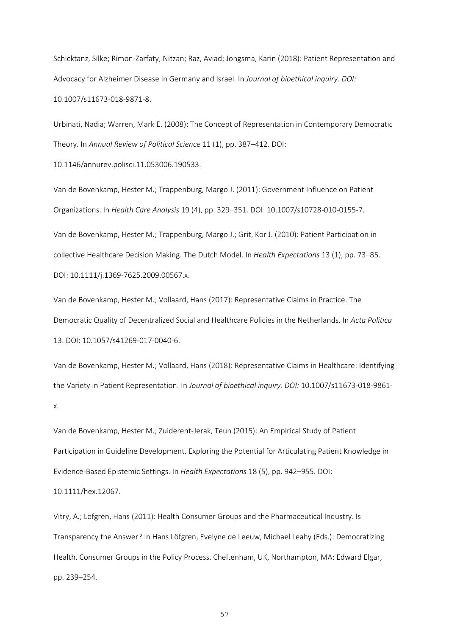Schicktanz, Silke; Rimon-Zarfaty, Nitzan; Raz, Aviad; Jongsma, Karin (2018): Patient Representation and Advocacy for Alzheimer Disease in Germany and Israel. In *Journal of bioethical inquiry. DOI:*  10.1007/s11673-018-9871-8.

Urbinati, Nadia; Warren, Mark E. (2008): The Concept of Representation in Contemporary Democratic Theory. In *Annual Review of Political Science* 11 (1), pp. 387–412. DOI:

10.1146/annurev.polisci.11.053006.190533.

Van de Bovenkamp, Hester M.; Trappenburg, Margo J. (2011): Government Influence on Patient Organizations. In *Health Care Analysis* 19 (4), pp. 329–351. DOI: 10.1007/s10728-010-0155-7.

Van de Bovenkamp, Hester M.; Trappenburg, Margo J.; Grit, Kor J. (2010): Patient Participation in collective Healthcare Decision Making. The Dutch Model. In *Health Expectations* 13 (1), pp. 73–85. DOI: 10.1111/j.1369-7625.2009.00567.x.

Van de Bovenkamp, Hester M.; Vollaard, Hans (2017): Representative Claims in Practice. The Democratic Quality of Decentralized Social and Healthcare Policies in the Netherlands. In *Acta Politica*  13. DOI: 10.1057/s41269-017-0040-6.

Van de Bovenkamp, Hester M.; Vollaard, Hans (2018): Representative Claims in Healthcare: Identifying the Variety in Patient Representation. In *Journal of bioethical inquiry. DOI:* 10.1007/s11673-018-9861 x.

Van de Bovenkamp, Hester M.; Zuiderent-Jerak, Teun (2015): An Empirical Study of Patient Participation in Guideline Development. Exploring the Potential for Articulating Patient Knowledge in Evidence-Based Epistemic Settings. In *Health Expectations* 18 (5), pp. 942–955. DOI:

10.1111/hex.12067.

Vitry, A.; Löfgren, Hans (2011): Health Consumer Groups and the Pharmaceutical Industry. Is Transparency the Answer? In Hans Löfgren, Evelyne de Leeuw, Michael Leahy (Eds.): Democratizing Health. Consumer Groups in the Policy Process. Cheltenham, UK, Northampton, MA: Edward Elgar, pp. 239–254.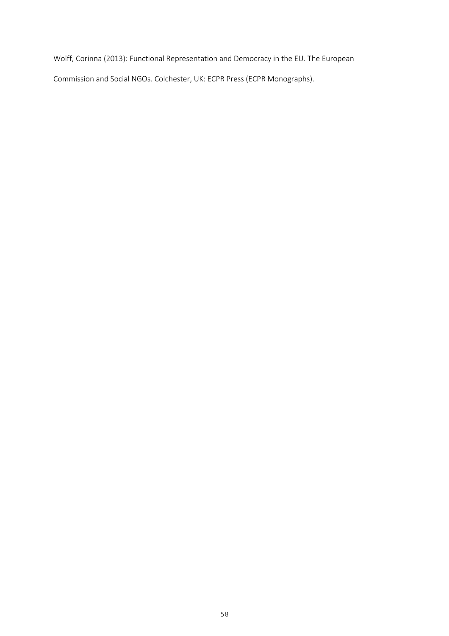Wolff, Corinna (2013): Functional Representation and Democracy in the EU. The European

Commission and Social NGOs. Colchester, UK: ECPR Press (ECPR Monographs).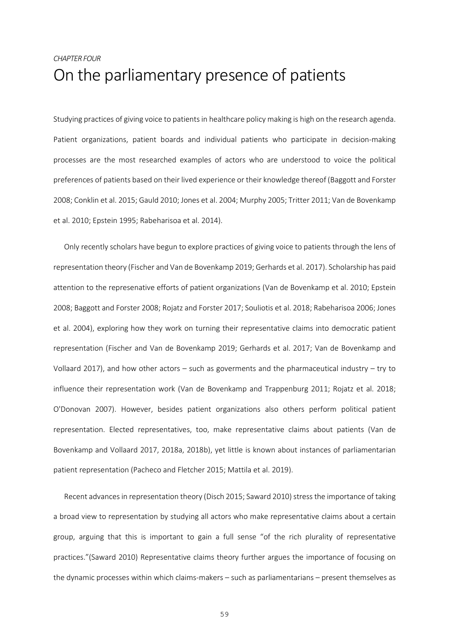# *CHAPTER FOUR*  On the parliamentary presence of patients

Studying practices of giving voice to patients in healthcare policy making is high on the research agenda. Patient organizations, patient boards and individual patients who participate in decision-making processes are the most researched examples of actors who are understood to voice the political preferences of patients based on their lived experience or their knowledge thereof (Baggott and Forster 2008; Conklin et al. 2015; Gauld 2010; Jones et al. 2004; Murphy 2005; Tritter 2011; Van de Bovenkamp et al. 2010; Epstein 1995; Rabeharisoa et al. 2014).

Only recently scholars have begun to explore practices of giving voice to patients through the lens of representation theory (Fischer and Van de Bovenkamp 2019; Gerhards et al. 2017). Scholarship has paid attention to the represenative efforts of patient organizations (Van de Bovenkamp et al. 2010; Epstein 2008; Baggott and Forster 2008; Rojatz and Forster 2017; Souliotis et al. 2018; Rabeharisoa 2006; Jones et al. 2004), exploring how they work on turning their representative claims into democratic patient representation (Fischer and Van de Bovenkamp 2019; Gerhards et al. 2017; Van de Bovenkamp and Vollaard 2017), and how other actors – such as goverments and the pharmaceutical industry – try to influence their representation work (Van de Bovenkamp and Trappenburg 2011; Rojatz et al. 2018; O'Donovan 2007). However, besides patient organizations also others perform political patient representation. Elected representatives, too, make representative claims about patients (Van de Bovenkamp and Vollaard 2017, 2018a, 2018b), yet little is known about instances of parliamentarian patient representation (Pacheco and Fletcher 2015; Mattila et al. 2019).

Recent advances in representation theory (Disch 2015; Saward 2010) stress the importance of taking a broad view to representation by studying all actors who make representative claims about a certain group, arguing that this is important to gain a full sense "of the rich plurality of representative practices."(Saward 2010) Representative claims theory further argues the importance of focusing on the dynamic processes within which claims-makers – such as parliamentarians – present themselves as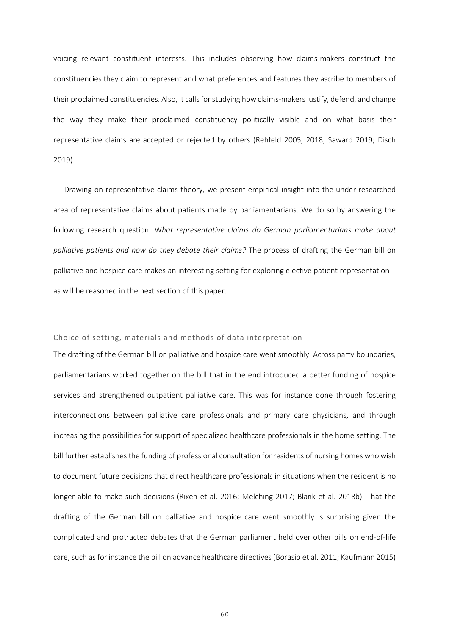voicing relevant constituent interests. This includes observing how claims-makers construct the constituencies they claim to represent and what preferences and features they ascribe to members of their proclaimed constituencies. Also, it calls for studying how claims-makers justify, defend, and change the way they make their proclaimed constituency politically visible and on what basis their representative claims are accepted or rejected by others (Rehfeld 2005, 2018; Saward 2019; Disch 2019).

Drawing on representative claims theory, we present empirical insight into the under-researched area of representative claims about patients made by parliamentarians. We do so by answering the following research question: W*hat representative claims do German parliamentarians make about palliative patients and how do they debate their claims?* The process of drafting the German bill on palliative and hospice care makes an interesting setting for exploring elective patient representation – as will be reasoned in the next section of this paper.

## Choice of setting, materials and methods of data interpretation

The drafting of the German bill on palliative and hospice care went smoothly. Across party boundaries, parliamentarians worked together on the bill that in the end introduced a better funding of hospice services and strengthened outpatient palliative care. This was for instance done through fostering interconnections between palliative care professionals and primary care physicians, and through increasing the possibilities for support of specialized healthcare professionals in the home setting. The bill further establishes the funding of professional consultation for residents of nursing homes who wish to document future decisions that direct healthcare professionals in situations when the resident is no longer able to make such decisions (Rixen et al. 2016; Melching 2017; Blank et al. 2018b). That the drafting of the German bill on palliative and hospice care went smoothly is surprising given the complicated and protracted debates that the German parliament held over other bills on end-of-life care, such as for instance the bill on advance healthcare directives (Borasio et al. 2011; Kaufmann 2015)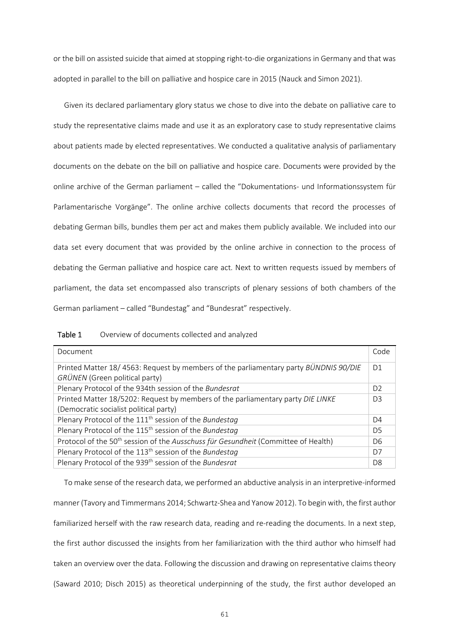or the bill on assisted suicide that aimed at stopping right-to-die organizations in Germany and that was adopted in parallel to the bill on palliative and hospice care in 2015 (Nauck and Simon 2021).

Given its declared parliamentary glory status we chose to dive into the debate on palliative care to study the representative claims made and use it as an exploratory case to study representative claims about patients made by elected representatives. We conducted a qualitative analysis of parliamentary documents on the debate on the bill on palliative and hospice care. Documents were provided by the online archive of the German parliament – called the "Dokumentations- und Informationssystem für Parlamentarische Vorgänge". The online archive collects documents that record the processes of debating German bills, bundles them per act and makes them publicly available. We included into our data set every document that was provided by the online archive in connection to the process of debating the German palliative and hospice care act. Next to written requests issued by members of parliament, the data set encompassed also transcripts of plenary sessions of both chambers of the German parliament – called "Bundestag" and "Bundesrat" respectively.

| Table 1 | Overview of documents collected and analyzed |
|---------|----------------------------------------------|
|---------|----------------------------------------------|

| Document                                                                                                               | Code |
|------------------------------------------------------------------------------------------------------------------------|------|
| Printed Matter 18/4563: Request by members of the parliamentary party BÜNDNIS 90/DIE<br>GRÜNEN (Green political party) |      |
| Plenary Protocol of the 934th session of the Bundesrat                                                                 |      |
| Printed Matter 18/5202: Request by members of the parliamentary party DIE LINKE                                        |      |
| (Democratic socialist political party)                                                                                 |      |
| Plenary Protocol of the 111 <sup>th</sup> session of the Bundestag                                                     |      |
| Plenary Protocol of the 115 <sup>th</sup> session of the Bundestag                                                     |      |
| Protocol of the 50 <sup>th</sup> session of the Ausschuss für Gesundheit (Committee of Health)                         |      |
| Plenary Protocol of the 113 <sup>th</sup> session of the Bundestag                                                     |      |
| Plenary Protocol of the 939 <sup>th</sup> session of the Bundesrat                                                     |      |

To make sense of the research data, we performed an abductive analysis in an interpretive-informed manner (Tavory and Timmermans 2014; Schwartz-Shea and Yanow 2012). To begin with, the first author familiarized herself with the raw research data, reading and re-reading the documents. In a next step, the first author discussed the insights from her familiarization with the third author who himself had taken an overview over the data. Following the discussion and drawing on representative claims theory (Saward 2010; Disch 2015) as theoretical underpinning of the study, the first author developed an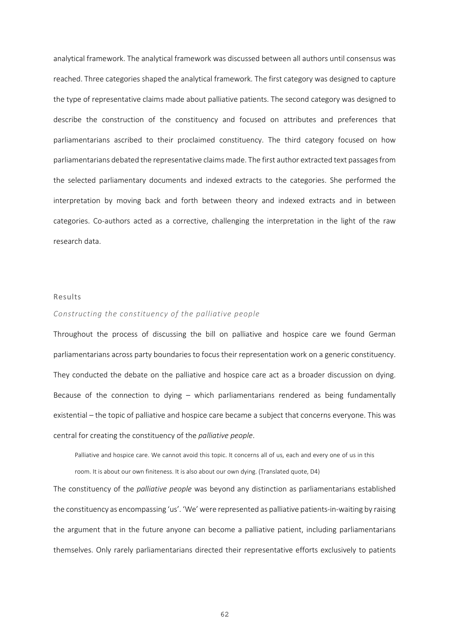analytical framework. The analytical framework was discussed between all authors until consensus was reached. Three categories shaped the analytical framework. The first category was designed to capture the type of representative claims made about palliative patients. The second category was designed to describe the construction of the constituency and focused on attributes and preferences that parliamentarians ascribed to their proclaimed constituency. The third category focused on how parliamentarians debated the representative claims made. The first author extracted text passages from the selected parliamentary documents and indexed extracts to the categories. She performed the interpretation by moving back and forth between theory and indexed extracts and in between categories. Co-authors acted as a corrective, challenging the interpretation in the light of the raw research data.

#### Results

#### *Constructing the constituency of the palliative people*

Throughout the process of discussing the bill on palliative and hospice care we found German parliamentarians across party boundaries to focus their representation work on a generic constituency. They conducted the debate on the palliative and hospice care act as a broader discussion on dying. Because of the connection to dying – which parliamentarians rendered as being fundamentally existential – the topic of palliative and hospice care became a subject that concerns everyone. This was central for creating the constituency of the *palliative people*.

Palliative and hospice care. We cannot avoid this topic. It concerns all of us, each and every one of us in this

room. It is about our own finiteness. It is also about our own dying. (Translated quote, D4)

The constituency of the *palliative people* was beyond any distinction as parliamentarians established the constituency as encompassing 'us'. 'We' were represented as palliative patients-in-waiting by raising the argument that in the future anyone can become a palliative patient, including parliamentarians themselves. Only rarely parliamentarians directed their representative efforts exclusively to patients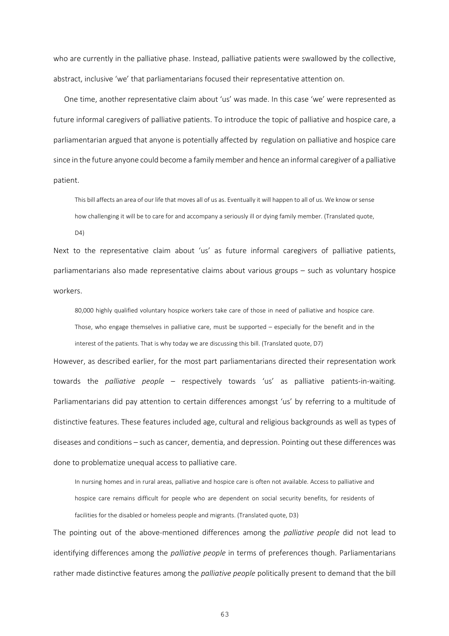who are currently in the palliative phase. Instead, palliative patients were swallowed by the collective, abstract, inclusive 'we' that parliamentarians focused their representative attention on.

One time, another representative claim about 'us' was made. In this case 'we' were represented as future informal caregivers of palliative patients. To introduce the topic of palliative and hospice care, a parliamentarian argued that anyone is potentially affected by regulation on palliative and hospice care since in the future anyone could become a family member and hence an informal caregiver of a palliative patient.

This bill affects an area of our life that moves all of us as. Eventually it will happen to all of us. We know or sense how challenging it will be to care for and accompany a seriously ill or dying family member. (Translated quote, D4)

Next to the representative claim about 'us' as future informal caregivers of palliative patients, parliamentarians also made representative claims about various groups – such as voluntary hospice workers.

80,000 highly qualified voluntary hospice workers take care of those in need of palliative and hospice care. Those, who engage themselves in palliative care, must be supported – especially for the benefit and in the interest of the patients. That is why today we are discussing this bill. (Translated quote, D7)

However, as described earlier, for the most part parliamentarians directed their representation work towards the *palliative people* – respectively towards 'us' as palliative patients-in-waiting. Parliamentarians did pay attention to certain differences amongst 'us' by referring to a multitude of distinctive features. These features included age, cultural and religious backgrounds as well as types of diseases and conditions – such as cancer, dementia, and depression. Pointing out these differences was done to problematize unequal access to palliative care.

In nursing homes and in rural areas, palliative and hospice care is often not available. Access to palliative and hospice care remains difficult for people who are dependent on social security benefits, for residents of facilities for the disabled or homeless people and migrants. (Translated quote, D3)

The pointing out of the above-mentioned differences among the *palliative people* did not lead to identifying differences among the *palliative people* in terms of preferences though. Parliamentarians rather made distinctive features among the *palliative people* politically present to demand that the bill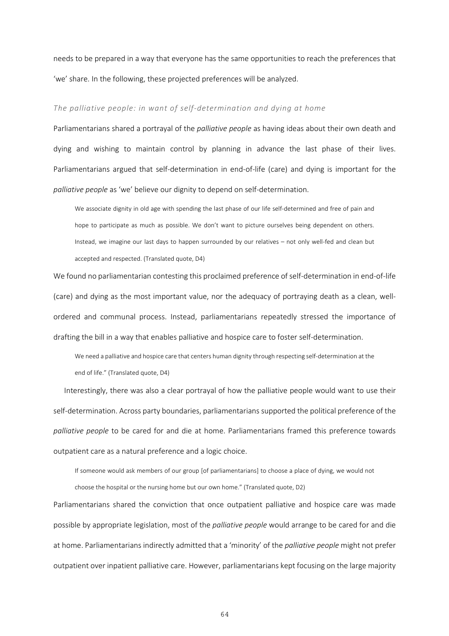needs to be prepared in a way that everyone has the same opportunities to reach the preferences that 'we' share. In the following, these projected preferences will be analyzed.

#### *The palliative people: in want of self-determination and dying at home*

Parliamentarians shared a portrayal of the *palliative people* as having ideas about their own death and dying and wishing to maintain control by planning in advance the last phase of their lives. Parliamentarians argued that self-determination in end-of-life (care) and dying is important for the *palliative people* as 'we' believe our dignity to depend on self-determination.

We associate dignity in old age with spending the last phase of our life self-determined and free of pain and hope to participate as much as possible. We don't want to picture ourselves being dependent on others. Instead, we imagine our last days to happen surrounded by our relatives – not only well-fed and clean but accepted and respected. (Translated quote, D4)

We found no parliamentarian contesting this proclaimed preference of self-determination in end-of-life (care) and dying as the most important value, nor the adequacy of portraying death as a clean, wellordered and communal process. Instead, parliamentarians repeatedly stressed the importance of drafting the bill in a way that enables palliative and hospice care to foster self-determination.

We need a palliative and hospice care that centers human dignity through respecting self-determination at the end of life." (Translated quote, D4)

Interestingly, there was also a clear portrayal of how the palliative people would want to use their self-determination. Across party boundaries, parliamentarians supported the political preference of the *palliative people* to be cared for and die at home. Parliamentarians framed this preference towards outpatient care as a natural preference and a logic choice.

If someone would ask members of our group [of parliamentarians] to choose a place of dying, we would not choose the hospital or the nursing home but our own home." (Translated quote, D2)

Parliamentarians shared the conviction that once outpatient palliative and hospice care was made possible by appropriate legislation, most of the *palliative people* would arrange to be cared for and die at home. Parliamentarians indirectly admitted that a 'minority' of the *palliative people* might not prefer outpatient over inpatient palliative care. However, parliamentarians kept focusing on the large majority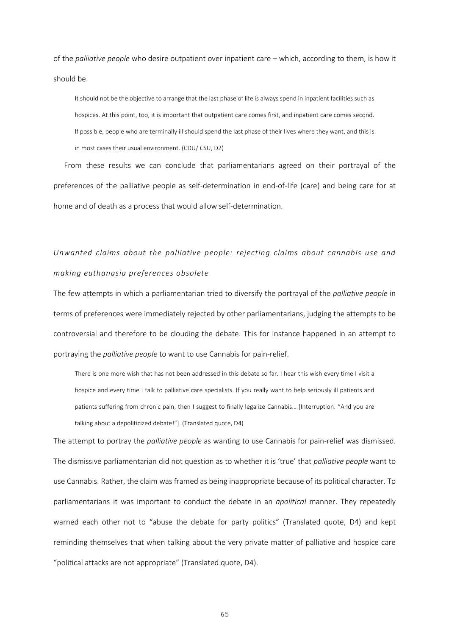of the *palliative people* who desire outpatient over inpatient care – which, according to them, is how it should be.

It should not be the objective to arrange that the last phase of life is always spend in inpatient facilities such as hospices. At this point, too, it is important that outpatient care comes first, and inpatient care comes second. If possible, people who are terminally ill should spend the last phase of their lives where they want, and this is in most cases their usual environment. (CDU/ CSU, D2)

From these results we can conclude that parliamentarians agreed on their portrayal of the preferences of the palliative people as self-determination in end-of-life (care) and being care for at home and of death as a process that would allow self-determination.

## *Unwanted claims about the palliative people: rejecting claims about cannabis use and making euthanasia preferences obsolete*

The few attempts in which a parliamentarian tried to diversify the portrayal of the *palliative people* in terms of preferences were immediately rejected by other parliamentarians, judging the attempts to be controversial and therefore to be clouding the debate. This for instance happened in an attempt to portraying the *palliative people* to want to use Cannabis for pain-relief.

There is one more wish that has not been addressed in this debate so far. I hear this wish every time I visit a hospice and every time I talk to palliative care specialists. If you really want to help seriously ill patients and patients suffering from chronic pain, then I suggest to finally legalize Cannabis… [Interruption: "And you are talking about a depoliticized debate!"] (Translated quote, D4)

The attempt to portray the *palliative people* as wanting to use Cannabis for pain-relief was dismissed. The dismissive parliamentarian did not question as to whether it is 'true' that *palliative people* want to use Cannabis. Rather, the claim was framed as being inappropriate because of its political character. To parliamentarians it was important to conduct the debate in an *apolitical* manner. They repeatedly warned each other not to "abuse the debate for party politics" (Translated quote, D4) and kept reminding themselves that when talking about the very private matter of palliative and hospice care "political attacks are not appropriate" (Translated quote, D4).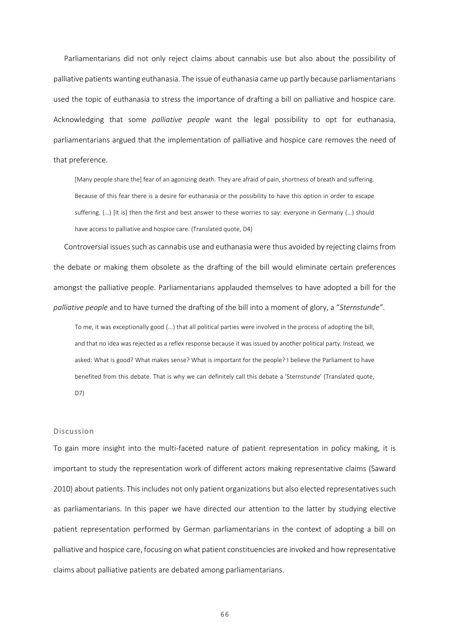Parliamentarians did not only reject claims about cannabis use but also about the possibility of palliative patients wanting euthanasia. The issue of euthanasia came up partly because parliamentarians used the topic of euthanasia to stress the importance of drafting a bill on palliative and hospice care. Acknowledging that some *palliative people* want the legal possibility to opt for euthanasia, parliamentarians argued that the implementation of palliative and hospice care removes the need of that preference.

[Many people share the] fear of an agonizing death. They are afraid of pain, shortness of breath and suffering. Because of this fear there is a desire for euthanasia or the possibility to have this option in order to escape suffering. (…) [It is] then the first and best answer to these worries to say: everyone in Germany (…) should have access to palliative and hospice care. (Translated quote, D4)

Controversial issues such as cannabis use and euthanasia were thus avoided by rejecting claims from the debate or making them obsolete as the drafting of the bill would eliminate certain preferences amongst the palliative people. Parliamentarians applauded themselves to have adopted a bill for the *palliative people* and to have turned the drafting of the bill into a moment of glory, a "*Sternstunde"*.

To me, it was exceptionally good (...) that all political parties were involved in the process of adopting the bill, and that no idea was rejected as a reflex response because it was issued by another political party. Instead, we asked: What is good? What makes sense? What is important for the people? I believe the Parliament to have benefited from this debate. That is why we can definitely call this debate a 'Sternstunde' (Translated quote, D7)

#### Discussion

To gain more insight into the multi-faceted nature of patient representation in policy making, it is important to study the representation work of different actors making representative claims (Saward 2010) about patients. This includes not only patient organizations but also elected representatives such as parliamentarians. In this paper we have directed our attention to the latter by studying elective patient representation performed by German parliamentarians in the context of adopting a bill on palliative and hospice care, focusing on what patient constituencies are invoked and how representative claims about palliative patients are debated among parliamentarians.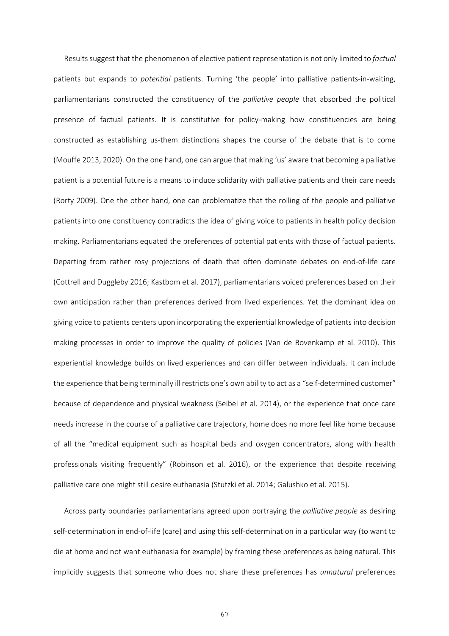Results suggest that the phenomenon of elective patient representation is not only limited to *factual* patients but expands to *potential* patients. Turning 'the people' into palliative patients-in-waiting, parliamentarians constructed the constituency of the *palliative people* that absorbed the political presence of factual patients. It is constitutive for policy-making how constituencies are being constructed as establishing us-them distinctions shapes the course of the debate that is to come (Mouffe 2013, 2020). On the one hand, one can argue that making 'us' aware that becoming a palliative patient is a potential future is a means to induce solidarity with palliative patients and their care needs (Rorty 2009). One the other hand, one can problematize that the rolling of the people and palliative patients into one constituency contradicts the idea of giving voice to patients in health policy decision making. Parliamentarians equated the preferences of potential patients with those of factual patients. Departing from rather rosy projections of death that often dominate debates on end-of-life care (Cottrell and Duggleby 2016; Kastbom et al. 2017), parliamentarians voiced preferences based on their own anticipation rather than preferences derived from lived experiences. Yet the dominant idea on giving voice to patients centers upon incorporating the experiential knowledge of patients into decision making processes in order to improve the quality of policies (Van de Bovenkamp et al. 2010). This experiential knowledge builds on lived experiences and can differ between individuals. It can include the experience that being terminally ill restricts one's own ability to act as a "self-determined customer" because of dependence and physical weakness (Seibel et al. 2014), or the experience that once care needs increase in the course of a palliative care trajectory, home does no more feel like home because of all the "medical equipment such as hospital beds and oxygen concentrators, along with health professionals visiting frequently" (Robinson et al. 2016), or the experience that despite receiving palliative care one might still desire euthanasia (Stutzki et al. 2014; Galushko et al. 2015).

Across party boundaries parliamentarians agreed upon portraying the *palliative people* as desiring self-determination in end-of-life (care) and using this self-determination in a particular way (to want to die at home and not want euthanasia for example) by framing these preferences as being natural. This implicitly suggests that someone who does not share these preferences has *unnatural* preferences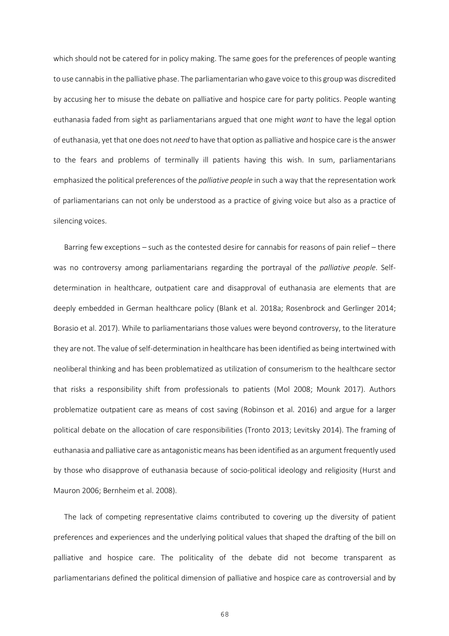which should not be catered for in policy making. The same goes for the preferences of people wanting to use cannabis in the palliative phase. The parliamentarian who gave voice to this group was discredited by accusing her to misuse the debate on palliative and hospice care for party politics. People wanting euthanasia faded from sight as parliamentarians argued that one might *want* to have the legal option of euthanasia, yet that one does not *need* to have that option as palliative and hospice care is the answer to the fears and problems of terminally ill patients having this wish. In sum, parliamentarians emphasized the political preferences of the *palliative people* in such a way that the representation work of parliamentarians can not only be understood as a practice of giving voice but also as a practice of silencing voices.

Barring few exceptions – such as the contested desire for cannabis for reasons of pain relief – there was no controversy among parliamentarians regarding the portrayal of the *palliative people*. Selfdetermination in healthcare, outpatient care and disapproval of euthanasia are elements that are deeply embedded in German healthcare policy (Blank et al. 2018a; Rosenbrock and Gerlinger 2014; Borasio et al. 2017). While to parliamentarians those values were beyond controversy, to the literature they are not. The value of self-determination in healthcare has been identified as being intertwined with neoliberal thinking and has been problematized as utilization of consumerism to the healthcare sector that risks a responsibility shift from professionals to patients (Mol 2008; Mounk 2017). Authors problematize outpatient care as means of cost saving (Robinson et al. 2016) and argue for a larger political debate on the allocation of care responsibilities (Tronto 2013; Levitsky 2014). The framing of euthanasia and palliative care as antagonistic means has been identified as an argument frequently used by those who disapprove of euthanasia because of socio-political ideology and religiosity (Hurst and Mauron 2006; Bernheim et al. 2008).

The lack of competing representative claims contributed to covering up the diversity of patient preferences and experiences and the underlying political values that shaped the drafting of the bill on palliative and hospice care. The politicality of the debate did not become transparent as parliamentarians defined the political dimension of palliative and hospice care as controversial and by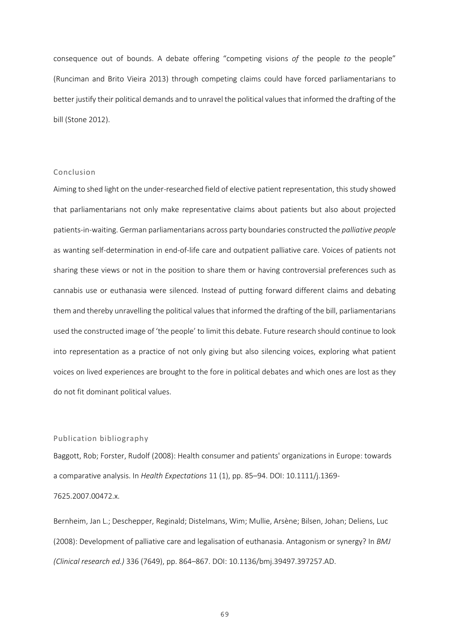consequence out of bounds. A debate offering "competing visions *of* the people *to* the people" (Runciman and Brito Vieira 2013) through competing claims could have forced parliamentarians to better justify their political demands and to unravel the political values that informed the drafting of the bill (Stone 2012).

### Conclusion

Aiming to shed light on the under-researched field of elective patient representation, this study showed that parliamentarians not only make representative claims about patients but also about projected patients-in-waiting. German parliamentarians across party boundaries constructed the *palliative people* as wanting self-determination in end-of-life care and outpatient palliative care. Voices of patients not sharing these views or not in the position to share them or having controversial preferences such as cannabis use or euthanasia were silenced. Instead of putting forward different claims and debating them and thereby unravelling the political values that informed the drafting of the bill, parliamentarians used the constructed image of 'the people' to limit this debate. Future research should continue to look into representation as a practice of not only giving but also silencing voices, exploring what patient voices on lived experiences are brought to the fore in political debates and which ones are lost as they do not fit dominant political values.

## Publication bibliography

Baggott, Rob; Forster, Rudolf (2008): Health consumer and patients' organizations in Europe: towards a comparative analysis. In *Health Expectations* 11 (1), pp. 85–94. DOI: 10.1111/j.1369- 7625.2007.00472.x.

Bernheim, Jan L.; Deschepper, Reginald; Distelmans, Wim; Mullie, Arsène; Bilsen, Johan; Deliens, Luc (2008): Development of palliative care and legalisation of euthanasia. Antagonism or synergy? In *BMJ (Clinical research ed.)* 336 (7649), pp. 864–867. DOI: 10.1136/bmj.39497.397257.AD.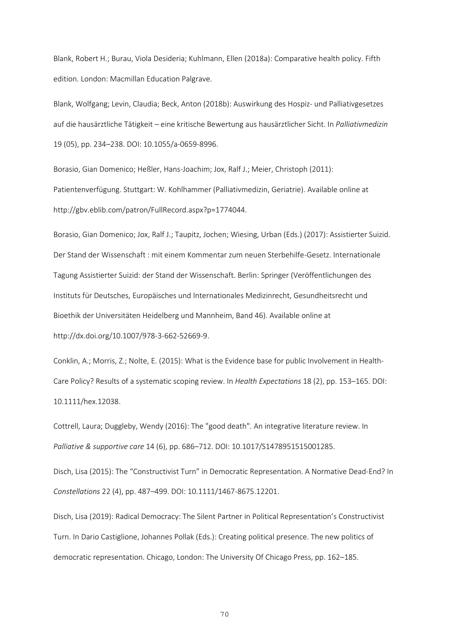Blank, Robert H.; Burau, Viola Desideria; Kuhlmann, Ellen (2018a): Comparative health policy. Fifth edition. London: Macmillan Education Palgrave.

Blank, Wolfgang; Levin, Claudia; Beck, Anton (2018b): Auswirkung des Hospiz- und Palliativgesetzes auf die hausärztliche Tätigkeit – eine kritische Bewertung aus hausärztlicher Sicht. In *Palliativmedizin*  19 (05), pp. 234–238. DOI: 10.1055/a-0659-8996.

Borasio, Gian Domenico; Heßler, Hans-Joachim; Jox, Ralf J.; Meier, Christoph (2011): Patientenverfügung. Stuttgart: W. Kohlhammer (Palliativmedizin, Geriatrie). Available online at http://gbv.eblib.com/patron/FullRecord.aspx?p=1774044.

Borasio, Gian Domenico; Jox, Ralf J.; Taupitz, Jochen; Wiesing, Urban (Eds.) (2017): Assistierter Suizid. Der Stand der Wissenschaft : mit einem Kommentar zum neuen Sterbehilfe-Gesetz. Internationale Tagung Assistierter Suizid: der Stand der Wissenschaft. Berlin: Springer (Veröffentlichungen des Instituts für Deutsches, Europäisches und Internationales Medizinrecht, Gesundheitsrecht und Bioethik der Universitäten Heidelberg und Mannheim, Band 46). Available online at http://dx.doi.org/10.1007/978-3-662-52669-9.

Conklin, A.; Morris, Z.; Nolte, E. (2015): What is the Evidence base for public Involvement in Health-Care Policy? Results of a systematic scoping review. In *Health Expectations* 18 (2), pp. 153–165. DOI: 10.1111/hex.12038.

Cottrell, Laura; Duggleby, Wendy (2016): The "good death". An integrative literature review. In *Palliative & supportive care* 14 (6), pp. 686–712. DOI: 10.1017/S1478951515001285.

Disch, Lisa (2015): The "Constructivist Turn" in Democratic Representation. A Normative Dead-End? In *Constellations* 22 (4), pp. 487–499. DOI: 10.1111/1467-8675.12201.

Disch, Lisa (2019): Radical Democracy: The Silent Partner in Political Representation's Constructivist Turn. In Dario Castiglione, Johannes Pollak (Eds.): Creating political presence. The new politics of democratic representation. Chicago, London: The University Of Chicago Press, pp. 162–185.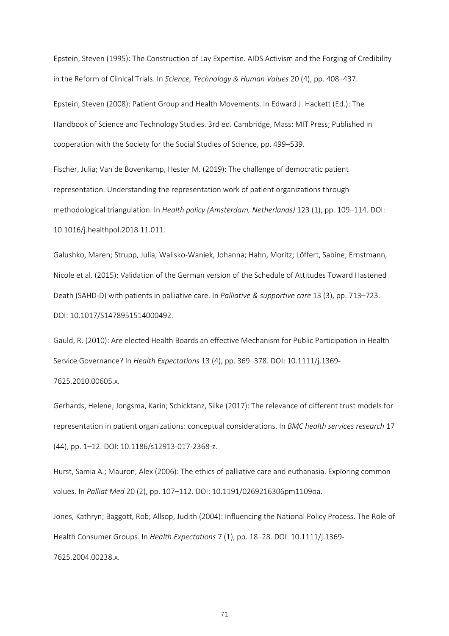Epstein, Steven (1995): The Construction of Lay Expertise. AIDS Activism and the Forging of Credibility in the Reform of Clinical Trials. In *Science, Technology & Human Values* 20 (4), pp. 408–437.

Epstein, Steven (2008): Patient Group and Health Movements. In Edward J. Hackett (Ed.): The Handbook of Science and Technology Studies. 3rd ed. Cambridge, Mass: MIT Press; Published in cooperation with the Society for the Social Studies of Science, pp. 499–539.

Fischer, Julia; Van de Bovenkamp, Hester M. (2019): The challenge of democratic patient representation. Understanding the representation work of patient organizations through methodological triangulation. In *Health policy (Amsterdam, Netherlands)* 123 (1), pp. 109–114. DOI: 10.1016/j.healthpol.2018.11.011.

Galushko, Maren; Strupp, Julia; Walisko-Waniek, Johanna; Hahn, Moritz; Löffert, Sabine; Ernstmann, Nicole et al. (2015): Validation of the German version of the Schedule of Attitudes Toward Hastened Death (SAHD-D) with patients in palliative care. In *Palliative & supportive care* 13 (3), pp. 713–723. DOI: 10.1017/S1478951514000492.

Gauld, R. (2010): Are elected Health Boards an effective Mechanism for Public Participation in Health Service Governance? In *Health Expectations* 13 (4), pp. 369–378. DOI: 10.1111/j.1369- 7625.2010.00605.x.

Gerhards, Helene; Jongsma, Karin; Schicktanz, Silke (2017): The relevance of different trust models for representation in patient organizations: conceptual considerations. In *BMC health services research* 17 (44), pp. 1–12. DOI: 10.1186/s12913-017-2368-z.

Hurst, Samia A.; Mauron, Alex (2006): The ethics of palliative care and euthanasia. Exploring common values. In *Palliat Med* 20 (2), pp. 107–112. DOI: 10.1191/0269216306pm1109oa.

Jones, Kathryn; Baggott, Rob; Allsop, Judith (2004): Influencing the National Policy Process. The Role of Health Consumer Groups. In *Health Expectations* 7 (1), pp. 18–28. DOI: 10.1111/j.1369- 7625.2004.00238.x.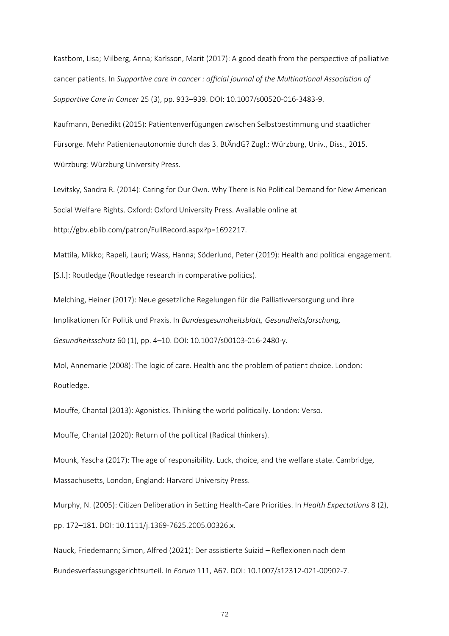Kastbom, Lisa; Milberg, Anna; Karlsson, Marit (2017): A good death from the perspective of palliative cancer patients. In *Supportive care in cancer : official journal of the Multinational Association of Supportive Care in Cancer* 25 (3), pp. 933–939. DOI: 10.1007/s00520-016-3483-9.

Kaufmann, Benedikt (2015): Patientenverfügungen zwischen Selbstbestimmung und staatlicher Fürsorge. Mehr Patientenautonomie durch das 3. BtÄndG? Zugl.: Würzburg, Univ., Diss., 2015. Würzburg: Würzburg University Press.

Levitsky, Sandra R. (2014): Caring for Our Own. Why There is No Political Demand for New American Social Welfare Rights. Oxford: Oxford University Press. Available online at http://gbv.eblib.com/patron/FullRecord.aspx?p=1692217.

Mattila, Mikko; Rapeli, Lauri; Wass, Hanna; Söderlund, Peter (2019): Health and political engagement. [S.l.]: Routledge (Routledge research in comparative politics).

Melching, Heiner (2017): Neue gesetzliche Regelungen für die Palliativversorgung und ihre Implikationen für Politik und Praxis. In *Bundesgesundheitsblatt, Gesundheitsforschung, Gesundheitsschutz* 60 (1), pp. 4–10. DOI: 10.1007/s00103-016-2480-y.

Mol, Annemarie (2008): The logic of care. Health and the problem of patient choice. London: Routledge.

Mouffe, Chantal (2013): Agonistics. Thinking the world politically. London: Verso.

Mouffe, Chantal (2020): Return of the political (Radical thinkers).

Mounk, Yascha (2017): The age of responsibility. Luck, choice, and the welfare state. Cambridge, Massachusetts, London, England: Harvard University Press.

Murphy, N. (2005): Citizen Deliberation in Setting Health-Care Priorities. In *Health Expectations* 8 (2), pp. 172–181. DOI: 10.1111/j.1369-7625.2005.00326.x.

Nauck, Friedemann; Simon, Alfred (2021): Der assistierte Suizid – Reflexionen nach dem Bundesverfassungsgerichtsurteil. In *Forum* 111, A67. DOI: 10.1007/s12312-021-00902-7.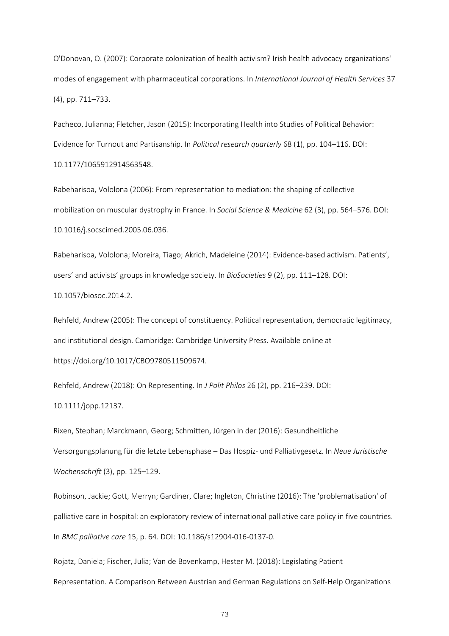O'Donovan, O. (2007): Corporate colonization of health activism? Irish health advocacy organizations' modes of engagement with pharmaceutical corporations. In *International Journal of Health Services* 37 (4), pp. 711–733.

Pacheco, Julianna; Fletcher, Jason (2015): Incorporating Health into Studies of Political Behavior: Evidence for Turnout and Partisanship. In *Political research quarterly* 68 (1), pp. 104–116. DOI: 10.1177/1065912914563548.

Rabeharisoa, Vololona (2006): From representation to mediation: the shaping of collective mobilization on muscular dystrophy in France. In *Social Science & Medicine* 62 (3), pp. 564–576. DOI: 10.1016/j.socscimed.2005.06.036.

Rabeharisoa, Vololona; Moreira, Tiago; Akrich, Madeleine (2014): Evidence-based activism. Patients', users' and activists' groups in knowledge society. In *BioSocieties* 9 (2), pp. 111–128. DOI: 10.1057/biosoc.2014.2.

Rehfeld, Andrew (2005): The concept of constituency. Political representation, democratic legitimacy, and institutional design. Cambridge: Cambridge University Press. Available online at https://doi.org/10.1017/CBO9780511509674.

Rehfeld, Andrew (2018): On Representing. In *J Polit Philos* 26 (2), pp. 216–239. DOI: 10.1111/jopp.12137.

Rixen, Stephan; Marckmann, Georg; Schmitten, Jürgen in der (2016): Gesundheitliche Versorgungsplanung für die letzte Lebensphase – Das Hospiz- und Palliativgesetz. In *Neue Juristische Wochenschrift* (3), pp. 125–129.

Robinson, Jackie; Gott, Merryn; Gardiner, Clare; Ingleton, Christine (2016): The 'problematisation' of palliative care in hospital: an exploratory review of international palliative care policy in five countries. In *BMC palliative care* 15, p. 64. DOI: 10.1186/s12904-016-0137-0.

Rojatz, Daniela; Fischer, Julia; Van de Bovenkamp, Hester M. (2018): Legislating Patient Representation. A Comparison Between Austrian and German Regulations on Self-Help Organizations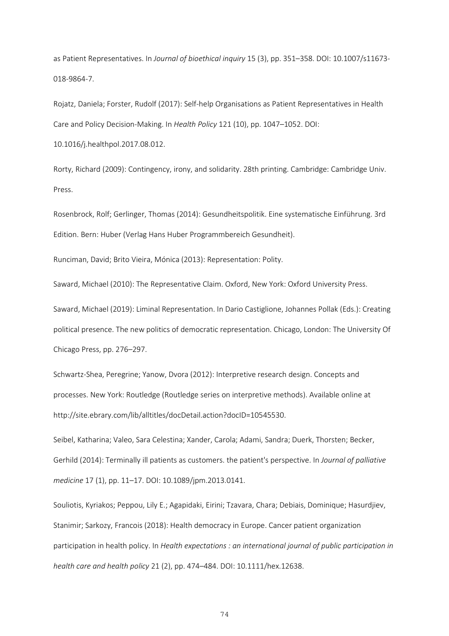as Patient Representatives. In *Journal of bioethical inquiry* 15 (3), pp. 351–358. DOI: 10.1007/s11673- 018-9864-7.

Rojatz, Daniela; Forster, Rudolf (2017): Self-help Organisations as Patient Representatives in Health Care and Policy Decision-Making. In *Health Policy* 121 (10), pp. 1047–1052. DOI:

10.1016/j.healthpol.2017.08.012.

Rorty, Richard (2009): Contingency, irony, and solidarity. 28th printing. Cambridge: Cambridge Univ. Press.

Rosenbrock, Rolf; Gerlinger, Thomas (2014): Gesundheitspolitik. Eine systematische Einführung. 3rd Edition. Bern: Huber (Verlag Hans Huber Programmbereich Gesundheit).

Runciman, David; Brito Vieira, Mónica (2013): Representation: Polity.

Saward, Michael (2010): The Representative Claim. Oxford, New York: Oxford University Press.

Saward, Michael (2019): Liminal Representation. In Dario Castiglione, Johannes Pollak (Eds.): Creating political presence. The new politics of democratic representation. Chicago, London: The University Of Chicago Press, pp. 276–297.

Schwartz-Shea, Peregrine; Yanow, Dvora (2012): Interpretive research design. Concepts and processes. New York: Routledge (Routledge series on interpretive methods). Available online at http://site.ebrary.com/lib/alltitles/docDetail.action?docID=10545530.

Seibel, Katharina; Valeo, Sara Celestina; Xander, Carola; Adami, Sandra; Duerk, Thorsten; Becker, Gerhild (2014): Terminally ill patients as customers. the patient's perspective. In *Journal of palliative medicine* 17 (1), pp. 11–17. DOI: 10.1089/jpm.2013.0141.

Souliotis, Kyriakos; Peppou, Lily E.; Agapidaki, Eirini; Tzavara, Chara; Debiais, Dominique; Hasurdjiev, Stanimir; Sarkozy, Francois (2018): Health democracy in Europe. Cancer patient organization participation in health policy. In *Health expectations : an international journal of public participation in health care and health policy* 21 (2), pp. 474–484. DOI: 10.1111/hex.12638.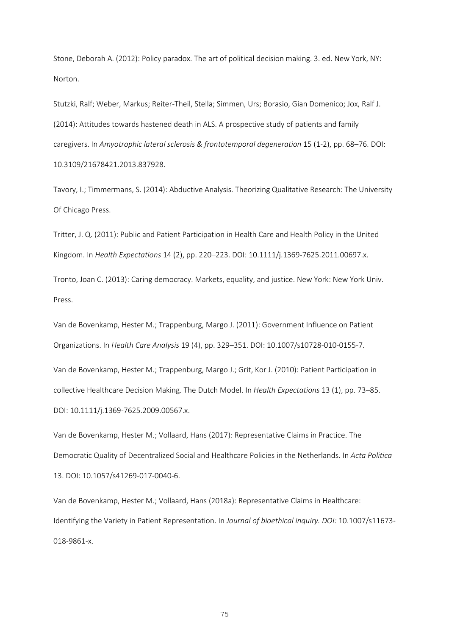Stone, Deborah A. (2012): Policy paradox. The art of political decision making. 3. ed. New York, NY: Norton.

Stutzki, Ralf; Weber, Markus; Reiter-Theil, Stella; Simmen, Urs; Borasio, Gian Domenico; Jox, Ralf J. (2014): Attitudes towards hastened death in ALS. A prospective study of patients and family caregivers. In *Amyotrophic lateral sclerosis & frontotemporal degeneration* 15 (1-2), pp. 68–76. DOI: 10.3109/21678421.2013.837928.

Tavory, I.; Timmermans, S. (2014): Abductive Analysis. Theorizing Qualitative Research: The University Of Chicago Press.

Tritter, J. Q. (2011): Public and Patient Participation in Health Care and Health Policy in the United Kingdom. In *Health Expectations* 14 (2), pp. 220–223. DOI: 10.1111/j.1369-7625.2011.00697.x.

Tronto, Joan C. (2013): Caring democracy. Markets, equality, and justice. New York: New York Univ. Press.

Van de Bovenkamp, Hester M.; Trappenburg, Margo J. (2011): Government Influence on Patient Organizations. In *Health Care Analysis* 19 (4), pp. 329–351. DOI: 10.1007/s10728-010-0155-7.

Van de Bovenkamp, Hester M.; Trappenburg, Margo J.; Grit, Kor J. (2010): Patient Participation in collective Healthcare Decision Making. The Dutch Model. In *Health Expectations* 13 (1), pp. 73–85. DOI: 10.1111/j.1369-7625.2009.00567.x.

Van de Bovenkamp, Hester M.; Vollaard, Hans (2017): Representative Claims in Practice. The Democratic Quality of Decentralized Social and Healthcare Policies in the Netherlands. In *Acta Politica*  13. DOI: 10.1057/s41269-017-0040-6.

Van de Bovenkamp, Hester M.; Vollaard, Hans (2018a): Representative Claims in Healthcare: Identifying the Variety in Patient Representation. In *Journal of bioethical inquiry. DOI:* 10.1007/s11673- 018-9861-x.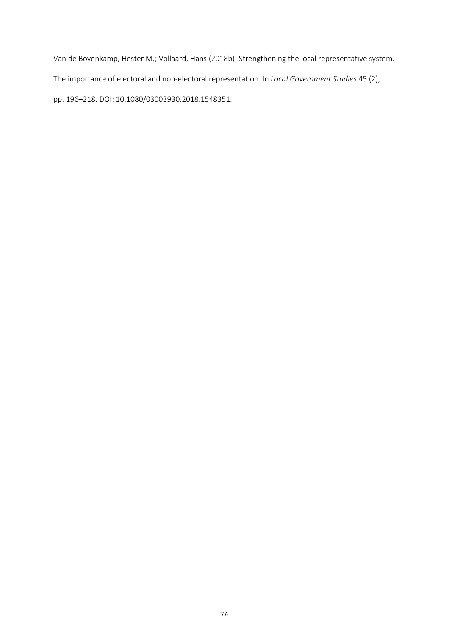Van de Bovenkamp, Hester M.; Vollaard, Hans (2018b): Strengthening the local representative system. The importance of electoral and non-electoral representation. In *Local Government Studies* 45 (2), pp. 196–218. DOI: 10.1080/03003930.2018.1548351.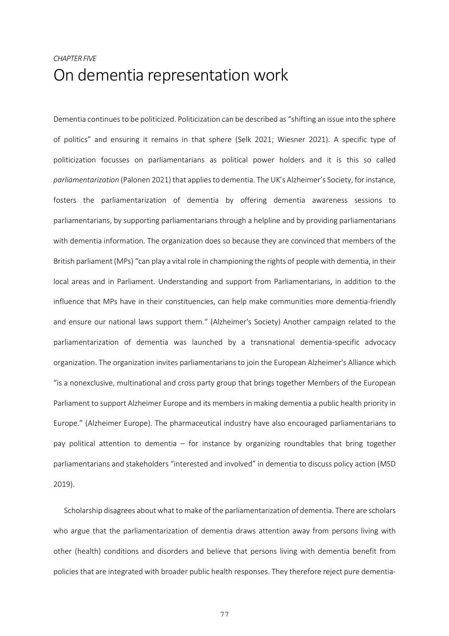## *CHAPTER FIVE*  On dementia representation work

Dementia continues to be politicized. Politicization can be described as "shifting an issue into the sphere of politics" and ensuring it remains in that sphere (Selk 2021; Wiesner 2021). A specific type of politicization focusses on parliamentarians as political power holders and it is this so called *parliamentarization* (Palonen 2021) that applies to dementia. The UK's Alzheimer's Society, for instance, fosters the parliamentarization of dementia by offering dementia awareness sessions to parliamentarians, by supporting parliamentarians through a helpline and by providing parliamentarians with dementia information. The organization does so because they are convinced that members of the British parliament (MPs) "can play a vital role in championing the rights of people with dementia, in their local areas and in Parliament. Understanding and support from Parliamentarians, in addition to the influence that MPs have in their constituencies, can help make communities more dementia-friendly and ensure our national laws support them." (Alzheimer's Society) Another campaign related to the parliamentarization of dementia was launched by a transnational dementia-specific advocacy organization. The organization invites parliamentarians to join the European Alzheimer's Alliance which "is a nonexclusive, multinational and cross party group that brings together Members of the European Parliament to support Alzheimer Europe and its members in making dementia a public health priority in Europe." (Alzheimer Europe). The pharmaceutical industry have also encouraged parliamentarians to pay political attention to dementia – for instance by organizing roundtables that bring together parliamentarians and stakeholders "interested and involved" in dementia to discuss policy action (MSD 2019).

Scholarship disagrees about what to make of the parliamentarization of dementia. There are scholars who argue that the parliamentarization of dementia draws attention away from persons living with other (health) conditions and disorders and believe that persons living with dementia benefit from policies that are integrated with broader public health responses. They therefore reject pure dementia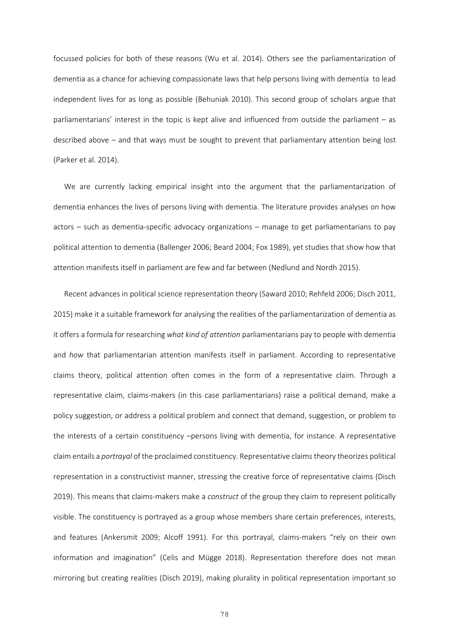focussed policies for both of these reasons (Wu et al. 2014). Others see the parliamentarization of dementia as a chance for achieving compassionate laws that help persons living with dementia to lead independent lives for as long as possible (Behuniak 2010). This second group of scholars argue that parliamentarians' interest in the topic is kept alive and influenced from outside the parliament – as described above – and that ways must be sought to prevent that parliamentary attention being lost (Parker et al. 2014).

We are currently lacking empirical insight into the argument that the parliamentarization of dementia enhances the lives of persons living with dementia. The literature provides analyses on how actors – such as dementia-specific advocacy organizations – manage to get parliamentarians to pay political attention to dementia (Ballenger 2006; Beard 2004; Fox 1989), yet studies that show how that attention manifests itself in parliament are few and far between (Nedlund and Nordh 2015).

Recent advances in political science representation theory (Saward 2010; Rehfeld 2006; Disch 2011, 2015) make it a suitable framework for analysing the realities of the parliamentarization of dementia as it offers a formula for researching *what kind of attention* parliamentarians pay to people with dementia and *how* that parliamentarian attention manifests itself in parliament. According to representative claims theory, political attention often comes in the form of a representative claim. Through a representative claim, claims-makers (in this case parliamentarians) raise a political demand, make a policy suggestion, or address a political problem and connect that demand, suggestion, or problem to the interests of a certain constituency –persons living with dementia, for instance. A representative claim entails a *portrayal* of the proclaimed constituency. Representative claims theory theorizes political representation in a constructivist manner, stressing the creative force of representative claims (Disch 2019). This means that claims-makers make a *construct* of the group they claim to represent politically visible. The constituency is portrayed as a group whose members share certain preferences, interests, and features (Ankersmit 2009; Alcoff 1991). For this portrayal, claims-makers "rely on their own information and imagination" (Celis and Mügge 2018). Representation therefore does not mean mirroring but creating realities (Disch 2019), making plurality in political representation important so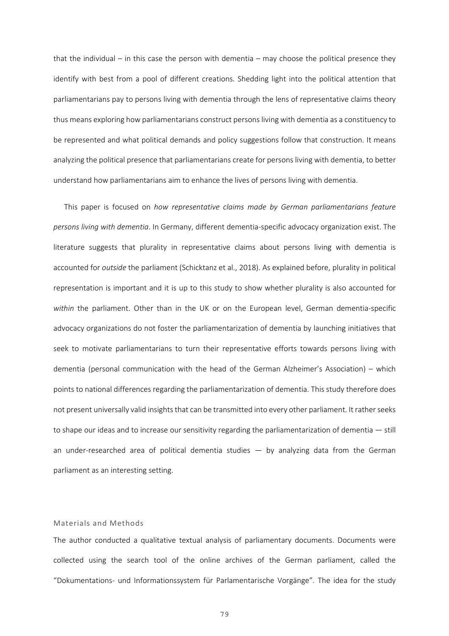that the individual – in this case the person with dementia – may choose the political presence they identify with best from a pool of different creations. Shedding light into the political attention that parliamentarians pay to persons living with dementia through the lens of representative claims theory thus means exploring how parliamentarians construct persons living with dementia as a constituency to be represented and what political demands and policy suggestions follow that construction. It means analyzing the political presence that parliamentarians create for persons living with dementia, to better understand how parliamentarians aim to enhance the lives of persons living with dementia.

This paper is focused on *how representative claims made by German parliamentarians feature persons living with dementia*. In Germany, different dementia-specific advocacy organization exist. The literature suggests that plurality in representative claims about persons living with dementia is accounted for *outside* the parliament (Schicktanz et al., 2018). As explained before, plurality in political representation is important and it is up to this study to show whether plurality is also accounted for *within* the parliament. Other than in the UK or on the European level, German dementia-specific advocacy organizations do not foster the parliamentarization of dementia by launching initiatives that seek to motivate parliamentarians to turn their representative efforts towards persons living with dementia (personal communication with the head of the German Alzheimer's Association) – which points to national differences regarding the parliamentarization of dementia. This study therefore does not present universally valid insights that can be transmitted into every other parliament. It rather seeks to shape our ideas and to increase our sensitivity regarding the parliamentarization of dementia — still an under-researched area of political dementia studies  $-$  by analyzing data from the German parliament as an interesting setting.

#### Materials and Methods

The author conducted a qualitative textual analysis of parliamentary documents. Documents were collected using the search tool of the online archives of the German parliament, called the "Dokumentations- und Informationssystem für Parlamentarische Vorgänge". The idea for the study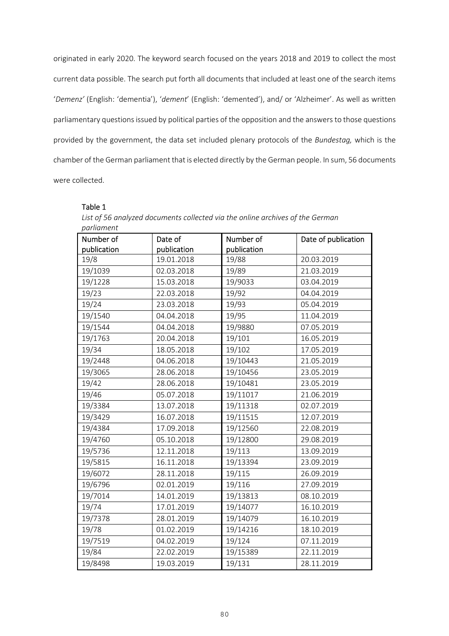originated in early 2020. The keyword search focused on the years 2018 and 2019 to collect the most current data possible. The search put forth all documents that included at least one of the search items '*Demenz'* (English: 'dementia'), '*dement*' (English: 'demented'), and/ or 'Alzheimer'. As well as written parliamentary questions issued by political parties of the opposition and the answers to those questions provided by the government, the data set included plenary protocols of the *Bundestag,* which is the chamber of the German parliament that is elected directly by the German people. In sum, 56 documents were collected.

### Table 1

| Number of   | Date of     | Number of   | Date of publication |
|-------------|-------------|-------------|---------------------|
| publication | publication | publication |                     |
| 19/8        | 19.01.2018  | 19/88       | 20.03.2019          |
| 19/1039     | 02.03.2018  | 19/89       | 21.03.2019          |
| 19/1228     | 15.03.2018  | 19/9033     | 03.04.2019          |
| 19/23       | 22.03.2018  | 19/92       | 04.04.2019          |
| 19/24       | 23.03.2018  | 19/93       | 05.04.2019          |
| 19/1540     | 04.04.2018  | 19/95       | 11.04.2019          |
| 19/1544     | 04.04.2018  | 19/9880     | 07.05.2019          |
| 19/1763     | 20.04.2018  | 19/101      | 16.05.2019          |
| 19/34       | 18.05.2018  | 19/102      | 17.05.2019          |
| 19/2448     | 04.06.2018  | 19/10443    | 21.05.2019          |
| 19/3065     | 28.06.2018  | 19/10456    | 23.05.2019          |
| 19/42       | 28.06.2018  | 19/10481    | 23.05.2019          |
| 19/46       | 05.07.2018  | 19/11017    | 21.06.2019          |
| 19/3384     | 13.07.2018  | 19/11318    | 02.07.2019          |
| 19/3429     | 16.07.2018  | 19/11515    | 12.07.2019          |
| 19/4384     | 17.09.2018  | 19/12560    | 22.08.2019          |
| 19/4760     | 05.10.2018  | 19/12800    | 29.08.2019          |
| 19/5736     | 12.11.2018  | 19/113      | 13.09.2019          |
| 19/5815     | 16.11.2018  | 19/13394    | 23.09.2019          |
| 19/6072     | 28.11.2018  | 19/115      | 26.09.2019          |
| 19/6796     | 02.01.2019  | 19/116      | 27.09.2019          |
| 19/7014     | 14.01.2019  | 19/13813    | 08.10.2019          |
| 19/74       | 17.01.2019  | 19/14077    | 16.10.2019          |
| 19/7378     | 28.01.2019  | 19/14079    | 16.10.2019          |
| 19/78       | 01.02.2019  | 19/14216    | 18.10.2019          |
| 19/7519     | 04.02.2019  | 19/124      | 07.11.2019          |
| 19/84       | 22.02.2019  | 19/15389    | 22.11.2019          |
| 19/8498     | 19.03.2019  | 19/131      | 28.11.2019          |

*List of 56 analyzed documents collected via the online archives of the German parliament*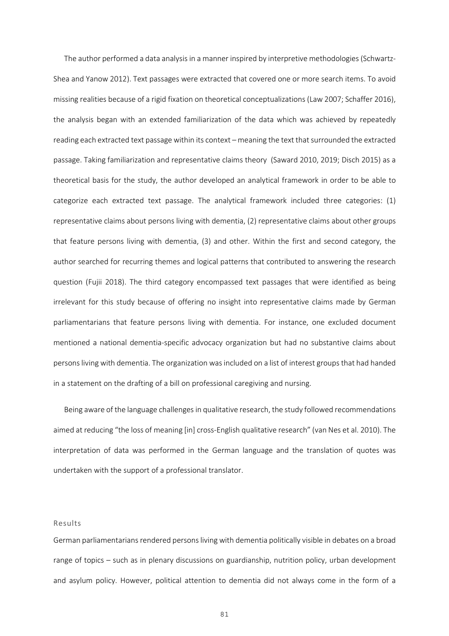The author performed a data analysis in a manner inspired by interpretive methodologies (Schwartz-Shea and Yanow 2012). Text passages were extracted that covered one or more search items. To avoid missing realities because of a rigid fixation on theoretical conceptualizations (Law 2007; Schaffer 2016), the analysis began with an extended familiarization of the data which was achieved by repeatedly reading each extracted text passage within its context – meaning the text that surrounded the extracted passage. Taking familiarization and representative claims theory (Saward 2010, 2019; Disch 2015) as a theoretical basis for the study, the author developed an analytical framework in order to be able to categorize each extracted text passage. The analytical framework included three categories: (1) representative claims about persons living with dementia, (2) representative claims about other groups that feature persons living with dementia, (3) and other. Within the first and second category, the author searched for recurring themes and logical patterns that contributed to answering the research question (Fujii 2018). The third category encompassed text passages that were identified as being irrelevant for this study because of offering no insight into representative claims made by German parliamentarians that feature persons living with dementia. For instance, one excluded document mentioned a national dementia-specific advocacy organization but had no substantive claims about persons living with dementia. The organization was included on a list of interest groups that had handed in a statement on the drafting of a bill on professional caregiving and nursing.

Being aware of the language challenges in qualitative research, the study followed recommendations aimed at reducing "the loss of meaning [in] cross-English qualitative research" (van Nes et al. 2010). The interpretation of data was performed in the German language and the translation of quotes was undertaken with the support of a professional translator.

#### Results

German parliamentarians rendered persons living with dementia politically visible in debates on a broad range of topics – such as in plenary discussions on guardianship, nutrition policy, urban development and asylum policy. However, political attention to dementia did not always come in the form of a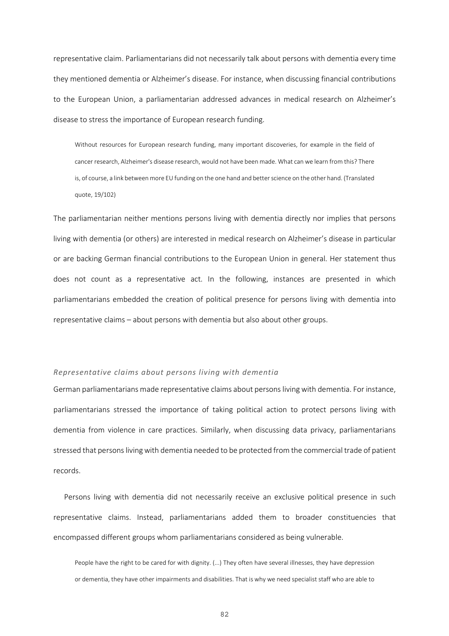representative claim. Parliamentarians did not necessarily talk about persons with dementia every time they mentioned dementia or Alzheimer's disease. For instance, when discussing financial contributions to the European Union, a parliamentarian addressed advances in medical research on Alzheimer's disease to stress the importance of European research funding.

Without resources for European research funding, many important discoveries, for example in the field of cancer research, Alzheimer's disease research, would not have been made. What can we learn from this? There is, of course, a link between more EU funding on the one hand and better science on the other hand. (Translated quote, 19/102)

The parliamentarian neither mentions persons living with dementia directly nor implies that persons living with dementia (or others) are interested in medical research on Alzheimer's disease in particular or are backing German financial contributions to the European Union in general. Her statement thus does not count as a representative act. In the following, instances are presented in which parliamentarians embedded the creation of political presence for persons living with dementia into representative claims – about persons with dementia but also about other groups.

#### *Representative claims about persons living with dementia*

German parliamentarians made representative claims about persons living with dementia. For instance, parliamentarians stressed the importance of taking political action to protect persons living with dementia from violence in care practices. Similarly, when discussing data privacy, parliamentarians stressed that persons living with dementia needed to be protected from the commercial trade of patient records.

Persons living with dementia did not necessarily receive an exclusive political presence in such representative claims. Instead, parliamentarians added them to broader constituencies that encompassed different groups whom parliamentarians considered as being vulnerable.

People have the right to be cared for with dignity. (...) They often have several illnesses, they have depression or dementia, they have other impairments and disabilities. That is why we need specialist staff who are able to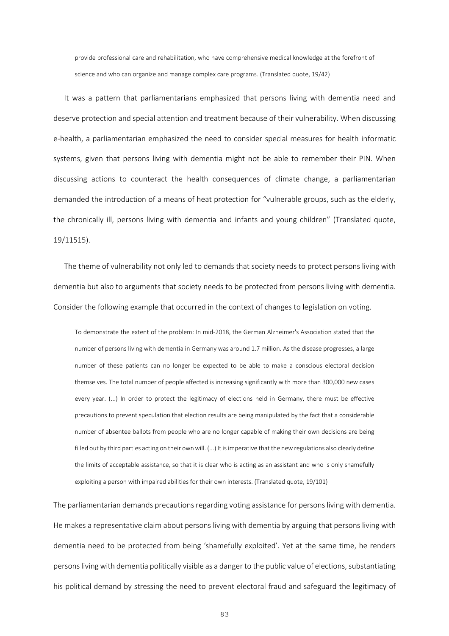provide professional care and rehabilitation, who have comprehensive medical knowledge at the forefront of science and who can organize and manage complex care programs. (Translated quote, 19/42)

It was a pattern that parliamentarians emphasized that persons living with dementia need and deserve protection and special attention and treatment because of their vulnerability. When discussing e-health, a parliamentarian emphasized the need to consider special measures for health informatic systems, given that persons living with dementia might not be able to remember their PIN. When discussing actions to counteract the health consequences of climate change, a parliamentarian demanded the introduction of a means of heat protection for "vulnerable groups, such as the elderly, the chronically ill, persons living with dementia and infants and young children" (Translated quote, 19/11515).

The theme of vulnerability not only led to demands that society needs to protect persons living with dementia but also to arguments that society needs to be protected from persons living with dementia. Consider the following example that occurred in the context of changes to legislation on voting.

To demonstrate the extent of the problem: In mid-2018, the German Alzheimer's Association stated that the number of persons living with dementia in Germany was around 1.7 million. As the disease progresses, a large number of these patients can no longer be expected to be able to make a conscious electoral decision themselves. The total number of people affected is increasing significantly with more than 300,000 new cases every year. (...) In order to protect the legitimacy of elections held in Germany, there must be effective precautions to prevent speculation that election results are being manipulated by the fact that a considerable number of absentee ballots from people who are no longer capable of making their own decisions are being filled out by third parties acting on their own will. (...) It is imperative that the new regulations also clearly define the limits of acceptable assistance, so that it is clear who is acting as an assistant and who is only shamefully exploiting a person with impaired abilities for their own interests. (Translated quote, 19/101)

The parliamentarian demands precautions regarding voting assistance for persons living with dementia. He makes a representative claim about persons living with dementia by arguing that persons living with dementia need to be protected from being 'shamefully exploited'. Yet at the same time, he renders persons living with dementia politically visible as a danger to the public value of elections, substantiating his political demand by stressing the need to prevent electoral fraud and safeguard the legitimacy of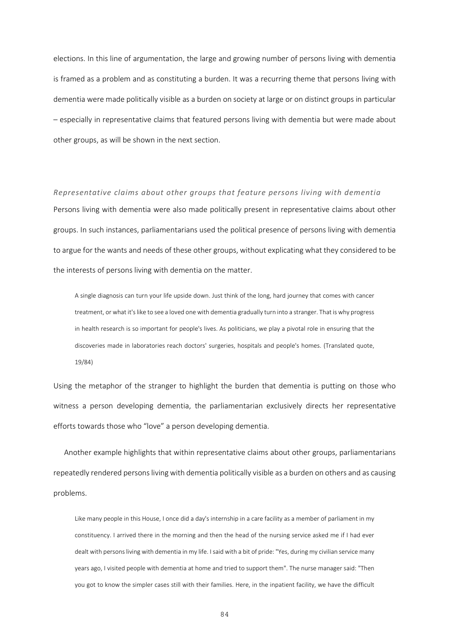elections. In this line of argumentation, the large and growing number of persons living with dementia is framed as a problem and as constituting a burden. It was a recurring theme that persons living with dementia were made politically visible as a burden on society at large or on distinct groups in particular – especially in representative claims that featured persons living with dementia but were made about other groups, as will be shown in the next section.

*Representative claims about other groups that feature persons living with dementia*  Persons living with dementia were also made politically present in representative claims about other groups. In such instances, parliamentarians used the political presence of persons living with dementia to argue for the wants and needs of these other groups, without explicating what they considered to be the interests of persons living with dementia on the matter.

A single diagnosis can turn your life upside down. Just think of the long, hard journey that comes with cancer treatment, or what it's like to see a loved one with dementia gradually turn into a stranger. That is why progress in health research is so important for people's lives. As politicians, we play a pivotal role in ensuring that the discoveries made in laboratories reach doctors' surgeries, hospitals and people's homes. (Translated quote, 19/84)

Using the metaphor of the stranger to highlight the burden that dementia is putting on those who witness a person developing dementia, the parliamentarian exclusively directs her representative efforts towards those who "love" a person developing dementia.

Another example highlights that within representative claims about other groups, parliamentarians repeatedly rendered persons living with dementia politically visible as a burden on others and as causing problems.

Like many people in this House, I once did a day's internship in a care facility as a member of parliament in my constituency. I arrived there in the morning and then the head of the nursing service asked me if I had ever dealt with persons living with dementia in my life. I said with a bit of pride: "Yes, during my civilian service many years ago, I visited people with dementia at home and tried to support them". The nurse manager said: "Then you got to know the simpler cases still with their families. Here, in the inpatient facility, we have the difficult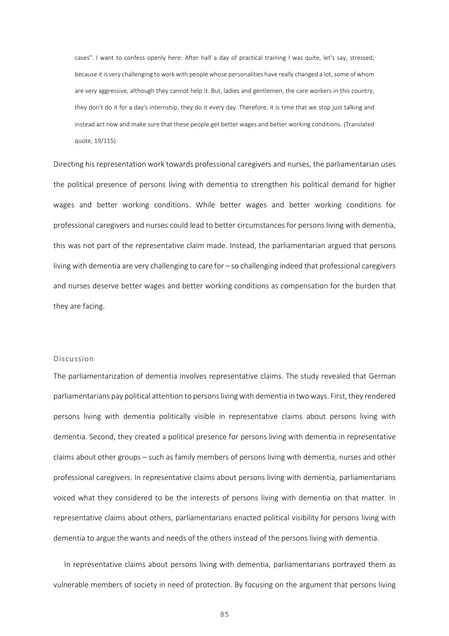cases". I want to confess openly here: After half a day of practical training I was quite, let's say, stressed, because it is very challenging to work with people whose personalities have really changed a lot, some of whom are very aggressive, although they cannot help it. But, ladies and gentlemen, the care workers in this country, they don't do it for a day's internship, they do it every day. Therefore, it is time that we stop just talking and instead act now and make sure that these people get better wages and better working conditions. (Translated quote, 19/115)

Directing his representation work towards professional caregivers and nurses, the parliamentarian uses the political presence of persons living with dementia to strengthen his political demand for higher wages and better working conditions. While better wages and better working conditions for professional caregivers and nurses could lead to better circumstances for persons living with dementia, this was not part of the representative claim made. Instead, the parliamentarian argued that persons living with dementia are very challenging to care for – so challenging indeed that professional caregivers and nurses deserve better wages and better working conditions as compensation for the burden that they are facing.

#### Discussion

The parliamentarization of dementia involves representative claims. The study revealed that German parliamentarians pay political attention to persons living with dementia in two ways. First, they rendered persons living with dementia politically visible in representative claims about persons living with dementia. Second, they created a political presence for persons living with dementia in representative claims about other groups – such as family members of persons living with dementia, nurses and other professional caregivers. In representative claims about persons living with dementia, parliamentarians voiced what they considered to be the interests of persons living with dementia on that matter. In representative claims about others, parliamentarians enacted political visibility for persons living with dementia to argue the wants and needs of the others instead of the persons living with dementia.

In representative claims about persons living with dementia, parliamentarians portrayed them as vulnerable members of society in need of protection. By focusing on the argument that persons living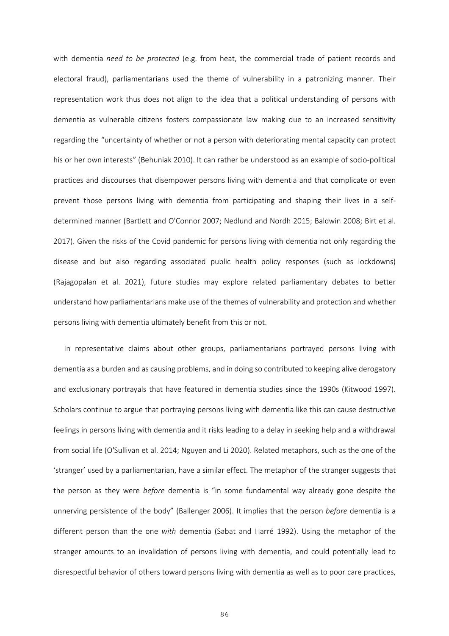with dementia *need to be protected* (e.g. from heat, the commercial trade of patient records and electoral fraud), parliamentarians used the theme of vulnerability in a patronizing manner. Their representation work thus does not align to the idea that a political understanding of persons with dementia as vulnerable citizens fosters compassionate law making due to an increased sensitivity regarding the "uncertainty of whether or not a person with deteriorating mental capacity can protect his or her own interests" (Behuniak 2010). It can rather be understood as an example of socio-political practices and discourses that disempower persons living with dementia and that complicate or even prevent those persons living with dementia from participating and shaping their lives in a selfdetermined manner (Bartlett and O'Connor 2007; Nedlund and Nordh 2015; Baldwin 2008; Birt et al. 2017). Given the risks of the Covid pandemic for persons living with dementia not only regarding the disease and but also regarding associated public health policy responses (such as lockdowns) (Rajagopalan et al. 2021), future studies may explore related parliamentary debates to better understand how parliamentarians make use of the themes of vulnerability and protection and whether persons living with dementia ultimately benefit from this or not.

In representative claims about other groups, parliamentarians portrayed persons living with dementia as a burden and as causing problems, and in doing so contributed to keeping alive derogatory and exclusionary portrayals that have featured in dementia studies since the 1990s (Kitwood 1997). Scholars continue to argue that portraying persons living with dementia like this can cause destructive feelings in persons living with dementia and it risks leading to a delay in seeking help and a withdrawal from social life (O'Sullivan et al. 2014; Nguyen and Li 2020). Related metaphors, such as the one of the 'stranger' used by a parliamentarian, have a similar effect. The metaphor of the stranger suggests that the person as they were *before* dementia is "in some fundamental way already gone despite the unnerving persistence of the body" (Ballenger 2006). It implies that the person *before* dementia is a different person than the one *with* dementia (Sabat and Harré 1992). Using the metaphor of the stranger amounts to an invalidation of persons living with dementia, and could potentially lead to disrespectful behavior of others toward persons living with dementia as well as to poor care practices,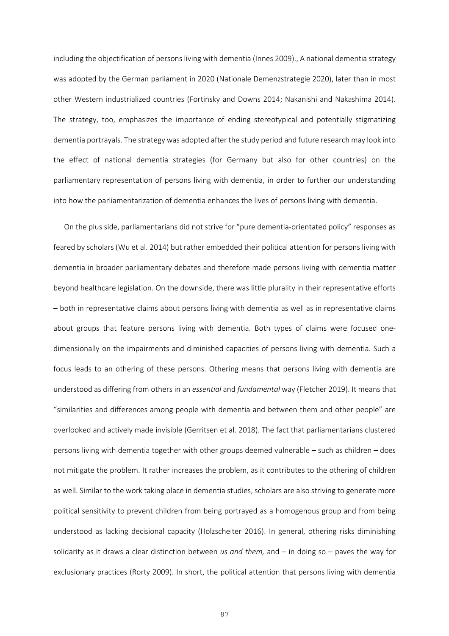including the objectification of persons living with dementia (Innes 2009)., A national dementia strategy was adopted by the German parliament in 2020 (Nationale Demenzstrategie 2020), later than in most other Western industrialized countries (Fortinsky and Downs 2014; Nakanishi and Nakashima 2014). The strategy, too, emphasizes the importance of ending stereotypical and potentially stigmatizing dementia portrayals. The strategy was adopted after the study period and future research may look into the effect of national dementia strategies (for Germany but also for other countries) on the parliamentary representation of persons living with dementia, in order to further our understanding into how the parliamentarization of dementia enhances the lives of persons living with dementia.

On the plus side, parliamentarians did not strive for "pure dementia-orientated policy" responses as feared by scholars (Wu et al. 2014) but rather embedded their political attention for persons living with dementia in broader parliamentary debates and therefore made persons living with dementia matter beyond healthcare legislation. On the downside, there was little plurality in their representative efforts – both in representative claims about persons living with dementia as well as in representative claims about groups that feature persons living with dementia. Both types of claims were focused onedimensionally on the impairments and diminished capacities of persons living with dementia. Such a focus leads to an othering of these persons. Othering means that persons living with dementia are understood as differing from others in an *essential* and *fundamental* way (Fletcher 2019). It means that "similarities and differences among people with dementia and between them and other people" are overlooked and actively made invisible (Gerritsen et al. 2018). The fact that parliamentarians clustered persons living with dementia together with other groups deemed vulnerable – such as children – does not mitigate the problem. It rather increases the problem, as it contributes to the othering of children as well. Similar to the work taking place in dementia studies, scholars are also striving to generate more political sensitivity to prevent children from being portrayed as a homogenous group and from being understood as lacking decisional capacity (Holzscheiter 2016). In general, othering risks diminishing solidarity as it draws a clear distinction between *us and them,* and – in doing so – paves the way for exclusionary practices (Rorty 2009). In short, the political attention that persons living with dementia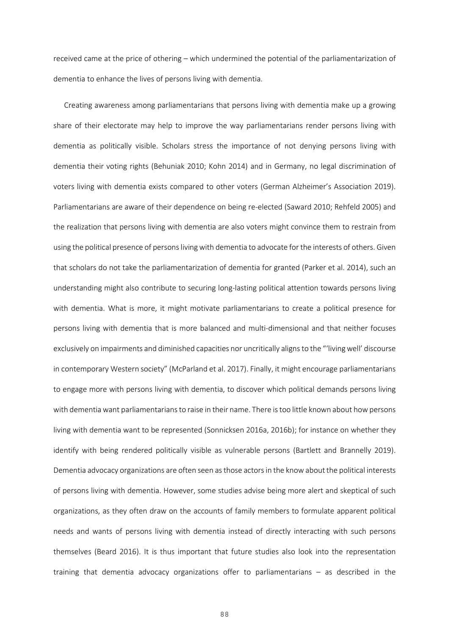received came at the price of othering – which undermined the potential of the parliamentarization of dementia to enhance the lives of persons living with dementia.

Creating awareness among parliamentarians that persons living with dementia make up a growing share of their electorate may help to improve the way parliamentarians render persons living with dementia as politically visible. Scholars stress the importance of not denying persons living with dementia their voting rights (Behuniak 2010; Kohn 2014) and in Germany, no legal discrimination of voters living with dementia exists compared to other voters (German Alzheimer's Association 2019). Parliamentarians are aware of their dependence on being re-elected (Saward 2010; Rehfeld 2005) and the realization that persons living with dementia are also voters might convince them to restrain from using the political presence of persons living with dementia to advocate for the interests of others. Given that scholars do not take the parliamentarization of dementia for granted (Parker et al. 2014), such an understanding might also contribute to securing long-lasting political attention towards persons living with dementia. What is more, it might motivate parliamentarians to create a political presence for persons living with dementia that is more balanced and multi-dimensional and that neither focuses exclusively on impairments and diminished capacities nor uncritically aligns to the "'living well' discourse in contemporary Western society" (McParland et al. 2017). Finally, it might encourage parliamentarians to engage more with persons living with dementia, to discover which political demands persons living with dementia want parliamentarians to raise in their name. There is too little known about how persons living with dementia want to be represented (Sonnicksen 2016a, 2016b); for instance on whether they identify with being rendered politically visible as vulnerable persons (Bartlett and Brannelly 2019). Dementia advocacy organizations are often seen as those actors in the know about the political interests of persons living with dementia. However, some studies advise being more alert and skeptical of such organizations, as they often draw on the accounts of family members to formulate apparent political needs and wants of persons living with dementia instead of directly interacting with such persons themselves (Beard 2016). It is thus important that future studies also look into the representation training that dementia advocacy organizations offer to parliamentarians – as described in the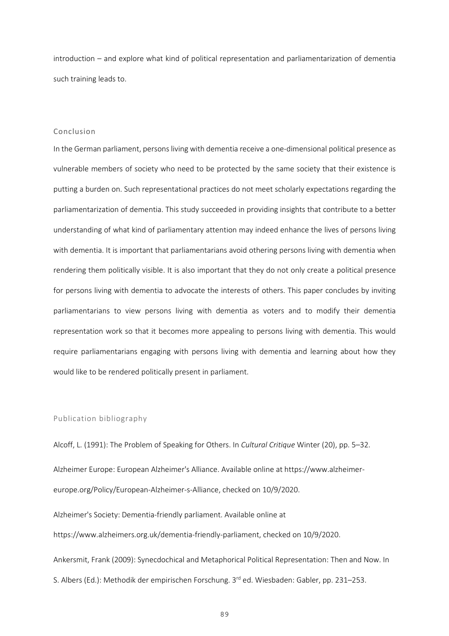introduction – and explore what kind of political representation and parliamentarization of dementia such training leads to.

#### Conclusion

In the German parliament, persons living with dementia receive a one-dimensional political presence as vulnerable members of society who need to be protected by the same society that their existence is putting a burden on. Such representational practices do not meet scholarly expectations regarding the parliamentarization of dementia. This study succeeded in providing insights that contribute to a better understanding of what kind of parliamentary attention may indeed enhance the lives of persons living with dementia. It is important that parliamentarians avoid othering persons living with dementia when rendering them politically visible. It is also important that they do not only create a political presence for persons living with dementia to advocate the interests of others. This paper concludes by inviting parliamentarians to view persons living with dementia as voters and to modify their dementia representation work so that it becomes more appealing to persons living with dementia. This would require parliamentarians engaging with persons living with dementia and learning about how they would like to be rendered politically present in parliament.

#### Publication bibliography

Alcoff, L. (1991): The Problem of Speaking for Others. In *Cultural Critique* Winter (20), pp. 5–32. Alzheimer Europe: European Alzheimer's Alliance. Available online at https://www.alzheimereurope.org/Policy/European-Alzheimer-s-Alliance, checked on 10/9/2020. Alzheimer's Society: Dementia-friendly parliament. Available online at https://www.alzheimers.org.uk/dementia-friendly-parliament, checked on 10/9/2020. Ankersmit, Frank (2009): Synecdochical and Metaphorical Political Representation: Then and Now. In S. Albers (Ed.): Methodik der empirischen Forschung. 3<sup>rd</sup> ed. Wiesbaden: Gabler, pp. 231–253.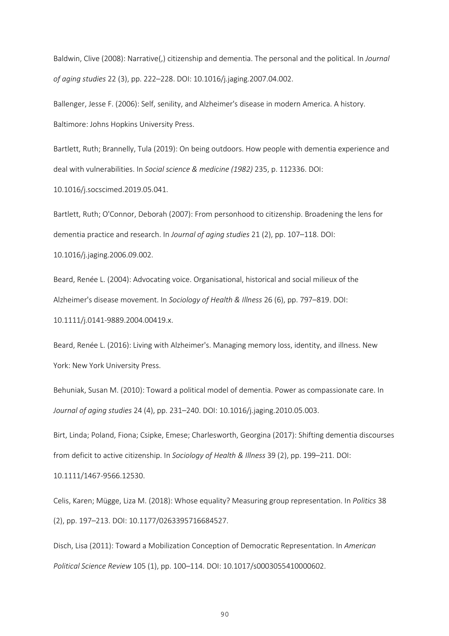Baldwin, Clive (2008): Narrative(,) citizenship and dementia. The personal and the political. In *Journal of aging studies* 22 (3), pp. 222–228. DOI: 10.1016/j.jaging.2007.04.002.

Ballenger, Jesse F. (2006): Self, senility, and Alzheimer's disease in modern America. A history. Baltimore: Johns Hopkins University Press.

Bartlett, Ruth; Brannelly, Tula (2019): On being outdoors. How people with dementia experience and deal with vulnerabilities. In *Social science & medicine (1982)* 235, p. 112336. DOI:

10.1016/j.socscimed.2019.05.041.

Bartlett, Ruth; O'Connor, Deborah (2007): From personhood to citizenship. Broadening the lens for dementia practice and research. In *Journal of aging studies* 21 (2), pp. 107–118. DOI: 10.1016/j.jaging.2006.09.002.

Beard, Renée L. (2004): Advocating voice. Organisational, historical and social milieux of the Alzheimer's disease movement. In *Sociology of Health & Illness* 26 (6), pp. 797–819. DOI: 10.1111/j.0141-9889.2004.00419.x.

Beard, Renée L. (2016): Living with Alzheimer's. Managing memory loss, identity, and illness. New York: New York University Press.

Behuniak, Susan M. (2010): Toward a political model of dementia. Power as compassionate care. In *Journal of aging studies* 24 (4), pp. 231–240. DOI: 10.1016/j.jaging.2010.05.003.

Birt, Linda; Poland, Fiona; Csipke, Emese; Charlesworth, Georgina (2017): Shifting dementia discourses from deficit to active citizenship. In *Sociology of Health & Illness* 39 (2), pp. 199–211. DOI:

10.1111/1467-9566.12530.

Celis, Karen; Mügge, Liza M. (2018): Whose equality? Measuring group representation. In *Politics* 38 (2), pp. 197–213. DOI: 10.1177/0263395716684527.

Disch, Lisa (2011): Toward a Mobilization Conception of Democratic Representation. In *American Political Science Review* 105 (1), pp. 100–114. DOI: 10.1017/s0003055410000602.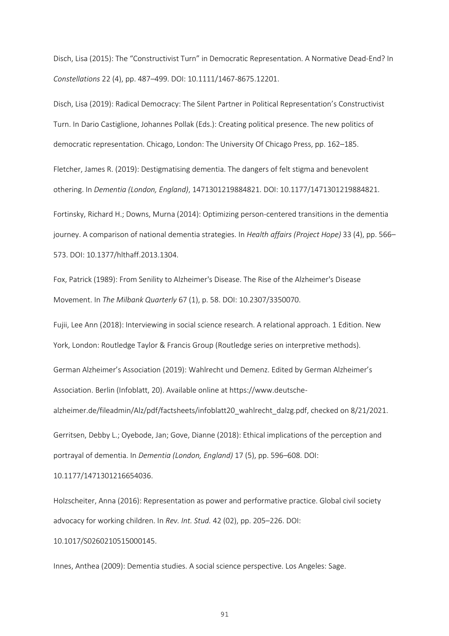Disch, Lisa (2015): The "Constructivist Turn" in Democratic Representation. A Normative Dead-End? In *Constellations* 22 (4), pp. 487–499. DOI: 10.1111/1467-8675.12201.

Disch, Lisa (2019): Radical Democracy: The Silent Partner in Political Representation's Constructivist Turn. In Dario Castiglione, Johannes Pollak (Eds.): Creating political presence. The new politics of democratic representation. Chicago, London: The University Of Chicago Press, pp. 162–185. Fletcher, James R. (2019): Destigmatising dementia. The dangers of felt stigma and benevolent othering. In *Dementia (London, England)*, 1471301219884821. DOI: 10.1177/1471301219884821. Fortinsky, Richard H.; Downs, Murna (2014): Optimizing person-centered transitions in the dementia journey. A comparison of national dementia strategies. In *Health affairs (Project Hope)* 33 (4), pp. 566– 573. DOI: 10.1377/hlthaff.2013.1304.

Fox, Patrick (1989): From Senility to Alzheimer's Disease. The Rise of the Alzheimer's Disease Movement. In *The Milbank Quarterly* 67 (1), p. 58. DOI: 10.2307/3350070.

Fujii, Lee Ann (2018): Interviewing in social science research. A relational approach. 1 Edition. New York, London: Routledge Taylor & Francis Group (Routledge series on interpretive methods).

German Alzheimer's Association (2019): Wahlrecht und Demenz. Edited by German Alzheimer's Association. Berlin (Infoblatt, 20). Available online at https://www.deutsche-

alzheimer.de/fileadmin/Alz/pdf/factsheets/infoblatt20\_wahlrecht\_dalzg.pdf, checked on 8/21/2021.

Gerritsen, Debby L.; Oyebode, Jan; Gove, Dianne (2018): Ethical implications of the perception and portrayal of dementia. In *Dementia (London, England)* 17 (5), pp. 596–608. DOI:

10.1177/1471301216654036.

Holzscheiter, Anna (2016): Representation as power and performative practice. Global civil society advocacy for working children. In *Rev. Int. Stud.* 42 (02), pp. 205–226. DOI: 10.1017/S0260210515000145.

Innes, Anthea (2009): Dementia studies. A social science perspective. Los Angeles: Sage.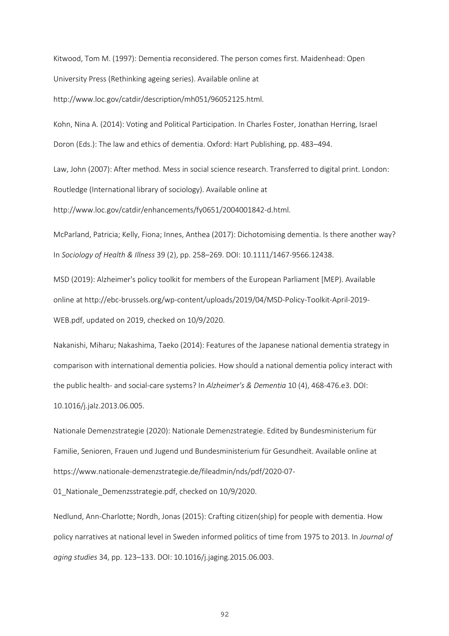Kitwood, Tom M. (1997): Dementia reconsidered. The person comes first. Maidenhead: Open University Press (Rethinking ageing series). Available online at http://www.loc.gov/catdir/description/mh051/96052125.html.

Kohn, Nina A. (2014): Voting and Political Participation. In Charles Foster, Jonathan Herring, Israel Doron (Eds.): The law and ethics of dementia. Oxford: Hart Publishing, pp. 483–494.

Law, John (2007): After method. Mess in social science research. Transferred to digital print. London: Routledge (International library of sociology). Available online at

http://www.loc.gov/catdir/enhancements/fy0651/2004001842-d.html.

McParland, Patricia; Kelly, Fiona; Innes, Anthea (2017): Dichotomising dementia. Is there another way? In *Sociology of Health & Illness* 39 (2), pp. 258–269. DOI: 10.1111/1467-9566.12438.

MSD (2019): Alzheimer's policy toolkit for members of the European Parliament [MEP). Available online at http://ebc-brussels.org/wp-content/uploads/2019/04/MSD-Policy-Toolkit-April-2019- WEB.pdf, updated on 2019, checked on 10/9/2020.

Nakanishi, Miharu; Nakashima, Taeko (2014): Features of the Japanese national dementia strategy in comparison with international dementia policies. How should a national dementia policy interact with the public health- and social-care systems? In *Alzheimer's & Dementia* 10 (4), 468-476.e3. DOI: 10.1016/j.jalz.2013.06.005.

Nationale Demenzstrategie (2020): Nationale Demenzstrategie. Edited by Bundesministerium für Familie, Senioren, Frauen und Jugend und Bundesministerium für Gesundheit. Available online at https://www.nationale-demenzstrategie.de/fileadmin/nds/pdf/2020-07-

01\_Nationale\_Demenzsstrategie.pdf, checked on 10/9/2020.

Nedlund, Ann-Charlotte; Nordh, Jonas (2015): Crafting citizen(ship) for people with dementia. How policy narratives at national level in Sweden informed politics of time from 1975 to 2013. In *Journal of aging studies* 34, pp. 123–133. DOI: 10.1016/j.jaging.2015.06.003.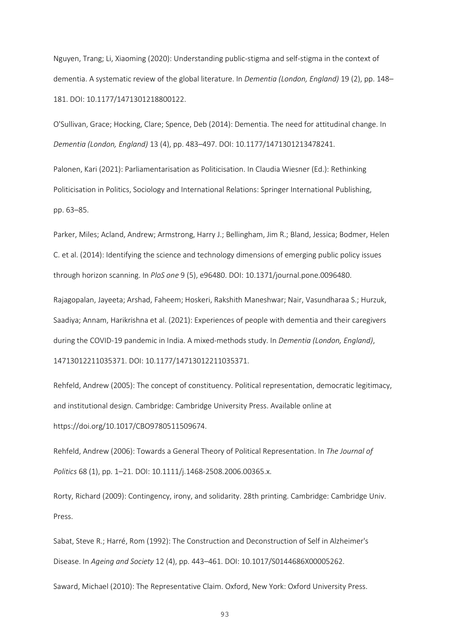Nguyen, Trang; Li, Xiaoming (2020): Understanding public-stigma and self-stigma in the context of dementia. A systematic review of the global literature. In *Dementia (London, England)* 19 (2), pp. 148– 181. DOI: 10.1177/1471301218800122.

O'Sullivan, Grace; Hocking, Clare; Spence, Deb (2014): Dementia. The need for attitudinal change. In *Dementia (London, England)* 13 (4), pp. 483–497. DOI: 10.1177/1471301213478241.

Palonen, Kari (2021): Parliamentarisation as Politicisation. In Claudia Wiesner (Ed.): Rethinking Politicisation in Politics, Sociology and International Relations: Springer International Publishing, pp. 63–85.

Parker, Miles; Acland, Andrew; Armstrong, Harry J.; Bellingham, Jim R.; Bland, Jessica; Bodmer, Helen C. et al. (2014): Identifying the science and technology dimensions of emerging public policy issues through horizon scanning. In *PloS one* 9 (5), e96480. DOI: 10.1371/journal.pone.0096480.

Rajagopalan, Jayeeta; Arshad, Faheem; Hoskeri, Rakshith Maneshwar; Nair, Vasundharaa S.; Hurzuk, Saadiya; Annam, Harikrishna et al. (2021): Experiences of people with dementia and their caregivers during the COVID-19 pandemic in India. A mixed-methods study. In *Dementia (London, England)*, 14713012211035371. DOI: 10.1177/14713012211035371.

Rehfeld, Andrew (2005): The concept of constituency. Political representation, democratic legitimacy, and institutional design. Cambridge: Cambridge University Press. Available online at https://doi.org/10.1017/CBO9780511509674.

Rehfeld, Andrew (2006): Towards a General Theory of Political Representation. In *The Journal of Politics* 68 (1), pp. 1–21. DOI: 10.1111/j.1468-2508.2006.00365.x.

Rorty, Richard (2009): Contingency, irony, and solidarity. 28th printing. Cambridge: Cambridge Univ. Press.

Sabat, Steve R.; Harré, Rom (1992): The Construction and Deconstruction of Self in Alzheimer's Disease. In *Ageing and Society* 12 (4), pp. 443–461. DOI: 10.1017/S0144686X00005262.

Saward, Michael (2010): The Representative Claim. Oxford, New York: Oxford University Press.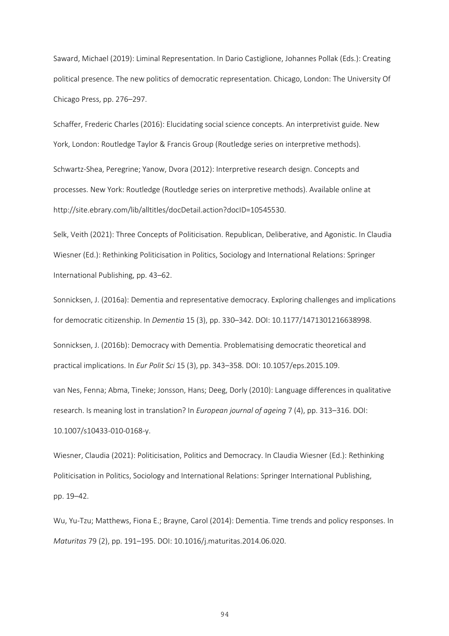Saward, Michael (2019): Liminal Representation. In Dario Castiglione, Johannes Pollak (Eds.): Creating political presence. The new politics of democratic representation. Chicago, London: The University Of Chicago Press, pp. 276–297.

Schaffer, Frederic Charles (2016): Elucidating social science concepts. An interpretivist guide. New York, London: Routledge Taylor & Francis Group (Routledge series on interpretive methods). Schwartz-Shea, Peregrine; Yanow, Dvora (2012): Interpretive research design. Concepts and processes. New York: Routledge (Routledge series on interpretive methods). Available online at http://site.ebrary.com/lib/alltitles/docDetail.action?docID=10545530.

Selk, Veith (2021): Three Concepts of Politicisation. Republican, Deliberative, and Agonistic. In Claudia Wiesner (Ed.): Rethinking Politicisation in Politics, Sociology and International Relations: Springer International Publishing, pp. 43–62.

Sonnicksen, J. (2016a): Dementia and representative democracy. Exploring challenges and implications for democratic citizenship. In *Dementia* 15 (3), pp. 330–342. DOI: 10.1177/1471301216638998.

Sonnicksen, J. (2016b): Democracy with Dementia. Problematising democratic theoretical and practical implications. In *Eur Polit Sci* 15 (3), pp. 343–358. DOI: 10.1057/eps.2015.109.

van Nes, Fenna; Abma, Tineke; Jonsson, Hans; Deeg, Dorly (2010): Language differences in qualitative research. Is meaning lost in translation? In *European journal of ageing* 7 (4), pp. 313–316. DOI: 10.1007/s10433-010-0168-y.

Wiesner, Claudia (2021): Politicisation, Politics and Democracy. In Claudia Wiesner (Ed.): Rethinking Politicisation in Politics, Sociology and International Relations: Springer International Publishing, pp. 19–42.

Wu, Yu-Tzu; Matthews, Fiona E.; Brayne, Carol (2014): Dementia. Time trends and policy responses. In *Maturitas* 79 (2), pp. 191–195. DOI: 10.1016/j.maturitas.2014.06.020.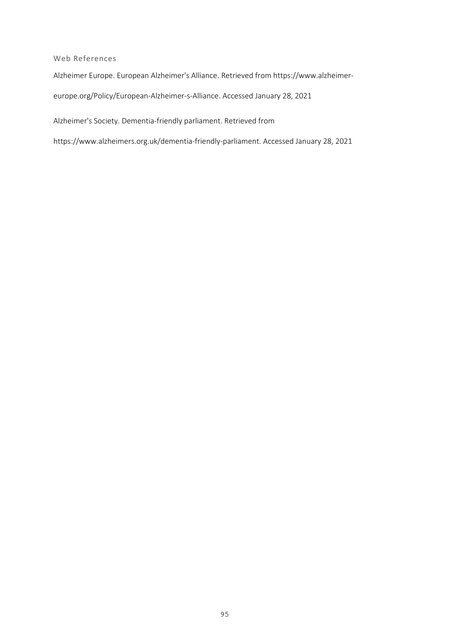Web References

Alzheimer Europe. European Alzheimer's Alliance. Retrieved from https://www.alzheimer-

europe.org/Policy/European-Alzheimer-s-Alliance. Accessed January 28, 2021

Alzheimer's Society. Dementia-friendly parliament. Retrieved from

https://www.alzheimers.org.uk/dementia-friendly-parliament. Accessed January 28, 2021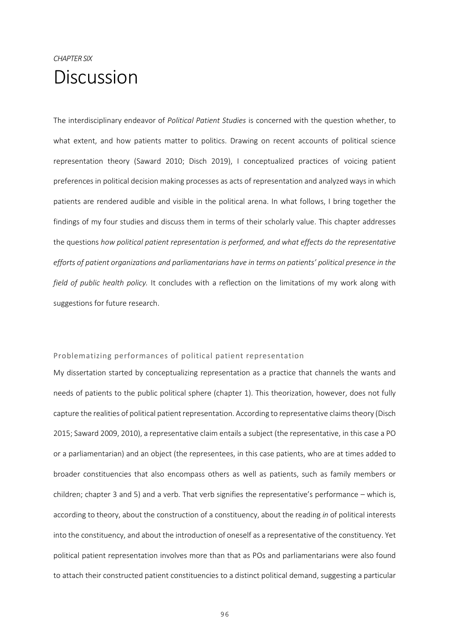# *CHAPTER SIX*  **Discussion**

The interdisciplinary endeavor of *Political Patient Studies* is concerned with the question whether, to what extent, and how patients matter to politics. Drawing on recent accounts of political science representation theory (Saward 2010; Disch 2019), I conceptualized practices of voicing patient preferences in political decision making processes as acts of representation and analyzed ways in which patients are rendered audible and visible in the political arena. In what follows, I bring together the findings of my four studies and discuss them in terms of their scholarly value. This chapter addresses the questions *how political patient representation is performed, and what effects do the representative efforts of patient organizations and parliamentarians have in terms on patients' political presence in the field of public health policy.* It concludes with a reflection on the limitations of my work along with suggestions for future research.

#### Problematizing performances of political patient representation

My dissertation started by conceptualizing representation as a practice that channels the wants and needs of patients to the public political sphere (chapter 1). This theorization, however, does not fully capture the realities of political patient representation. According to representative claims theory (Disch 2015; Saward 2009, 2010), a representative claim entails a subject (the representative, in this case a PO or a parliamentarian) and an object (the representees, in this case patients, who are at times added to broader constituencies that also encompass others as well as patients, such as family members or children; chapter 3 and 5) and a verb. That verb signifies the representative's performance – which is, according to theory, about the construction of a constituency, about the reading *in* of political interests into the constituency, and about the introduction of oneself as a representative of the constituency. Yet political patient representation involves more than that as POs and parliamentarians were also found to attach their constructed patient constituencies to a distinct political demand, suggesting a particular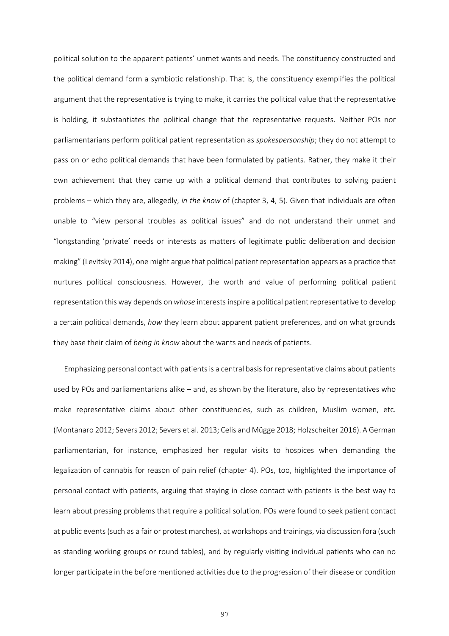political solution to the apparent patients' unmet wants and needs. The constituency constructed and the political demand form a symbiotic relationship. That is, the constituency exemplifies the political argument that the representative is trying to make, it carries the political value that the representative is holding, it substantiates the political change that the representative requests. Neither POs nor parliamentarians perform political patient representation as *spokespersonship*; they do not attempt to pass on or echo political demands that have been formulated by patients. Rather, they make it their own achievement that they came up with a political demand that contributes to solving patient problems – which they are, allegedly, *in the know* of (chapter 3, 4, 5). Given that individuals are often unable to "view personal troubles as political issues" and do not understand their unmet and "longstanding 'private' needs or interests as matters of legitimate public deliberation and decision making" (Levitsky 2014), one might argue that political patient representation appears as a practice that nurtures political consciousness. However, the worth and value of performing political patient representation this way depends on *whose* interests inspire a political patient representative to develop a certain political demands, *how* they learn about apparent patient preferences, and on what grounds they base their claim of *being in know* about the wants and needs of patients.

Emphasizing personal contact with patients is a central basis for representative claims about patients used by POs and parliamentarians alike – and, as shown by the literature, also by representatives who make representative claims about other constituencies, such as children, Muslim women, etc. (Montanaro 2012; Severs 2012; Severs et al. 2013; Celis and Mügge 2018; Holzscheiter 2016). A German parliamentarian, for instance, emphasized her regular visits to hospices when demanding the legalization of cannabis for reason of pain relief (chapter 4). POs, too, highlighted the importance of personal contact with patients, arguing that staying in close contact with patients is the best way to learn about pressing problems that require a political solution. POs were found to seek patient contact at public events (such as a fair or protest marches), at workshops and trainings, via discussion fora (such as standing working groups or round tables), and by regularly visiting individual patients who can no longer participate in the before mentioned activities due to the progression of their disease or condition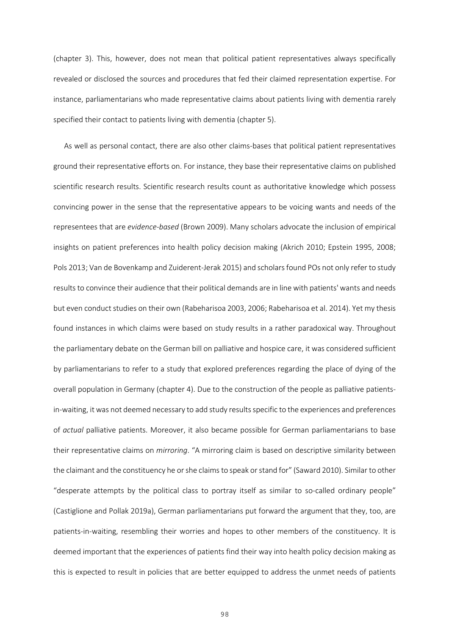(chapter 3). This, however, does not mean that political patient representatives always specifically revealed or disclosed the sources and procedures that fed their claimed representation expertise. For instance, parliamentarians who made representative claims about patients living with dementia rarely specified their contact to patients living with dementia (chapter 5).

As well as personal contact, there are also other claims-bases that political patient representatives ground their representative efforts on. For instance, they base their representative claims on published scientific research results. Scientific research results count as authoritative knowledge which possess convincing power in the sense that the representative appears to be voicing wants and needs of the representees that are *evidence-based* (Brown 2009). Many scholars advocate the inclusion of empirical insights on patient preferences into health policy decision making (Akrich 2010; Epstein 1995, 2008; Pols 2013; Van de Bovenkamp and Zuiderent-Jerak 2015) and scholars found POs not only refer to study results to convince their audience that their political demands are in line with patients' wants and needs but even conduct studies on their own (Rabeharisoa 2003, 2006; Rabeharisoa et al. 2014). Yet my thesis found instances in which claims were based on study results in a rather paradoxical way. Throughout the parliamentary debate on the German bill on palliative and hospice care, it was considered sufficient by parliamentarians to refer to a study that explored preferences regarding the place of dying of the overall population in Germany (chapter 4). Due to the construction of the people as palliative patientsin-waiting, it was not deemed necessary to add study results specific to the experiences and preferences of *actual* palliative patients. Moreover, it also became possible for German parliamentarians to base their representative claims on *mirroring*. "A mirroring claim is based on descriptive similarity between the claimant and the constituency he or she claims to speak or stand for" (Saward 2010). Similar to other "desperate attempts by the political class to portray itself as similar to so-called ordinary people" (Castiglione and Pollak 2019a), German parliamentarians put forward the argument that they, too, are patients-in-waiting, resembling their worries and hopes to other members of the constituency. It is deemed important that the experiences of patients find their way into health policy decision making as this is expected to result in policies that are better equipped to address the unmet needs of patients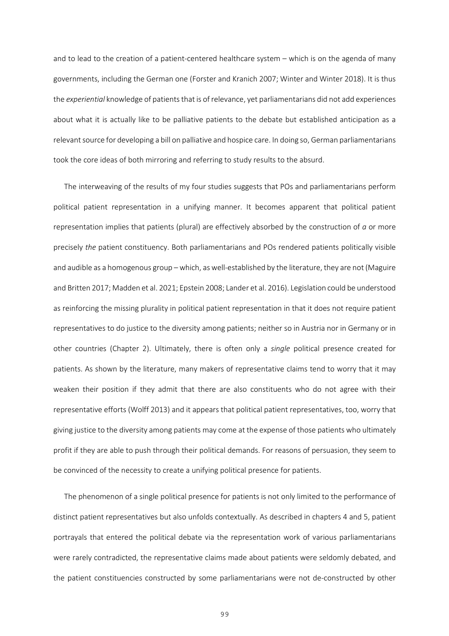and to lead to the creation of a patient-centered healthcare system – which is on the agenda of many governments, including the German one (Forster and Kranich 2007; Winter and Winter 2018). It is thus the *experiential* knowledge of patients that is of relevance, yet parliamentarians did not add experiences about what it is actually like to be palliative patients to the debate but established anticipation as a relevant source for developing a bill on palliative and hospice care. In doing so, German parliamentarians took the core ideas of both mirroring and referring to study results to the absurd.

The interweaving of the results of my four studies suggests that POs and parliamentarians perform political patient representation in a unifying manner. It becomes apparent that political patient representation implies that patients (plural) are effectively absorbed by the construction of *a* or more precisely *the* patient constituency. Both parliamentarians and POs rendered patients politically visible and audible as a homogenous group – which, as well-established by the literature, they are not (Maguire and Britten 2017; Madden et al. 2021; Epstein 2008; Lander et al. 2016). Legislation could be understood as reinforcing the missing plurality in political patient representation in that it does not require patient representatives to do justice to the diversity among patients; neither so in Austria nor in Germany or in other countries (Chapter 2). Ultimately, there is often only a *single* political presence created for patients. As shown by the literature, many makers of representative claims tend to worry that it may weaken their position if they admit that there are also constituents who do not agree with their representative efforts (Wolff 2013) and it appears that political patient representatives, too, worry that giving justice to the diversity among patients may come at the expense of those patients who ultimately profit if they are able to push through their political demands. For reasons of persuasion, they seem to be convinced of the necessity to create a unifying political presence for patients.

The phenomenon of a single political presence for patients is not only limited to the performance of distinct patient representatives but also unfolds contextually. As described in chapters 4 and 5, patient portrayals that entered the political debate via the representation work of various parliamentarians were rarely contradicted, the representative claims made about patients were seldomly debated, and the patient constituencies constructed by some parliamentarians were not de-constructed by other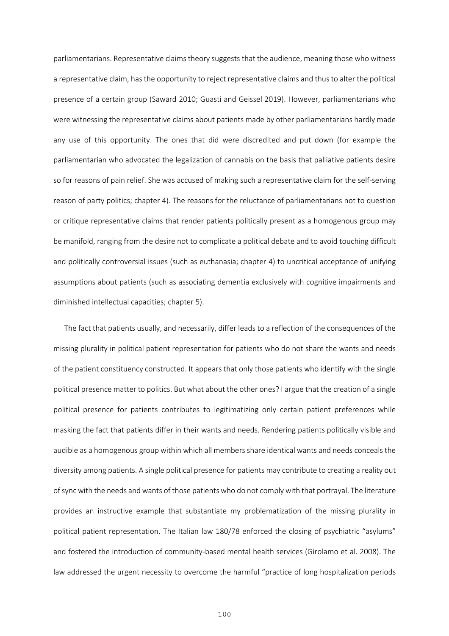parliamentarians. Representative claims theory suggests that the audience, meaning those who witness a representative claim, has the opportunity to reject representative claims and thus to alter the political presence of a certain group (Saward 2010; Guasti and Geissel 2019). However, parliamentarians who were witnessing the representative claims about patients made by other parliamentarians hardly made any use of this opportunity. The ones that did were discredited and put down (for example the parliamentarian who advocated the legalization of cannabis on the basis that palliative patients desire so for reasons of pain relief. She was accused of making such a representative claim for the self-serving reason of party politics; chapter 4). The reasons for the reluctance of parliamentarians not to question or critique representative claims that render patients politically present as a homogenous group may be manifold, ranging from the desire not to complicate a political debate and to avoid touching difficult and politically controversial issues (such as euthanasia; chapter 4) to uncritical acceptance of unifying assumptions about patients (such as associating dementia exclusively with cognitive impairments and diminished intellectual capacities; chapter 5).

The fact that patients usually, and necessarily, differ leads to a reflection of the consequences of the missing plurality in political patient representation for patients who do not share the wants and needs of the patient constituency constructed. It appears that only those patients who identify with the single political presence matter to politics. But what about the other ones? I argue that the creation of a single political presence for patients contributes to legitimatizing only certain patient preferences while masking the fact that patients differ in their wants and needs. Rendering patients politically visible and audible as a homogenous group within which all members share identical wants and needs conceals the diversity among patients. A single political presence for patients may contribute to creating a reality out of sync with the needs and wants of those patients who do not comply with that portrayal. The literature provides an instructive example that substantiate my problematization of the missing plurality in political patient representation. The Italian law 180/78 enforced the closing of psychiatric "asylums" and fostered the introduction of community-based mental health services (Girolamo et al. 2008). The law addressed the urgent necessity to overcome the harmful "practice of long hospitalization periods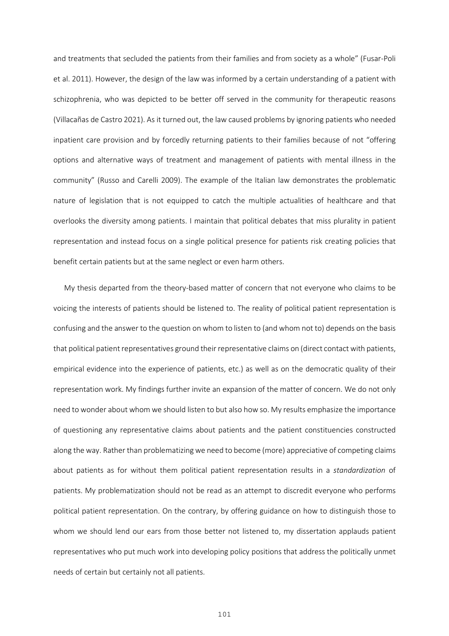and treatments that secluded the patients from their families and from society as a whole" (Fusar-Poli et al. 2011). However, the design of the law was informed by a certain understanding of a patient with schizophrenia, who was depicted to be better off served in the community for therapeutic reasons (Villacañas de Castro 2021). As it turned out, the law caused problems by ignoring patients who needed inpatient care provision and by forcedly returning patients to their families because of not "offering options and alternative ways of treatment and management of patients with mental illness in the community" (Russo and Carelli 2009). The example of the Italian law demonstrates the problematic nature of legislation that is not equipped to catch the multiple actualities of healthcare and that overlooks the diversity among patients. I maintain that political debates that miss plurality in patient representation and instead focus on a single political presence for patients risk creating policies that benefit certain patients but at the same neglect or even harm others.

My thesis departed from the theory-based matter of concern that not everyone who claims to be voicing the interests of patients should be listened to. The reality of political patient representation is confusing and the answer to the question on whom to listen to (and whom not to) depends on the basis that political patient representatives ground their representative claims on (direct contact with patients, empirical evidence into the experience of patients, etc.) as well as on the democratic quality of their representation work. My findings further invite an expansion of the matter of concern. We do not only need to wonder about whom we should listen to but also how so. My results emphasize the importance of questioning any representative claims about patients and the patient constituencies constructed along the way. Rather than problematizing we need to become (more) appreciative of competing claims about patients as for without them political patient representation results in a *standardization* of patients. My problematization should not be read as an attempt to discredit everyone who performs political patient representation. On the contrary, by offering guidance on how to distinguish those to whom we should lend our ears from those better not listened to, my dissertation applauds patient representatives who put much work into developing policy positions that address the politically unmet needs of certain but certainly not all patients.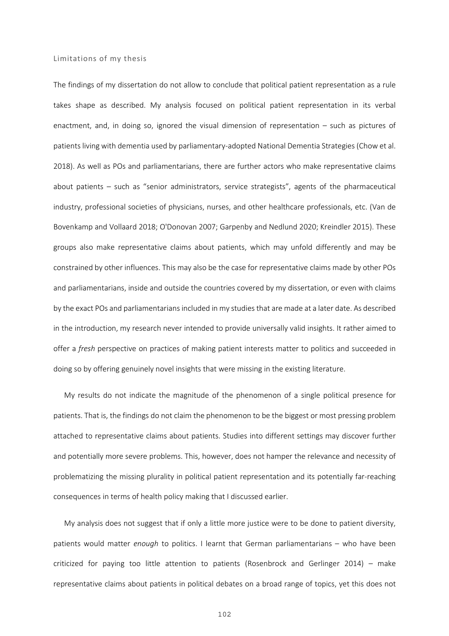#### Limitations of my thesis

The findings of my dissertation do not allow to conclude that political patient representation as a rule takes shape as described. My analysis focused on political patient representation in its verbal enactment, and, in doing so, ignored the visual dimension of representation – such as pictures of patients living with dementia used by parliamentary-adopted National Dementia Strategies (Chow et al. 2018). As well as POs and parliamentarians, there are further actors who make representative claims about patients – such as "senior administrators, service strategists", agents of the pharmaceutical industry, professional societies of physicians, nurses, and other healthcare professionals, etc. (Van de Bovenkamp and Vollaard 2018; O'Donovan 2007; Garpenby and Nedlund 2020; Kreindler 2015). These groups also make representative claims about patients, which may unfold differently and may be constrained by other influences. This may also be the case for representative claims made by other POs and parliamentarians, inside and outside the countries covered by my dissertation, or even with claims by the exact POs and parliamentarians included in my studies that are made at a later date. As described in the introduction, my research never intended to provide universally valid insights. It rather aimed to offer a *fresh* perspective on practices of making patient interests matter to politics and succeeded in doing so by offering genuinely novel insights that were missing in the existing literature.

My results do not indicate the magnitude of the phenomenon of a single political presence for patients. That is, the findings do not claim the phenomenon to be the biggest or most pressing problem attached to representative claims about patients. Studies into different settings may discover further and potentially more severe problems. This, however, does not hamper the relevance and necessity of problematizing the missing plurality in political patient representation and its potentially far-reaching consequences in terms of health policy making that I discussed earlier.

My analysis does not suggest that if only a little more justice were to be done to patient diversity, patients would matter *enough* to politics. I learnt that German parliamentarians – who have been criticized for paying too little attention to patients (Rosenbrock and Gerlinger 2014) – make representative claims about patients in political debates on a broad range of topics, yet this does not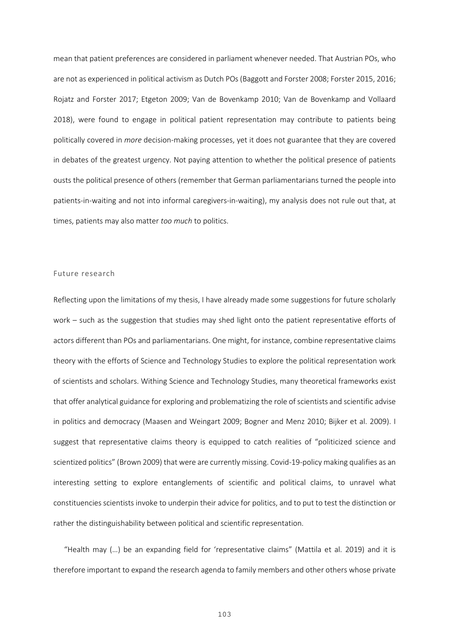mean that patient preferences are considered in parliament whenever needed. That Austrian POs, who are not as experienced in political activism as Dutch POs (Baggott and Forster 2008; Forster 2015, 2016; Rojatz and Forster 2017; Etgeton 2009; Van de Bovenkamp 2010; Van de Bovenkamp and Vollaard 2018), were found to engage in political patient representation may contribute to patients being politically covered in *more* decision-making processes, yet it does not guarantee that they are covered in debates of the greatest urgency. Not paying attention to whether the political presence of patients ousts the political presence of others (remember that German parliamentarians turned the people into patients-in-waiting and not into informal caregivers-in-waiting), my analysis does not rule out that, at times, patients may also matter *too much* to politics.

#### Future research

Reflecting upon the limitations of my thesis, I have already made some suggestions for future scholarly work – such as the suggestion that studies may shed light onto the patient representative efforts of actors different than POs and parliamentarians. One might, for instance, combine representative claims theory with the efforts of Science and Technology Studies to explore the political representation work of scientists and scholars. Withing Science and Technology Studies, many theoretical frameworks exist that offer analytical guidance for exploring and problematizing the role of scientists and scientific advise in politics and democracy (Maasen and Weingart 2009; Bogner and Menz 2010; Bijker et al. 2009). I suggest that representative claims theory is equipped to catch realities of "politicized science and scientized politics" (Brown 2009) that were are currently missing. Covid-19-policy making qualifies as an interesting setting to explore entanglements of scientific and political claims, to unravel what constituencies scientists invoke to underpin their advice for politics, and to put to test the distinction or rather the distinguishability between political and scientific representation.

"Health may (…) be an expanding field for 'representative claims" (Mattila et al. 2019) and it is therefore important to expand the research agenda to family members and other others whose private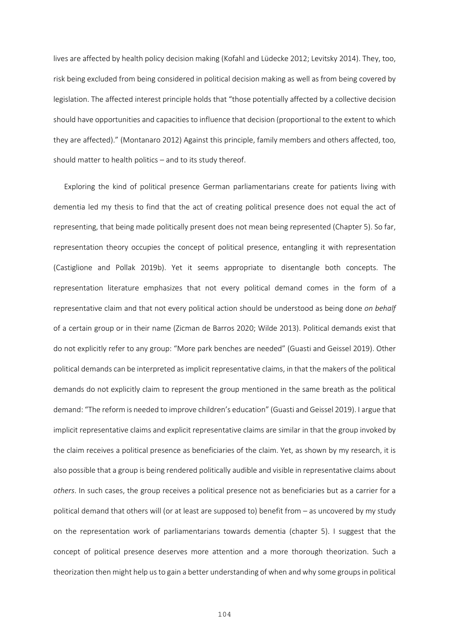lives are affected by health policy decision making (Kofahl and Lüdecke 2012; Levitsky 2014). They, too, risk being excluded from being considered in political decision making as well as from being covered by legislation. The affected interest principle holds that "those potentially affected by a collective decision should have opportunities and capacities to influence that decision (proportional to the extent to which they are affected)." (Montanaro 2012) Against this principle, family members and others affected, too, should matter to health politics – and to its study thereof.

Exploring the kind of political presence German parliamentarians create for patients living with dementia led my thesis to find that the act of creating political presence does not equal the act of representing, that being made politically present does not mean being represented (Chapter 5). So far, representation theory occupies the concept of political presence, entangling it with representation (Castiglione and Pollak 2019b). Yet it seems appropriate to disentangle both concepts. The representation literature emphasizes that not every political demand comes in the form of a representative claim and that not every political action should be understood as being done *on behalf* of a certain group or in their name (Zicman de Barros 2020; Wilde 2013). Political demands exist that do not explicitly refer to any group: "More park benches are needed" (Guasti and Geissel 2019). Other political demands can be interpreted as implicit representative claims, in that the makers of the political demands do not explicitly claim to represent the group mentioned in the same breath as the political demand: "The reform is needed to improve children's education" (Guasti and Geissel 2019). I argue that implicit representative claims and explicit representative claims are similar in that the group invoked by the claim receives a political presence as beneficiaries of the claim. Yet, as shown by my research, it is also possible that a group is being rendered politically audible and visible in representative claims about *others*. In such cases, the group receives a political presence not as beneficiaries but as a carrier for a political demand that others will (or at least are supposed to) benefit from – as uncovered by my study on the representation work of parliamentarians towards dementia (chapter 5). I suggest that the concept of political presence deserves more attention and a more thorough theorization. Such a theorization then might help us to gain a better understanding of when and why some groups in political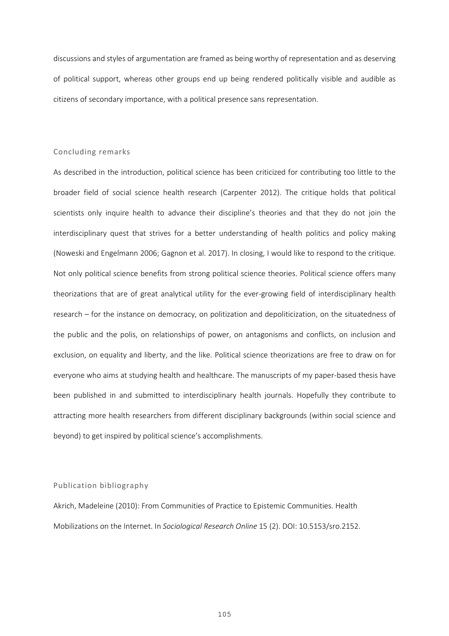discussions and styles of argumentation are framed as being worthy of representation and as deserving of political support, whereas other groups end up being rendered politically visible and audible as citizens of secondary importance, with a political presence sans representation.

#### Concluding remarks

As described in the introduction, political science has been criticized for contributing too little to the broader field of social science health research (Carpenter 2012). The critique holds that political scientists only inquire health to advance their discipline's theories and that they do not join the interdisciplinary quest that strives for a better understanding of health politics and policy making (Noweski and Engelmann 2006; Gagnon et al. 2017). In closing, I would like to respond to the critique. Not only political science benefits from strong political science theories. Political science offers many theorizations that are of great analytical utility for the ever-growing field of interdisciplinary health research – for the instance on democracy, on politization and depoliticization, on the situatedness of the public and the polis, on relationships of power, on antagonisms and conflicts, on inclusion and exclusion, on equality and liberty, and the like. Political science theorizations are free to draw on for everyone who aims at studying health and healthcare. The manuscripts of my paper-based thesis have been published in and submitted to interdisciplinary health journals. Hopefully they contribute to attracting more health researchers from different disciplinary backgrounds (within social science and beyond) to get inspired by political science's accomplishments.

### Publication bibliography

Akrich, Madeleine (2010): From Communities of Practice to Epistemic Communities. Health Mobilizations on the Internet. In *Sociological Research Online* 15 (2). DOI: 10.5153/sro.2152.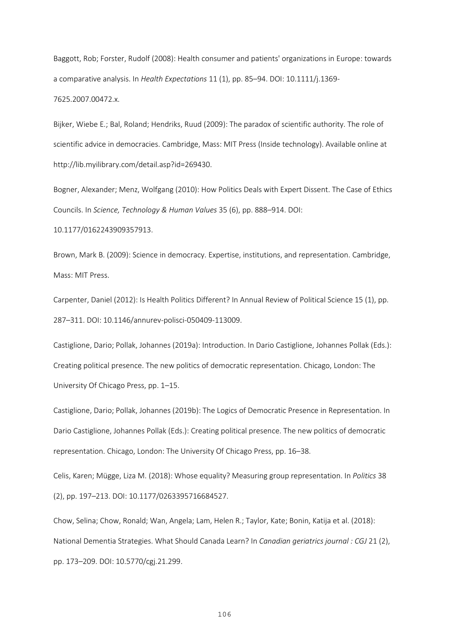Baggott, Rob; Forster, Rudolf (2008): Health consumer and patients' organizations in Europe: towards a comparative analysis. In *Health Expectations* 11 (1), pp. 85–94. DOI: 10.1111/j.1369-

7625.2007.00472.x.

Bijker, Wiebe E.; Bal, Roland; Hendriks, Ruud (2009): The paradox of scientific authority. The role of scientific advice in democracies. Cambridge, Mass: MIT Press (Inside technology). Available online at http://lib.myilibrary.com/detail.asp?id=269430.

Bogner, Alexander; Menz, Wolfgang (2010): How Politics Deals with Expert Dissent. The Case of Ethics Councils. In *Science, Technology & Human Values* 35 (6), pp. 888–914. DOI:

10.1177/0162243909357913.

Brown, Mark B. (2009): Science in democracy. Expertise, institutions, and representation. Cambridge, Mass: MIT Press.

Carpenter, Daniel (2012): Is Health Politics Different? In Annual Review of Political Science 15 (1), pp. 287–311. DOI: 10.1146/annurev-polisci-050409-113009.

Castiglione, Dario; Pollak, Johannes (2019a): Introduction. In Dario Castiglione, Johannes Pollak (Eds.): Creating political presence. The new politics of democratic representation. Chicago, London: The University Of Chicago Press, pp. 1–15.

Castiglione, Dario; Pollak, Johannes (2019b): The Logics of Democratic Presence in Representation. In Dario Castiglione, Johannes Pollak (Eds.): Creating political presence. The new politics of democratic representation. Chicago, London: The University Of Chicago Press, pp. 16–38.

Celis, Karen; Mügge, Liza M. (2018): Whose equality? Measuring group representation. In *Politics* 38 (2), pp. 197–213. DOI: 10.1177/0263395716684527.

Chow, Selina; Chow, Ronald; Wan, Angela; Lam, Helen R.; Taylor, Kate; Bonin, Katija et al. (2018): National Dementia Strategies. What Should Canada Learn? In *Canadian geriatrics journal : CGJ* 21 (2), pp. 173–209. DOI: 10.5770/cgj.21.299.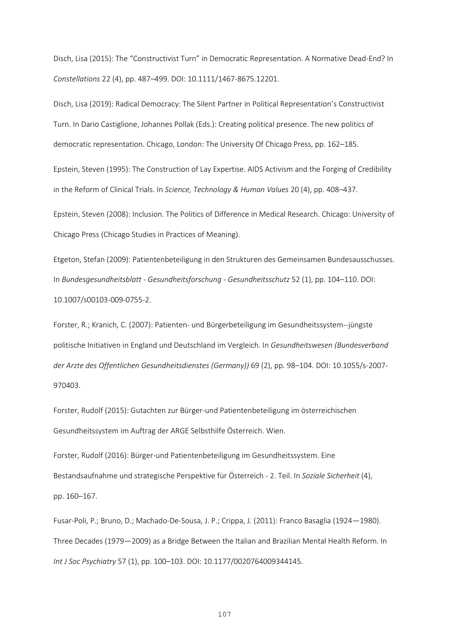Disch, Lisa (2015): The "Constructivist Turn" in Democratic Representation. A Normative Dead-End? In *Constellations* 22 (4), pp. 487–499. DOI: 10.1111/1467-8675.12201.

Disch, Lisa (2019): Radical Democracy: The Silent Partner in Political Representation's Constructivist Turn. In Dario Castiglione, Johannes Pollak (Eds.): Creating political presence. The new politics of democratic representation. Chicago, London: The University Of Chicago Press, pp. 162–185.

Epstein, Steven (1995): The Construction of Lay Expertise. AIDS Activism and the Forging of Credibility in the Reform of Clinical Trials. In *Science, Technology & Human Values* 20 (4), pp. 408–437.

Epstein, Steven (2008): Inclusion. The Politics of Difference in Medical Research. Chicago: University of Chicago Press (Chicago Studies in Practices of Meaning).

Etgeton, Stefan (2009): Patientenbeteiligung in den Strukturen des Gemeinsamen Bundesausschusses. In *Bundesgesundheitsblatt - Gesundheitsforschung - Gesundheitsschutz* 52 (1), pp. 104–110. DOI: 10.1007/s00103-009-0755-2.

Forster, R.; Kranich, C. (2007): Patienten- und Bürgerbeteiligung im Gesundheitssystem--jüngste politische Initiativen in England und Deutschland im Vergleich. In *Gesundheitswesen (Bundesverband der Arzte des Offentlichen Gesundheitsdienstes (Germany))* 69 (2), pp. 98–104. DOI: 10.1055/s-2007- 970403.

Forster, Rudolf (2015): Gutachten zur Bürger-und Patientenbeteiligung im österreichischen Gesundheitssystem im Auftrag der ARGE Selbsthilfe Österreich. Wien.

Forster, Rudolf (2016): Bürger-und Patientenbeteiligung im Gesundheitssystem. Eine Bestandsaufnahme und strategische Perspektive für Österreich - 2. Teil. In *Soziale Sicherheit* (4), pp. 160–167.

Fusar-Poli, P.; Bruno, D.; Machado-De-Sousa, J. P.; Crippa, J. (2011): Franco Basaglia (1924—1980). Three Decades (1979—2009) as a Bridge Between the Italian and Brazilian Mental Health Reform. In *Int J Soc Psychiatry* 57 (1), pp. 100–103. DOI: 10.1177/0020764009344145.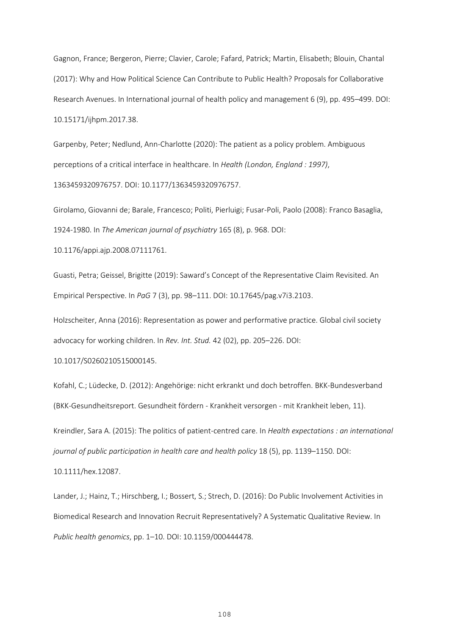Gagnon, France; Bergeron, Pierre; Clavier, Carole; Fafard, Patrick; Martin, Elisabeth; Blouin, Chantal (2017): Why and How Political Science Can Contribute to Public Health? Proposals for Collaborative Research Avenues. In International journal of health policy and management 6 (9), pp. 495–499. DOI: 10.15171/ijhpm.2017.38.

Garpenby, Peter; Nedlund, Ann-Charlotte (2020): The patient as a policy problem. Ambiguous perceptions of a critical interface in healthcare. In *Health (London, England : 1997)*, 1363459320976757. DOI: 10.1177/1363459320976757.

Girolamo, Giovanni de; Barale, Francesco; Politi, Pierluigi; Fusar-Poli, Paolo (2008): Franco Basaglia, 1924-1980. In *The American journal of psychiatry* 165 (8), p. 968. DOI:

10.1176/appi.ajp.2008.07111761.

Guasti, Petra; Geissel, Brigitte (2019): Saward's Concept of the Representative Claim Revisited. An Empirical Perspective. In *PaG* 7 (3), pp. 98–111. DOI: 10.17645/pag.v7i3.2103.

Holzscheiter, Anna (2016): Representation as power and performative practice. Global civil society advocacy for working children. In *Rev. Int. Stud.* 42 (02), pp. 205–226. DOI:

10.1017/S0260210515000145.

Kofahl, C.; Lüdecke, D. (2012): Angehörige: nicht erkrankt und doch betroffen. BKK-Bundesverband (BKK-Gesundheitsreport. Gesundheit fördern - Krankheit versorgen - mit Krankheit leben, 11).

Kreindler, Sara A. (2015): The politics of patient-centred care. In *Health expectations : an international journal of public participation in health care and health policy* 18 (5), pp. 1139–1150. DOI:

10.1111/hex.12087.

Lander, J.; Hainz, T.; Hirschberg, I.; Bossert, S.; Strech, D. (2016): Do Public Involvement Activities in Biomedical Research and Innovation Recruit Representatively? A Systematic Qualitative Review. In *Public health genomics*, pp. 1–10. DOI: 10.1159/000444478.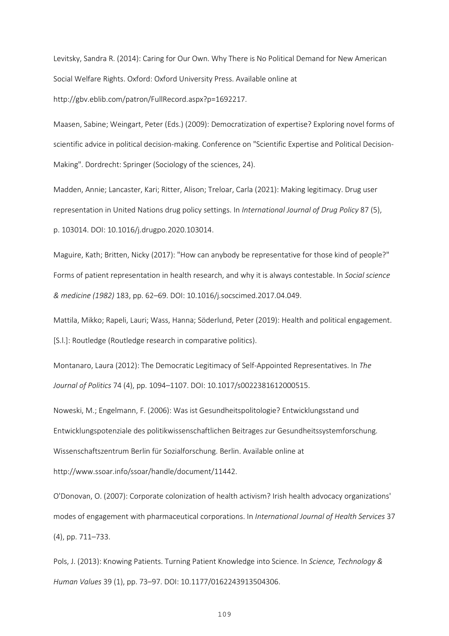Levitsky, Sandra R. (2014): Caring for Our Own. Why There is No Political Demand for New American Social Welfare Rights. Oxford: Oxford University Press. Available online at http://gbv.eblib.com/patron/FullRecord.aspx?p=1692217.

Maasen, Sabine; Weingart, Peter (Eds.) (2009): Democratization of expertise? Exploring novel forms of scientific advice in political decision-making. Conference on "Scientific Expertise and Political Decision-Making". Dordrecht: Springer (Sociology of the sciences, 24).

Madden, Annie; Lancaster, Kari; Ritter, Alison; Treloar, Carla (2021): Making legitimacy. Drug user representation in United Nations drug policy settings. In *International Journal of Drug Policy* 87 (5), p. 103014. DOI: 10.1016/j.drugpo.2020.103014.

Maguire, Kath; Britten, Nicky (2017): "How can anybody be representative for those kind of people?" Forms of patient representation in health research, and why it is always contestable. In *Social science & medicine (1982)* 183, pp. 62–69. DOI: 10.1016/j.socscimed.2017.04.049.

Mattila, Mikko; Rapeli, Lauri; Wass, Hanna; Söderlund, Peter (2019): Health and political engagement.

[S.l.]: Routledge (Routledge research in comparative politics).

Montanaro, Laura (2012): The Democratic Legitimacy of Self-Appointed Representatives. In *The Journal of Politics* 74 (4), pp. 1094–1107. DOI: 10.1017/s0022381612000515.

Noweski, M.; Engelmann, F. (2006): Was ist Gesundheitspolitologie? Entwicklungsstand und Entwicklungspotenziale des politikwissenschaftlichen Beitrages zur Gesundheitssystemforschung. Wissenschaftszentrum Berlin für Sozialforschung. Berlin. Available online at

http://www.ssoar.info/ssoar/handle/document/11442.

O'Donovan, O. (2007): Corporate colonization of health activism? Irish health advocacy organizations' modes of engagement with pharmaceutical corporations. In *International Journal of Health Services* 37 (4), pp. 711–733.

Pols, J. (2013): Knowing Patients. Turning Patient Knowledge into Science. In *Science, Technology & Human Values* 39 (1), pp. 73–97. DOI: 10.1177/0162243913504306.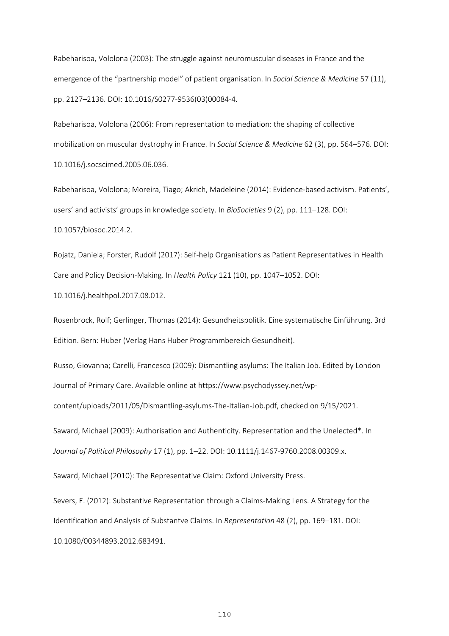Rabeharisoa, Vololona (2003): The struggle against neuromuscular diseases in France and the emergence of the "partnership model" of patient organisation. In *Social Science & Medicine* 57 (11), pp. 2127–2136. DOI: 10.1016/S0277-9536(03)00084-4.

Rabeharisoa, Vololona (2006): From representation to mediation: the shaping of collective mobilization on muscular dystrophy in France. In *Social Science & Medicine* 62 (3), pp. 564–576. DOI: 10.1016/j.socscimed.2005.06.036.

Rabeharisoa, Vololona; Moreira, Tiago; Akrich, Madeleine (2014): Evidence-based activism. Patients', users' and activists' groups in knowledge society. In *BioSocieties* 9 (2), pp. 111–128. DOI: 10.1057/biosoc.2014.2.

Rojatz, Daniela; Forster, Rudolf (2017): Self-help Organisations as Patient Representatives in Health Care and Policy Decision-Making. In *Health Policy* 121 (10), pp. 1047–1052. DOI: 10.1016/j.healthpol.2017.08.012.

Rosenbrock, Rolf; Gerlinger, Thomas (2014): Gesundheitspolitik. Eine systematische Einführung. 3rd Edition. Bern: Huber (Verlag Hans Huber Programmbereich Gesundheit).

Russo, Giovanna; Carelli, Francesco (2009): Dismantling asylums: The Italian Job. Edited by London Journal of Primary Care. Available online at https://www.psychodyssey.net/wp-

content/uploads/2011/05/Dismantling-asylums-The-Italian-Job.pdf, checked on 9/15/2021.

Saward, Michael (2009): Authorisation and Authenticity. Representation and the Unelected\*. In *Journal of Political Philosophy* 17 (1), pp. 1–22. DOI: 10.1111/j.1467-9760.2008.00309.x.

Saward, Michael (2010): The Representative Claim: Oxford University Press.

Severs, E. (2012): Substantive Representation through a Claims-Making Lens. A Strategy for the Identification and Analysis of Substantve Claims. In *Representation* 48 (2), pp. 169–181. DOI: 10.1080/00344893.2012.683491.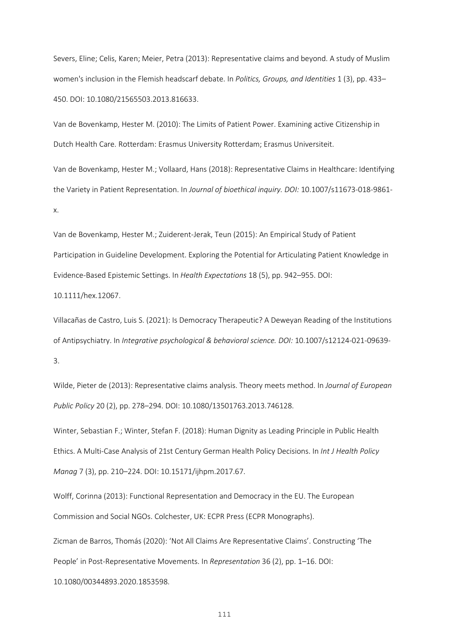Severs, Eline; Celis, Karen; Meier, Petra (2013): Representative claims and beyond. A study of Muslim women's inclusion in the Flemish headscarf debate. In *Politics, Groups, and Identities* 1 (3), pp. 433– 450. DOI: 10.1080/21565503.2013.816633.

Van de Bovenkamp, Hester M. (2010): The Limits of Patient Power. Examining active Citizenship in Dutch Health Care. Rotterdam: Erasmus University Rotterdam; Erasmus Universiteit.

Van de Bovenkamp, Hester M.; Vollaard, Hans (2018): Representative Claims in Healthcare: Identifying the Variety in Patient Representation. In *Journal of bioethical inquiry. DOI:* 10.1007/s11673-018-9861 x.

Van de Bovenkamp, Hester M.; Zuiderent-Jerak, Teun (2015): An Empirical Study of Patient Participation in Guideline Development. Exploring the Potential for Articulating Patient Knowledge in Evidence-Based Epistemic Settings. In *Health Expectations* 18 (5), pp. 942–955. DOI: 10.1111/hex.12067.

Villacañas de Castro, Luis S. (2021): Is Democracy Therapeutic? A Deweyan Reading of the Institutions of Antipsychiatry. In *Integrative psychological & behavioral science. DOI:* 10.1007/s12124-021-09639- 3.

Wilde, Pieter de (2013): Representative claims analysis. Theory meets method. In *Journal of European Public Policy* 20 (2), pp. 278–294. DOI: 10.1080/13501763.2013.746128.

Winter, Sebastian F.; Winter, Stefan F. (2018): Human Dignity as Leading Principle in Public Health Ethics. A Multi-Case Analysis of 21st Century German Health Policy Decisions. In *Int J Health Policy Manag* 7 (3), pp. 210–224. DOI: 10.15171/ijhpm.2017.67.

Wolff, Corinna (2013): Functional Representation and Democracy in the EU. The European Commission and Social NGOs. Colchester, UK: ECPR Press (ECPR Monographs).

Zicman de Barros, Thomás (2020): 'Not All Claims Are Representative Claims'. Constructing 'The People' in Post-Representative Movements. In *Representation* 36 (2), pp. 1–16. DOI:

10.1080/00344893.2020.1853598.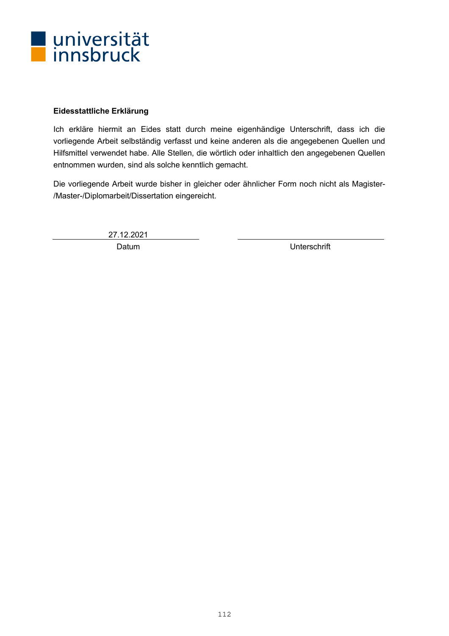

## **Eidesstattliche Erklärung**

Ich erkläre hiermit an Eides statt durch meine eigenhändige Unterschrift, dass ich die vorliegende Arbeit selbständig verfasst und keine anderen als die angegebenen Quellen und Hilfsmittel verwendet habe. Alle Stellen, die wörtlich oder inhaltlich den angegebenen Quellen entnommen wurden, sind als solche kenntlich gemacht.

Die vorliegende Arbeit wurde bisher in gleicher oder ähnlicher Form noch nicht als Magister- /Master-/Diplomarbeit/Dissertation eingereicht.

27.12.2021

Datum Unterschrift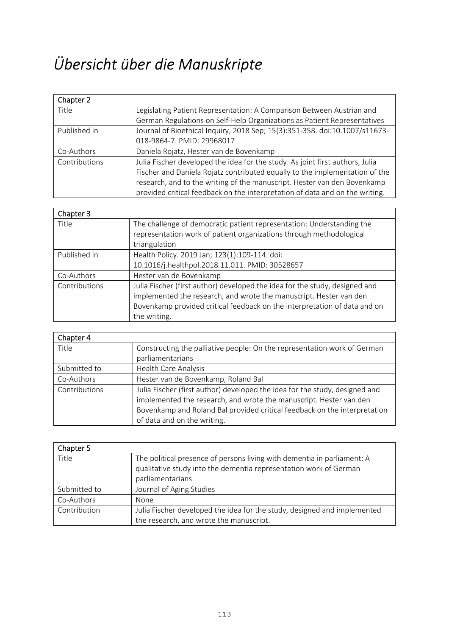## *Übersicht über die Manuskripte*

| Chapter 2     |                                                                               |
|---------------|-------------------------------------------------------------------------------|
| Title         | Legislating Patient Representation: A Comparison Between Austrian and         |
|               | German Regulations on Self-Help Organizations as Patient Representatives      |
| Published in  | Journal of Bioethical Inquiry, 2018 Sep; 15(3):351-358. doi:10.1007/s11673-   |
|               | 018-9864-7, PMID: 29968017                                                    |
| Co-Authors    | Daniela Rojatz, Hester van de Bovenkamp                                       |
| Contributions | Julia Fischer developed the idea for the study. As joint first authors, Julia |
|               | Fischer and Daniela Rojatz contributed equally to the implementation of the   |
|               | research, and to the writing of the manuscript. Hester van den Bovenkamp      |
|               | provided critical feedback on the interpretation of data and on the writing.  |

| Chapter 3     |                                                                                                                                                                                                                                                |
|---------------|------------------------------------------------------------------------------------------------------------------------------------------------------------------------------------------------------------------------------------------------|
| Title         | The challenge of democratic patient representation: Understanding the<br>representation work of patient organizations through methodological<br>triangulation                                                                                  |
| Published in  | Health Policy. 2019 Jan; 123(1):109-114. doi:<br>10.1016/j.healthpol.2018.11.011. PMID: 30528657                                                                                                                                               |
| Co-Authors    | Hester van de Bovenkamp                                                                                                                                                                                                                        |
| Contributions | Julia Fischer (first author) developed the idea for the study, designed and<br>implemented the research, and wrote the manuscript. Hester van den<br>Bovenkamp provided critical feedback on the interpretation of data and on<br>the writing. |

| Chapter 4     |                                                                             |
|---------------|-----------------------------------------------------------------------------|
| Title         | Constructing the palliative people: On the representation work of German    |
|               | parliamentarians                                                            |
| Submitted to  | <b>Health Care Analysis</b>                                                 |
| Co-Authors    | Hester van de Bovenkamp, Roland Bal                                         |
| Contributions | Julia Fischer (first author) developed the idea for the study, designed and |
|               | implemented the research, and wrote the manuscript. Hester van den          |
|               | Bovenkamp and Roland Bal provided critical feedback on the interpretation   |
|               | of data and on the writing.                                                 |

| Chapter 5    |                                                                                                                                                                  |  |
|--------------|------------------------------------------------------------------------------------------------------------------------------------------------------------------|--|
| Title        | The political presence of persons living with dementia in parliament: A<br>qualitative study into the dementia representation work of German<br>parliamentarians |  |
| Submitted to | Journal of Aging Studies                                                                                                                                         |  |
| Co-Authors   | None                                                                                                                                                             |  |
| Contribution | Julia Fischer developed the idea for the study, designed and implemented<br>the research, and wrote the manuscript.                                              |  |